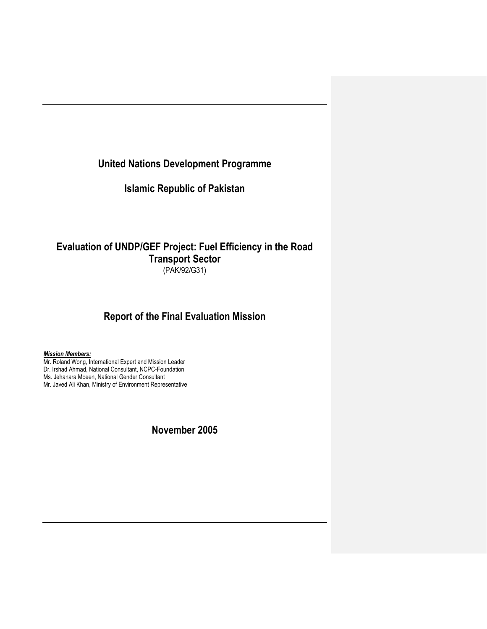# **United Nations Development Programme**

**Islamic Republic of Pakistan**

## **Evaluation of UNDP/GEF Project: Fuel Efficiency in the Road Transport Sector** (PAK/92/G31)

# **Report of the Final Evaluation Mission**

## *Mission Members:*

Mr. Roland Wong, International Expert and Mission Leader Dr. Irshad Ahmad, National Consultant, NCPC-Foundation Ms. Jehanara Moeen, National Gender Consultant Mr. Javed Ali Khan, Ministry of Environment Representative

**November 2005**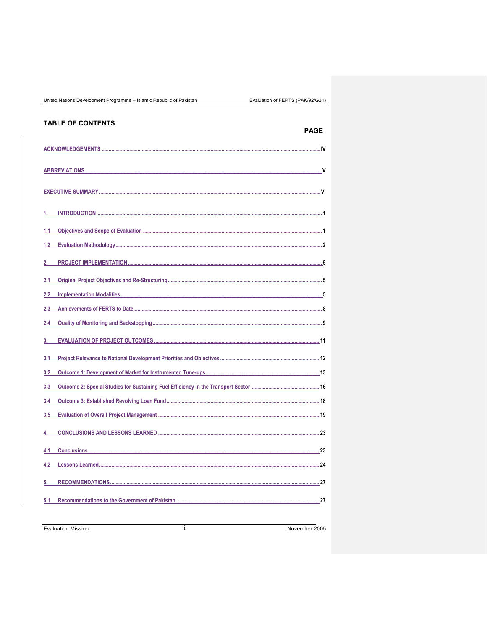United Nations Development Programme - Islamic Republic of Pakistan

| <b>TABLE OF CONTENTS</b> | <b>PAGE</b> |
|--------------------------|-------------|
|                          |             |
|                          |             |
|                          |             |
| 1.                       |             |
| 1.1                      |             |
| 1.2                      |             |
| 2.                       |             |
| 2.1                      |             |
| 2.2                      |             |
| 2.3                      |             |
| 2.4                      |             |
| 3.                       |             |
| 3.1                      |             |
| 3.2                      |             |
| 3.3                      |             |
| 3.4                      |             |
| 3.5                      |             |
| 4.                       |             |
| 4.1                      |             |
| 4.2                      |             |
| 5.                       |             |
| 5.1                      |             |
|                          |             |

 $\mathbf{i}$ 

**Evaluation Mission** 

November 2005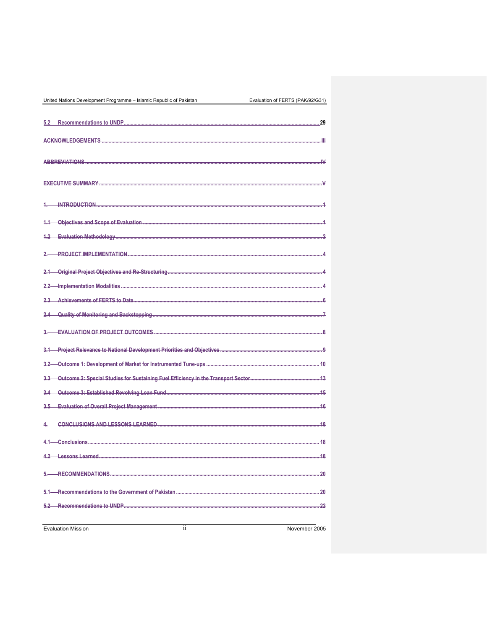| United Nations Development Programme - Islamic Republic of Pakistan | Evaluation of FERTS (PAK/92/G31) |
|---------------------------------------------------------------------|----------------------------------|
| 5.2                                                                 |                                  |
|                                                                     |                                  |
|                                                                     |                                  |
|                                                                     |                                  |
|                                                                     |                                  |
|                                                                     |                                  |
|                                                                     |                                  |
|                                                                     |                                  |
|                                                                     |                                  |
|                                                                     |                                  |
|                                                                     |                                  |
|                                                                     |                                  |
|                                                                     |                                  |
|                                                                     |                                  |
|                                                                     |                                  |
|                                                                     |                                  |
|                                                                     |                                  |
|                                                                     |                                  |
|                                                                     |                                  |
|                                                                     |                                  |
|                                                                     | -18                              |
|                                                                     | -20                              |
|                                                                     |                                  |
|                                                                     |                                  |
| ii<br><b>Evaluation Mission</b>                                     | November 2005                    |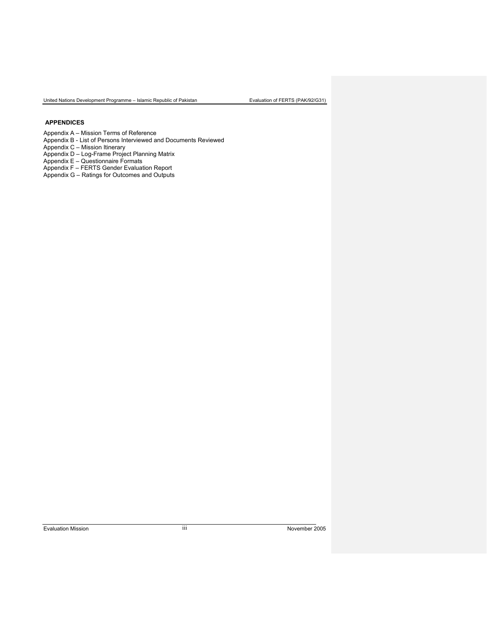## **APPENDICES**

Appendix A – Mission Terms of Reference

Appendix B - List of Persons Interviewed and Documents Reviewed

Appendix C – Mission Itinerary

Appendix D – Log-Frame Project Planning Matrix

Appendix E – Questionnaire Formats

Appendix F – FERTS Gender Evaluation Report

Appendix G – Ratings for Outcomes and Outputs

Evaluation Mission iii iii November 2005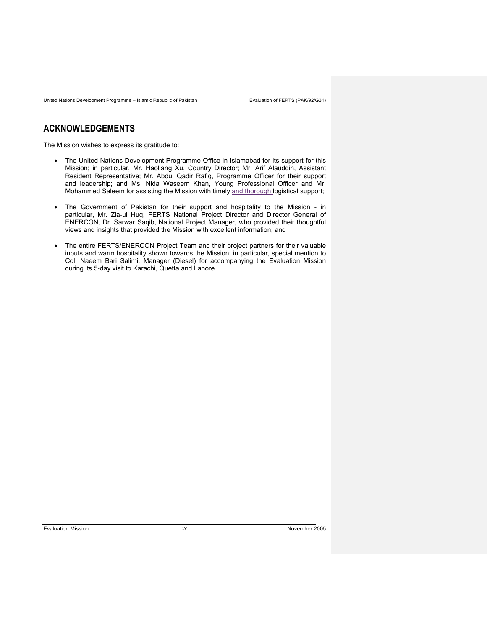## **ACKNOWLEDGEMENTS**

The Mission wishes to express its gratitude to:

- The United Nations Development Programme Office in Islamabad for its support for this Mission; in particular, Mr. Haoliang Xu, Country Director; Mr. Arif Alauddin, Assistant Resident Representative; Mr. Abdul Qadir Rafiq, Programme Officer for their support and leadership; and Ms. Nida Waseem Khan, Young Professional Officer and Mr. Mohammed Saleem for assisting the Mission with timely and thorough logistical support;
- The Government of Pakistan for their support and hospitality to the Mission in particular, Mr. Zia-ul Huq, FERTS National Project Director and Director General of ENERCON, Dr. Sarwar Saqib, National Project Manager, who provided their thoughtful views and insights that provided the Mission with excellent information; and
- The entire FERTS/ENERCON Project Team and their project partners for their valuable inputs and warm hospitality shown towards the Mission; in particular, special mention to Col. Naeem Bari Salimi, Manager (Diesel) for accompanying the Evaluation Mission during its 5-day visit to Karachi, Quetta and Lahore.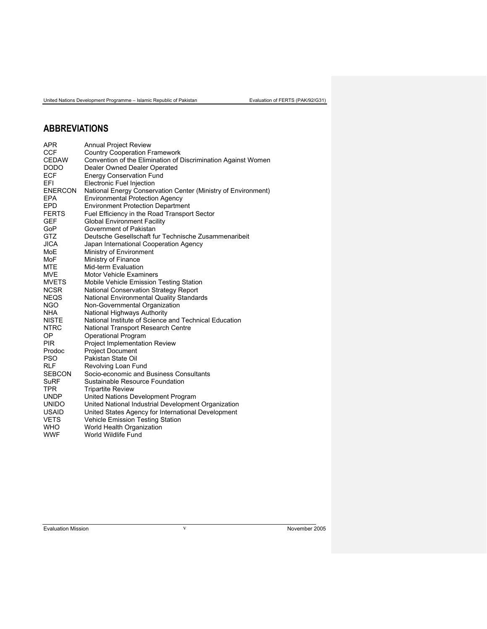# **ABBREVIATIONS**

| APR            | <b>Annual Project Review</b>                                  |
|----------------|---------------------------------------------------------------|
| <b>CCF</b>     | <b>Country Cooperation Framework</b>                          |
| <b>CEDAW</b>   | Convention of the Elimination of Discrimination Against Women |
| <b>DODO</b>    | Dealer Owned Dealer Operated                                  |
| <b>ECF</b>     | <b>Energy Conservation Fund</b>                               |
| EFI            | <b>Electronic Fuel Injection</b>                              |
| <b>ENERCON</b> | National Energy Conservation Center (Ministry of Environment) |
| EPA            | <b>Environmental Protection Agency</b>                        |
| EPD            | <b>Environment Protection Department</b>                      |
| <b>FERTS</b>   | Fuel Efficiency in the Road Transport Sector                  |
| GEF            | <b>Global Environment Facility</b>                            |
| GoP            | Government of Pakistan                                        |
| GTZ            | Deutsche Gesellschaft fur Technische Zusammenaribeit          |
| <b>JICA</b>    | Japan International Cooperation Agency                        |
| MoE            | Ministry of Environment                                       |
| MoF            | Ministry of Finance                                           |
| MTE            | Mid-term Evaluation                                           |
| <b>MVE</b>     | <b>Motor Vehicle Examiners</b>                                |
| <b>MVETS</b>   | Mobile Vehicle Emission Testing Station                       |
| NCSR           | <b>National Conservation Strategy Report</b>                  |
| NEQS           | <b>National Environmental Quality Standards</b>               |
| <b>NGO</b>     | Non-Governmental Organization                                 |
| NHA            | National Highways Authority                                   |
| NISTE          | National Institute of Science and Technical Education         |
| <b>NTRC</b>    | National Transport Research Centre                            |
| ОP             | <b>Operational Program</b>                                    |
| <b>PIR</b>     | Project Implementation Review                                 |
| Prodoc         | <b>Project Document</b>                                       |
| <b>PSO</b>     | Pakistan State Oil                                            |
| <b>RLF</b>     | Revolving Loan Fund                                           |
| <b>SEBCON</b>  | Socio-economic and Business Consultants                       |
| SuRF           | Sustainable Resource Foundation                               |
| <b>TPR</b>     | <b>Tripartite Review</b>                                      |
| UNDP           | United Nations Development Program                            |
| <b>UNIDO</b>   | United National Industrial Development Organization           |
| <b>USAID</b>   | United States Agency for International Development            |
| <b>VETS</b>    | <b>Vehicle Emission Testing Station</b>                       |
| <b>WHO</b>     | World Health Organization                                     |
| <b>WWF</b>     | World Wildlife Fund                                           |

Evaluation Mission v November 2005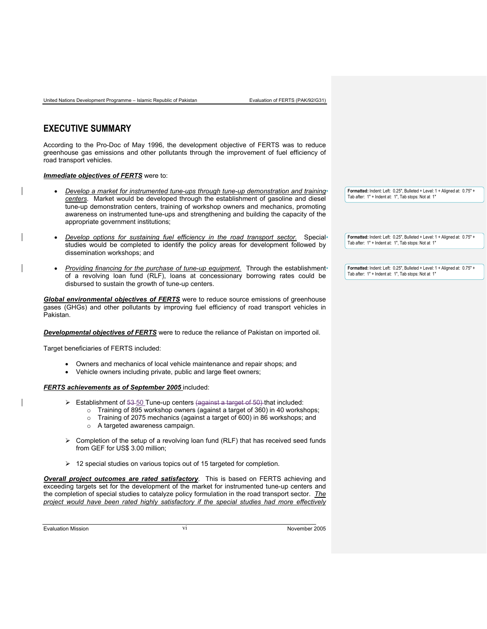## **EXECUTIVE SUMMARY**

According to the Pro-Doc of May 1996, the development objective of FERTS was to reduce greenhouse gas emissions and other pollutants through the improvement of fuel efficiency of road transport vehicles.

#### *Immediate objectives of FERTS* were to:

- *Develop a market for instrumented tune-ups through tune-up demonstration and training centers.* Market would be developed through the establishment of gasoline and diesel tune-up demonstration centers, training of workshop owners and mechanics, promoting awareness on instrumented tune-ups and strengthening and building the capacity of the appropriate government institutions;
- *Develop options for sustaining fuel efficiency in the road transport sector.* Special studies would be completed to identify the policy areas for development followed by dissemination workshops; and
- *Providing financing for the purchase of tune-up equipment.* Through the establishment of a revolving loan fund (RLF), loans at concessionary borrowing rates could be disbursed to sustain the growth of tune-up centers.

*Global environmental objectives of FERTS* were to reduce source emissions of greenhouse gases (GHGs) and other pollutants by improving fuel efficiency of road transport vehicles in Pakistan.

*Developmental objectives of FERTS* were to reduce the reliance of Pakistan on imported oil.

Target beneficiaries of FERTS included:

- Owners and mechanics of local vehicle maintenance and repair shops; and
- Vehicle owners including private, public and large fleet owners;

#### *FERTS achievements as of September 2005* included:

- Establishment of 53-50 Tune-up centers  $\frac{1}{2}$  target of 50) that included:
	- $\circ$  Training of 895 workshop owners (against a target of 360) in 40 workshops;<br> $\circ$  Training of 2075 mechanics (against a target of 600) in 86 workshops; and
	- $\circ$  Training of 2075 mechanics (against a target of 600) in 86 workshops; and  $\circ$  A targeted awareness campaign.
	- A targeted awareness campaign.
- $\triangleright$  Completion of the setup of a revolving loan fund (RLF) that has received seed funds from GEF for US\$ 3.00 million;
- > 12 special studies on various topics out of 15 targeted for completion.

*Overall project outcomes are rated satisfactory*. This is based on FERTS achieving and exceeding targets set for the development of the market for instrumented tune-up centers and the completion of special studies to catalyze policy formulation in the road transport sector. *The project would have been rated highly satisfactory if the special studies had more effectively* 

**Evaluation Mission** vi November 2005

**Formatted:** Indent: Left: 0.25", Bulleted + Level: 1 + Aligned at: 0.75" + Tab after: 1" + Indent at: 1", Tab stops: Not at 1"

**Formatted:** Indent: Left: 0.25", Bulleted + Level: 1 + Aligned at: 0.75" + Tab after: 1" + Indent at: 1", Tab stops: Not at 1"

**Formatted:** Indent: Left: 0.25", Bulleted + Level: 1 + Aligned at: 0.75" + Tab after: 1" + Indent at: 1", Tab stops: Not at 1"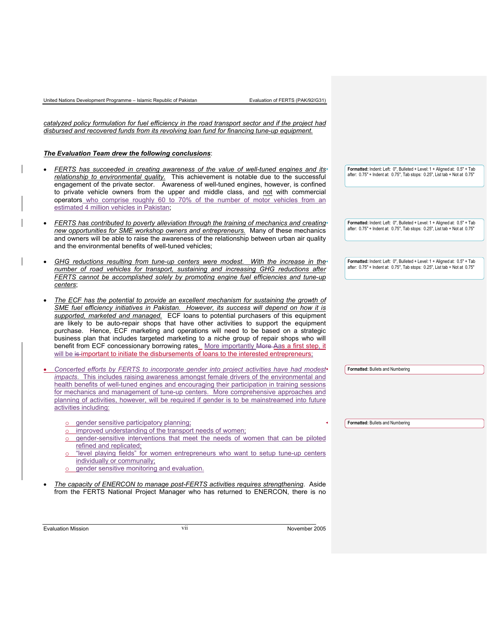United Nations Development Programme – Islamic Republic of Pakistan Evaluation of FERTS (PAK/92/G31)

*catalyzed policy formulation for fuel efficiency in the road transport sector and if the project had disbursed and recovered funds from its revolving loan fund for financing tune-up equipment.*

## *The Evaluation Team drew the following conclusions*:

| FERTS has succeeded in creating awareness of the value of well-tuned engines and its+<br>relationship to environmental quality. This achievement is notable due to the successful<br>engagement of the private sector. Awareness of well-tuned engines, however, is confined<br>to private vehicle owners from the upper and middle class, and not with commercial<br>operators who comprise roughly 60 to 70% of the number of motor vehicles from an<br>estimated 4 million vehicles in Pakistan;                                                                                                                                                                                                                                                      | Formatted: Indent: Left: 0", Bulleted + Level: 1 + Aligned at: 0.5" + Tab<br>after: 0.75" + Indent at: 0.75", Tab stops: 0.25", List tab + Not at 0.75" |
|----------------------------------------------------------------------------------------------------------------------------------------------------------------------------------------------------------------------------------------------------------------------------------------------------------------------------------------------------------------------------------------------------------------------------------------------------------------------------------------------------------------------------------------------------------------------------------------------------------------------------------------------------------------------------------------------------------------------------------------------------------|---------------------------------------------------------------------------------------------------------------------------------------------------------|
| FERTS has contributed to poverty alleviation through the training of mechanics and creating<br>new opportunities for SME workshop owners and entrepreneurs. Many of these mechanics<br>and owners will be able to raise the awareness of the relationship between urban air quality<br>and the environmental benefits of well-tuned vehicles:                                                                                                                                                                                                                                                                                                                                                                                                            | Formatted: Indent: Left: 0", Bulleted + Level: 1 + Aligned at: 0.5" + Tab<br>after: 0.75" + Indent at: 0.75", Tab stops: 0.25", List tab + Not at 0.75" |
| GHG reductions resulting from tune-up centers were modest. With the increase in the<br>number of road vehicles for transport, sustaining and increasing GHG reductions after<br>FERTS cannot be accomplished solely by promoting engine fuel efficiencies and tune-up<br>centers;                                                                                                                                                                                                                                                                                                                                                                                                                                                                        | Formatted: Indent: Left: 0", Bulleted + Level: 1 + Aligned at: 0.5" + Tab<br>after: 0.75" + Indent at: 0.75", Tab stops: 0.25", List tab + Not at 0.75" |
| The ECF has the potential to provide an excellent mechanism for sustaining the growth of<br>SME fuel efficiency initiatives in Pakistan. However, its success will depend on how it is<br>supported, marketed and managed. ECF loans to potential purchasers of this equipment<br>are likely to be auto-repair shops that have other activities to support the equipment<br>purchase. Hence, ECF marketing and operations will need to be based on a strategic<br>business plan that includes targeted marketing to a niche group of repair shops who will<br>benefit from ECF concessionary borrowing rates. More importantly More Aas a first step, it<br>will be is important to initiate the disbursements of loans to the interested entrepreneurs; |                                                                                                                                                         |
| Concerted efforts by FERTS to incorporate gender into project activities have had modest<br>impacts. This includes raising awareness amongst female drivers of the environmental and<br>health benefits of well-tuned engines and encouraging their participation in training sessions<br>for mechanics and management of tune-up centers. More comprehensive approaches and<br>planning of activities, however, will be required if gender is to be mainstreamed into future<br>activities including:                                                                                                                                                                                                                                                   | Formatted: Bullets and Numbering                                                                                                                        |
| $\circ$ gender sensitive participatory planning;<br>o improved understanding of the transport needs of women;<br>o gender-sensitive interventions that meet the needs of women that can be piloted<br>refined and replicated;<br>o "level playing fields" for women entrepreneurs who want to setup tune-up centers<br>individually or communally;<br>o gender sensitive monitoring and evaluation.                                                                                                                                                                                                                                                                                                                                                      | Formatted: Bullets and Numbering                                                                                                                        |
| The capacity of ENERCON to manage post-FERTS activities requires strengthening. Aside<br>from the FERTS National Project Manager who has returned to ENERCON, there is no                                                                                                                                                                                                                                                                                                                                                                                                                                                                                                                                                                                |                                                                                                                                                         |

Evaluation Mission vii November 2005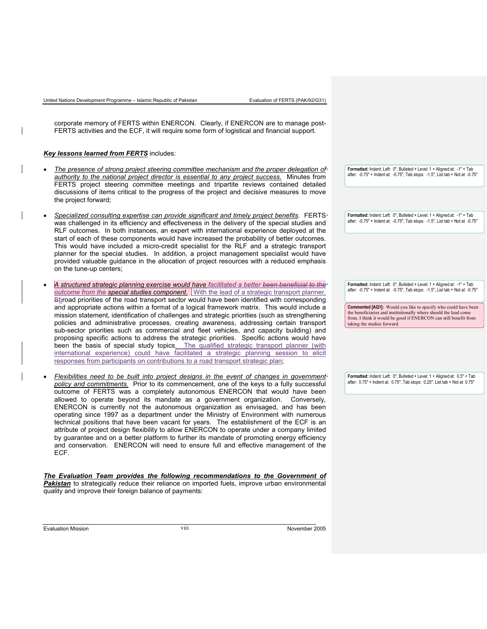corporate memory of FERTS within ENERCON. Clearly, if ENERCON are to manage post-FERTS activities and the ECF, it will require some form of logistical and financial support.

#### *Key lessons learned from FERTS* includes:

on the tune-up centers;

| The presence of strong project steering committee mechanism and the proper delegation of<br>authority to the national project director is essential to any project success. Minutes from<br>FERTS project steering committee meetings and tripartite reviews contained detailed                                                                                                 |  | Formatted: Indent: Left: 0", Bulleted + Level: 1 + Aligned at: -1" + Tab<br>after: -0.75" + Indent at: -0.75", Tab stops: -1.5", List tab + Not at -0.75" |
|---------------------------------------------------------------------------------------------------------------------------------------------------------------------------------------------------------------------------------------------------------------------------------------------------------------------------------------------------------------------------------|--|-----------------------------------------------------------------------------------------------------------------------------------------------------------|
| discussions of items critical to the progress of the project and decisive measures to move<br>the project forward;                                                                                                                                                                                                                                                              |  |                                                                                                                                                           |
| Specialized consulting expertise can provide significant and timely project benefits. FERTS+<br>was challenged in its efficiency and effectiveness in the delivery of the special studies and<br>RLF outcomes. In both instances, an expert with international experience deployed at the                                                                                       |  | Formatted: Indent: Left: 0", Bulleted + Level: 1 + Aligned at: -1" + Tab<br>after: -0.75" + Indent at: -0.75", Tab stops: -1.5", List tab + Not at -0.75" |
| start of each of these components would have increased the probability of better outcomes.<br>This would have included a micro-credit specialist for the RLF and a strategic transport<br>planner for the special studies. In addition, a project management specialist would have<br>provided valuable guidance in the allocation of project resources with a reduced emphasis |  |                                                                                                                                                           |

• *A structured strategic planning exercise would have facilitated a better been beneficial to the outcome from the special studies component.* With the lead of a strategic transport planner, Bbroad priorities of the road transport sector would have been identified with corresponding and appropriate actions within a format of a logical framework matrix. This would include a mission statement, identification of challenges and strategic priorities (such as strengthening policies and administrative processes, creating awareness, addressing certain transport sub-sector priorities such as commercial and fleet vehicles, and capacity building) and proposing specific actions to address the strategic priorities. Specific actions would have been the basis of special study topics. The qualified strategic transport planner (with international experience) could have facilitated a strategic planning session to elicit responses from participants on contributions to a road transport strategic plan;

• *Flexibilities need to be built into project designs in the event of changes in government policy and commitments.* Prior to its commencement, one of the keys to a fully successful outcome of FERTS was a completely autonomous ENERCON that would have been allowed to operate beyond its mandate as a government organization. Conversely, ENERCON is currently not the autonomous organization as envisaged, and has been operating since 1997 as a department under the Ministry of Environment with numerous technical positions that have been vacant for years. The establishment of the ECF is an attribute of project design flexibility to allow ENERCON to operate under a company limited by guarantee and on a better platform to further its mandate of promoting energy efficiency and conservation. ENERCON will need to ensure full and effective management of the ECF.

*The Evaluation Team provides the following recommendations to the Government of*  **Pakistan** to strategically reduce their reliance on imported fuels, improve urban environmental quality and improve their foreign balance of payments:

Evaluation Mission **Nitropolis Contract Contract Contract Contract Contract Contract Contract Contract Contract Contract Contract Contract Contract Contract Contract Contract Contract Contract Contract Contract Contract Co** 

**Formatted:** Indent: Left: 0", Bulleted + Level: 1 + Aligned at: -1" + Tab after: -0.75" + Indent at: -0.75", Tab stops: -1.5", List tab + Not at -0.75"

**Commented [AQ1]:** Would you like to specify who could have been the beneficiaries and institutionally where should the lead come from. I think it would be good if ENERCON can still benefit from

**Formatted:** Indent: Left: 0", Bulleted + Level: 1 + Aligned at: 0.5" + Tab after: 0.75" + Indent at: 0.75", Tab stops: 0.25", List tab + Not at 0.75"

taking the studies forward.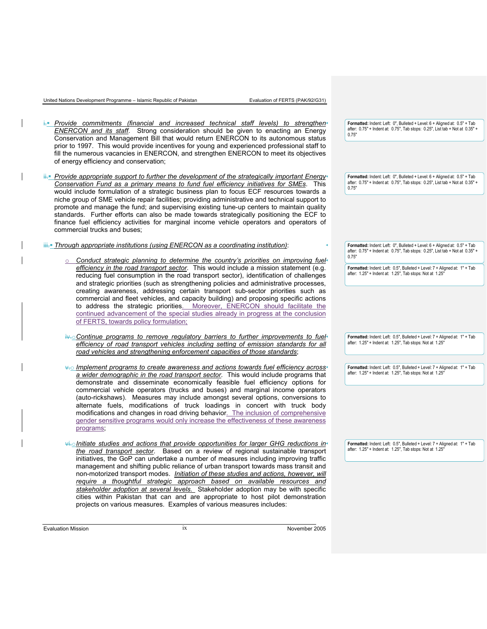|  |  | United Nations Development Programme – Islamic Republic of Pakistan |
|--|--|---------------------------------------------------------------------|
|  |  |                                                                     |

 $\overline{\phantom{a}}$ 

 $\overline{\phantom{a}}$ 

Evaluation of FERTS (PAK/92/G31)

| i- Provide commitments (financial and increased technical staff levels) to strengthen-<br><b>ENERCON</b> and its staff. Strong consideration should be given to enacting an Energy<br>Conservation and Management Bill that would return ENERCON to its autonomous status<br>prior to 1997. This would provide incentives for young and experienced professional staff to<br>fill the numerous vacancies in ENERCON, and strengthen ENERCON to meet its objectives<br>of energy efficiency and conservation;<br>Provide appropriate support to further the development of the strategically important Energy-<br>Conservation Fund as a primary means to fund fuel efficiency initiatives for SMEs. This                                                                             | Formatted: Indent: Left: 0", Bulleted + Level: 6 + Aligned at: 0.5" + Tab<br>after: 0.75" + Indent at: 0.75", Tab stops: 0.25", List tab + Not at 0.35" +<br>0.75"<br>Formatted: Indent: Left: 0", Bulleted + Level: 6 + Aligned at: 0.5" + Tab<br>after: 0.75" + Indent at: 0.75", Tab stops: 0.25", List tab + Not at 0.35" +<br>0.75" |
|--------------------------------------------------------------------------------------------------------------------------------------------------------------------------------------------------------------------------------------------------------------------------------------------------------------------------------------------------------------------------------------------------------------------------------------------------------------------------------------------------------------------------------------------------------------------------------------------------------------------------------------------------------------------------------------------------------------------------------------------------------------------------------------|------------------------------------------------------------------------------------------------------------------------------------------------------------------------------------------------------------------------------------------------------------------------------------------------------------------------------------------|
| would include formulation of a strategic business plan to focus ECF resources towards a<br>niche group of SME vehicle repair facilities; providing administrative and technical support to<br>promote and manage the fund; and supervising existing tune-up centers to maintain quality<br>standards. Further efforts can also be made towards strategically positioning the ECF to<br>finance fuel efficiency activities for marginal income vehicle operators and operators of<br>commercial trucks and buses;                                                                                                                                                                                                                                                                     |                                                                                                                                                                                                                                                                                                                                          |
| $\dddot{H}$ Through appropriate institutions (using ENERCON as a coordinating institution):                                                                                                                                                                                                                                                                                                                                                                                                                                                                                                                                                                                                                                                                                          | Formatted: Indent: Left: 0", Bulleted + Level: 6 + Aligned at: 0.5" + Tab<br>after: 0.75" + Indent at: 0.75", Tab stops: 0.25", List tab + Not at 0.35" +<br>0.75"                                                                                                                                                                       |
| <u>Conduct strategic planning to determine the country's priorities on improving fuel</u><br>$\circ$<br>efficiency in the road transport sector. This would include a mission statement (e.g.<br>reducing fuel consumption in the road transport sector), identification of challenges<br>and strategic priorities (such as strengthening policies and administrative processes,<br>creating awareness, addressing certain transport sub-sector priorities such as<br>commercial and fleet vehicles, and capacity building) and proposing specific actions<br>to address the strategic priorities. Moreover, ENERCON should facilitate the<br>continued advancement of the special studies already in progress at the conclusion<br>of FERTS, towards policy formulation;            | Formatted: Indent: Left: 0.5", Bulleted + Level: 7 + Aligned at: 1" + Tab<br>after: 1.25" + Indent at: 1.25", Tab stops: Not at 1.25"                                                                                                                                                                                                    |
| $\frac{1}{2}$ Continue programs to remove regulatory barriers to further improvements to fuel-<br>efficiency of road transport vehicles including setting of emission standards for all<br>road vehicles and strengthening enforcement capacities of those standards;                                                                                                                                                                                                                                                                                                                                                                                                                                                                                                                | Formatted: Indent: Left: 0.5", Bulleted + Level: 7 + Aligned at: 1" + Tab<br>after: 1.25" + Indent at: 1.25", Tab stops: Not at 1.25"                                                                                                                                                                                                    |
| <u>e-o Implement programs to create awareness and actions towards fuel efficiency across</u><br>a wider demographic in the road transport sector. This would include programs that<br>demonstrate and disseminate economically feasible fuel efficiency options for<br>commercial vehicle operators (trucks and buses) and marginal income operators<br>(auto-rickshaws). Measures may include amongst several options, conversions to<br>alternate fuels, modifications of truck loadings in concert with truck body<br>modifications and changes in road driving behavior. The inclusion of comprehensive<br>gender sensitive programs would only increase the effectiveness of these awareness<br>programs;                                                                       | Formatted: Indent: Left: 0.5", Bulleted + Level: 7 + Aligned at: 1" + Tab<br>after: 1.25" + Indent at: 1.25", Tab stops: Not at 1.25"                                                                                                                                                                                                    |
| <u>wig Initiate studies and actions that provide opportunities for larger GHG reductions in</u><br>the road transport sector. Based on a review of regional sustainable transport<br>initiatives, the GoP can undertake a number of measures including improving traffic<br>management and shifting public reliance of urban transport towards mass transit and<br>non-motorized transport modes. Initiation of these studies and actions, however, will<br>require a thoughtful strategic approach based on available resources and<br>stakeholder adoption at several levels. Stakeholder adoption may be with specific<br>cities within Pakistan that can and are appropriate to host pilot demonstration<br>projects on various measures. Examples of various measures includes: | Formatted: Indent: Left: 0.5", Bulleted + Level: 7 + Aligned at: 1" + Tab<br>after: 1.25" + Indent at: 1.25", Tab stops: Not at 1.25"                                                                                                                                                                                                    |
| ix<br>November 2005<br><b>Evaluation Mission</b>                                                                                                                                                                                                                                                                                                                                                                                                                                                                                                                                                                                                                                                                                                                                     |                                                                                                                                                                                                                                                                                                                                          |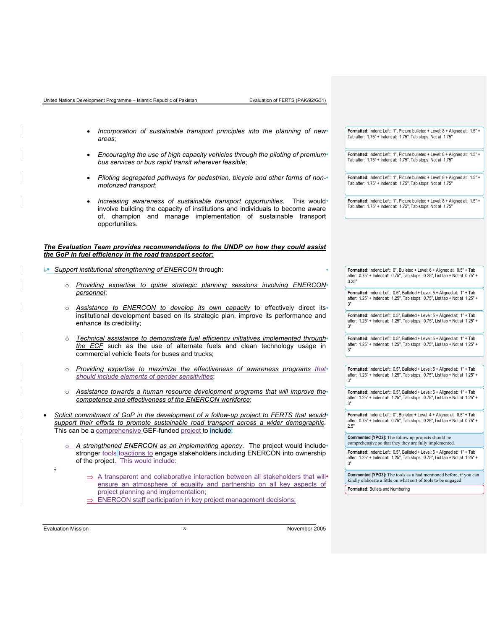| Incorporation of sustainable transport principles into the planning of new-<br>areas:                                                                                                                                                                      | Formatted: Indent: Left: 1", Picture bulleted + Level: 8 + Aligned at: 1.5" +<br>Tab after: 1.75" + Indent at: 1.75", Tab stops: Not at 1.75"                      |
|------------------------------------------------------------------------------------------------------------------------------------------------------------------------------------------------------------------------------------------------------------|--------------------------------------------------------------------------------------------------------------------------------------------------------------------|
| Encouraging the use of high capacity vehicles through the piloting of premium<br>$\bullet$<br>bus services or bus rapid transit wherever feasible;                                                                                                         | Formatted: Indent: Left: 1", Picture bulleted + Level: 8 + Aligned at: 1.5" +<br>Tab after: 1.75" + Indent at: 1.75", Tab stops: Not at 1.75"                      |
| Piloting segregated pathways for pedestrian, bicycle and other forms of non-+<br>$\bullet$<br>motorized transport:                                                                                                                                         | Formatted: Indent: Left: 1", Picture bulleted + Level: 8 + Aligned at: 1.5" +<br>Tab after: 1.75" + Indent at: 1.75", Tab stops: Not at 1.75"                      |
| Increasing awareness of sustainable transport opportunities. This would<br>$\bullet$<br>involve building the capacity of institutions and individuals to become aware<br>of, champion and manage implementation of sustainable transport<br>opportunities. | Formatted: Indent: Left: 1", Picture bulleted + Level: 8 + Aligned at: 1.5" +<br>Tab after: 1.75" + Indent at: 1.75", Tab stops: Not at 1.75"                      |
| The Evaluation Team provides recommendations to the UNDP on how they could assist<br>the GoP in fuel efficiency in the road transport sector:                                                                                                              |                                                                                                                                                                    |
| <b>Example 1</b> : Support institutional strengthening of ENERCON through:<br>Providing expertise to guide strategic planning sessions involving ENERCON+                                                                                                  | Formatted: Indent: Left: 0", Bulleted + Level: 6 + Aligned at: 0.5" + Tab<br>after: 0.75" + Indent at: 0.75", Tab stops: 0.25", List tab + Not at 0.75" +<br>3.25" |
| $\circ$<br>personnel;<br>Assistance to ENERCON to develop its own capacity to effectively direct its                                                                                                                                                       | Formatted: Indent: Left: 0.5", Bulleted + Level: 5 + Aligned at: 1" + Tab<br>after: 1.25" + Indent at: 1.25", Tab stops: 0.75", List tab + Not at 1.25" +<br>3"    |
| $\circ$<br>institutional development based on its strategic plan, improve its performance and<br>enhance its credibility;                                                                                                                                  | Formatted: Indent: Left: 0.5", Bulleted + Level: 5 + Aligned at: 1" + Tab<br>after: 1.25" + Indent at: 1.25", Tab stops: 0.75", List tab + Not at 1.25" +<br>3"    |
| Technical assistance to demonstrate fuel efficiency initiatives implemented through-<br>$\circ$<br>the ECF such as the use of alternate fuels and clean technology usage in<br>commercial vehicle fleets for buses and trucks:                             | Formatted: Indent: Left: 0.5", Bulleted + Level: 5 + Aligned at: 1" + Tab<br>after: 1.25" + Indent at: 1.25", Tab stops: 0.75", List tab + Not at 1.25" +<br>3"    |
| Providing expertise to maximize the effectiveness of awareness programs that<br>$\circ$<br>should include elements of gender sensitivities;                                                                                                                | Formatted: Indent: Left: 0.5", Bulleted + Level: 5 + Aligned at: 1" + Tab<br>after: 1.25" + Indent at: 1.25", Tab stops: 0.75", List tab + Not at 1.25" +<br>3"    |
| Assistance towards a human resource development programs that will improve the<br>$\circ$<br>competence and effectiveness of the ENERCON workforce;                                                                                                        | Formatted: Indent: Left: 0.5", Bulleted + Level: 5 + Aligned at: 1" + Tab<br>after: 1.25" + Indent at: 1.25", Tab stops: 0.75", List tab + Not at 1.25" +<br>3"    |
| Solicit commitment of GoP in the development of a follow-up project to FERTS that would<br>support their efforts to promote sustainable road transport across a wider demographic.<br>This can be a comprehensive GEF-funded project to include:           | Formatted: Indent: Left: 0", Bulleted + Level: 4 + Aligned at: 0.5" + Tab<br>after: 0.75" + Indent at: 0.75", Tab stops: 0.25", List tab + Not at 0.75" +<br>2.5"  |
|                                                                                                                                                                                                                                                            | Commented [YPO2]: The follow up projects should be<br>comprehensive so that they they are fully implemented.                                                       |
| <u>○ A strengthened ENERCON as an implementing agency</u> . The project would include<br>stronger tools to angage stakeholders including ENERCON into ownership<br>of the project. This would include:                                                     | Formatted: Indent: Left: 0.5", Bulleted + Level: 5 + Aligned at: 1" + Tab<br>after: 1.25" + Indent at: 1.25", Tab stops: 0.75", List tab + Not at 1.25" +<br>3"    |
| İ.<br>$\Rightarrow$ A transparent and collaborative interaction between all stakeholders that will<br>ensure an atmosphere of equality and partnership on all key aspects of                                                                               | <b>Commented [YPO3]:</b> The tools as u had mentioned before, if you can<br>kindly elaborate a little on what sort of tools to be engaged                          |
| project planning and implementation;<br>$\Rightarrow$ ENERCON staff participation in key project management decisions;                                                                                                                                     | Formatted: Bullets and Numbering                                                                                                                                   |
|                                                                                                                                                                                                                                                            |                                                                                                                                                                    |

Evaluation Mission **X** X

 $\overline{\phantom{a}}$ 

United Nations Development Programme – Islamic Republic of Pakistan Evaluation of FERTS (PAK/92/G31)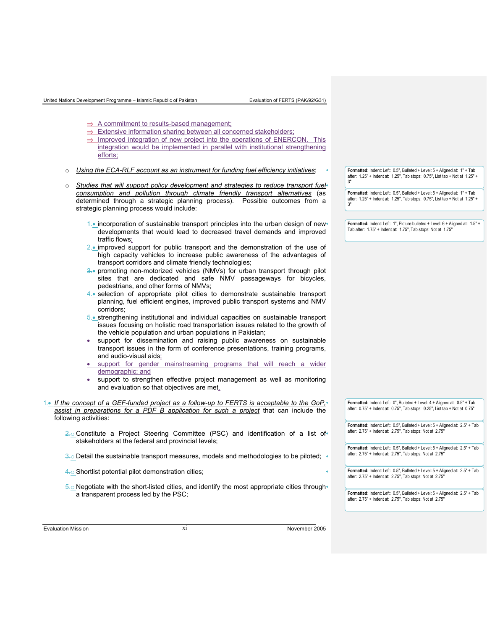- $\Rightarrow$  A commitment to results-based management;
- ⇒ Extensive information sharing between all concerned stakeholders;
- ⇒ Improved integration of new project into the operations of ENERCON. This integration would be implemented in parallel with institutional strengthening efforts;
- o *Using the ECA-RLF account as an instrument for funding fuel efficiency initiatives*;
- o *Studies that will support policy development and strategies to reduce transport fuel consumption and pollution through climate friendly transport alternatives* (as determined through a strategic planning process). Possible outcomes from a strategic planning process would include:
	- $+$  incorporation of sustainable transport principles into the urban design of new developments that would lead to decreased travel demands and improved traffic flows;
	- 2.• improved support for public transport and the demonstration of the use of high capacity vehicles to increase public awareness of the advantages of transport corridors and climate friendly technologies;
	- 3.• promoting non-motorized vehicles (NMVs) for urban transport through pilot sites that are dedicated and safe NMV passageways for bicycles, pedestrians, and other forms of NMVs;
	- 4.• selection of appropriate pilot cities to demonstrate sustainable transport planning, fuel efficient engines, improved public transport systems and NMV corridors;
	- 5.• strengthening institutional and individual capacities on sustainable transport issues focusing on holistic road transportation issues related to the growth of the vehicle population and urban populations in Pakistan;
	- **•** support for dissemination and raising public awareness on sustainable transport issues in the form of conference presentations, training programs, and audio-visual aids;
	- support for gender mainstreaming programs that will reach a wider demographic; and
	- support to strengthen effective project management as well as monitoring and evaluation so that objectives are met.

1.• *If the concept of a GEF-funded project as a follow-up to FERTS is acceptable to the GoP, assist in preparations for a PDF B application for such a project* that can include the following activities:

- $2\text{-}$  Constitute a Project Steering Committee (PSC) and identification of a list of stakeholders at the federal and provincial levels;
- $\frac{3}{2}$  Detail the sustainable transport measures, models and methodologies to be piloted;
- 4.<sup>o</sup> Shortlist potential pilot demonstration cities;
- $\overline{\theta_{\overline{z}}}$  Negotiate with the short-listed cities, and identify the most appropriate cities through a transparent process led by the PSC;

Evaluation Mission xi November 2005

**Formatted:** Indent: Left: 0.5", Bulleted + Level: 5 + Aligned at: 1" + Tab after: 1.25" + Indent at: 1.25", Tab stops: 0.75", List tab + Not at 1.25" + 3"

**Formatted:** Indent: Left: 0.5", Bulleted + Level: 5 + Aligned at: 1" + Tab after: 1.25" + Indent at: 1.25", Tab stops: 0.75", List tab + Not at 1.25" + 3"

**Formatted:** Indent: Left: 1", Picture bulleted + Level: 6 + Aligned at: 1.5" + Tab after: 1.75" + Indent at: 1.75", Tab stops: Not at 1.75"

**Formatted:** Indent: Left: 0", Bulleted + Level: 4 + Aligned at: 0.5" + Tab after: 0.75" + Indent at: 0.75", Tab stops: 0.25", List tab + Not at 0.75"

**Formatted:** Indent: Left: 0.5", Bulleted + Level: 5 + Aligned at: 2.5" + Tab

**Formatted:** Indent: Left: 0.5", Bulleted + Level: 5 + Aligned at: 2.5" + Tab

**Formatted:** Indent: Left: 0.5", Bulleted + Level: 5 + Aligned at: 2.5" + Tab

**Formatted:** Indent: Left: 0.5", Bulleted + Level: 5 + Aligned at: 2.5" + Tab

after: 2.75" + Indent at: 2.75", Tab stops: Not at 2.75"

after: 2.75" + Indent at: 2.75", Tab stops: Not at 2.75"

after: 2.75" + Indent at: 2.75", Tab stops: Not at 2.75"

after: 2.75" + Indent at: 2.75", Tab stops: Not at 2.75"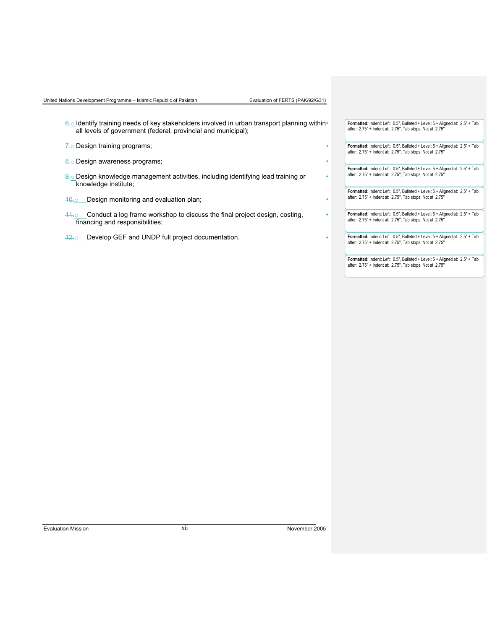- $6\text{-}$  Identify training needs of key stakeholders involved in urban transport planning within all levels of government (federal, provincial and municipal);
- 7.0 Design training programs;
- 8.<sup>o</sup> Design awareness programs;
- 9.0 Design knowledge management activities, including identifying lead training or knowledge institute;
- 10.<sup>o</sup> Design monitoring and evaluation plan;
- 11.0 Conduct a log frame workshop to discuss the final project design, costing, financing and responsibilities;
- 12.<sup>o</sup> Develop GEF and UNDP full project documentation.

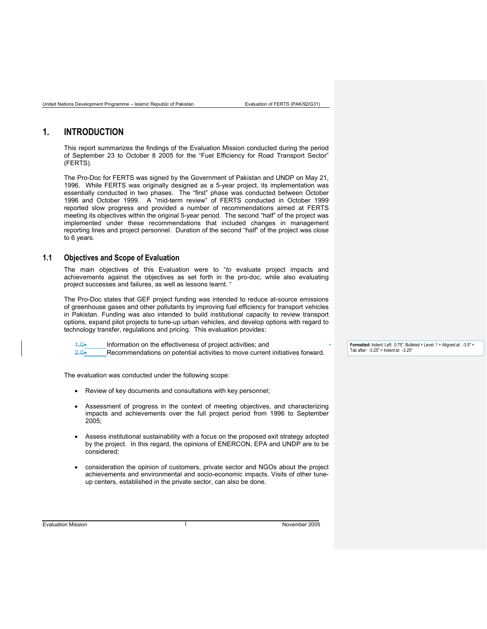## **1. INTRODUCTION**

This report summarizes the findings of the Evaluation Mission conducted during the period of September 23 to October 8 2005 for the "Fuel Efficiency for Road Transport Sector" (FERTS).

The Pro-Doc for FERTS was signed by the Government of Pakistan and UNDP on May 21, 1996. While FERTS was originally designed as a 5-year project, its implementation was essentially conducted in two phases. The "first" phase was conducted between October 1996 and October 1999. A "mid-term review" of FERTS conducted in October 1999 reported slow progress and provided a number of recommendations aimed at FERTS meeting its objectives within the original 5-year period. The second "half" of the project was implemented under these recommendations that included changes in management reporting lines and project personnel. Duration of the second "half" of the project was close to 6 years.

## **1.1 Objectives and Scope of Evaluation**

The main objectives of this Evaluation were to "*to* evaluate project impacts and achievements against the objectives as set forth in the pro-doc, while also evaluating project successes and failures, as well as lessons learnt. "

The Pro-Doc states that GEF project funding was intended to reduce at-source emissions of greenhouse gases and other pollutants by improving fuel efficiency for transport vehicles in Pakistan. Funding was also intended to build institutional capacity to review transport options, expand pilot projects to tune-up urban vehicles, and develop options with regard to technology transfer, regulations and pricing. This evaluation provides:

 $\frac{1.0 \cdot \bullet}{2.0 \cdot \bullet}$  Information on the effectiveness of project activities; and  $\frac{2.0 \cdot \bullet}{2.0 \cdot \bullet}$  Recommendations on potential activities to move current Recommendations on potential activities to move current initiatives forward.

The evaluation was conducted under the following scope:

- Review of key documents and consultations with key personnel;
- Assessment of progress in the context of meeting objectives, and characterizing impacts and achievements over the full project period from 1996 to September 2005;
- Assess institutional sustainability with a focus on the proposed exit strategy adopted by the project. In this regard, the opinions of ENERCON, EPA and UNDP are to be considered;
- consideration the opinion of customers, private sector and NGOs about the project achievements and environmental and socio-economic impacts. Visits of other tuneup centers, established in the private sector, can also be done.

Evaluation Mission **1** November 2005

**Formatted:** Indent: Left: 0.75", Bulleted + Level: 1 + Aligned at: -3.5" + Tab after: -3.25" + Indent at: -3.25"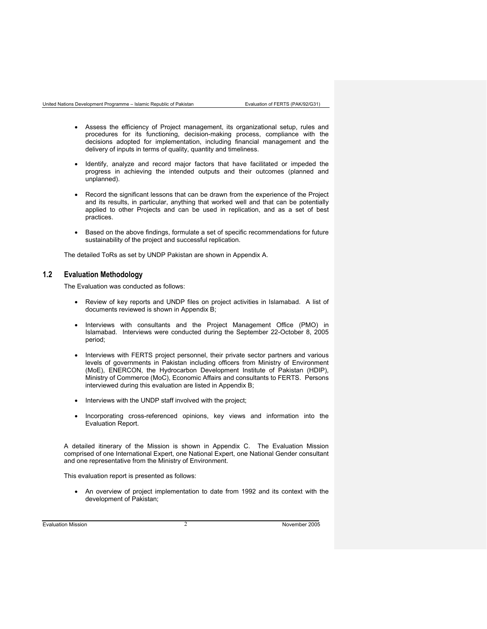- Assess the efficiency of Project management, its organizational setup, rules and procedures for its functioning, decision-making process, compliance with the decisions adopted for implementation, including financial management and the delivery of inputs in terms of quality, quantity and timeliness.
- Identify, analyze and record major factors that have facilitated or impeded the progress in achieving the intended outputs and their outcomes (planned and unplanned).
- Record the significant lessons that can be drawn from the experience of the Project and its results, in particular, anything that worked well and that can be potentially applied to other Projects and can be used in replication, and as a set of best practices.
- Based on the above findings, formulate a set of specific recommendations for future sustainability of the project and successful replication.

The detailed ToRs as set by UNDP Pakistan are shown in Appendix A.

## **1.2 Evaluation Methodology**

The Evaluation was conducted as follows:

- Review of key reports and UNDP files on project activities in Islamabad. A list of documents reviewed is shown in Appendix B;
- Interviews with consultants and the Project Management Office (PMO) in Islamabad. Interviews were conducted during the September 22-October 8, 2005 period;
- Interviews with FERTS project personnel, their private sector partners and various levels of governments in Pakistan including officers from Ministry of Environment (MoE), ENERCON, the Hydrocarbon Development Institute of Pakistan (HDIP), Ministry of Commerce (MoC), Economic Affairs and consultants to FERTS. Persons interviewed during this evaluation are listed in Appendix B;
- Interviews with the UNDP staff involved with the project;
- Incorporating cross-referenced opinions, key views and information into the Evaluation Report.

A detailed itinerary of the Mission is shown in Appendix C. The Evaluation Mission comprised of one International Expert, one National Expert, one National Gender consultant and one representative from the Ministry of Environment.

This evaluation report is presented as follows:

• An overview of project implementation to date from 1992 and its context with the development of Pakistan;

Evaluation Mission 2 November 2005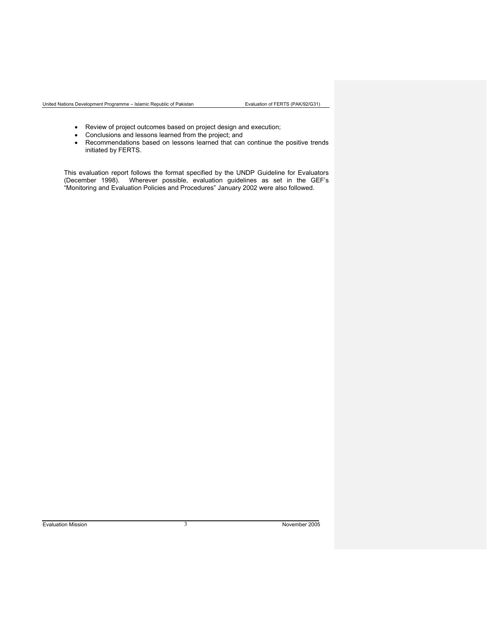- Review of project outcomes based on project design and execution;
- Conclusions and lessons learned from the project; and
- Recommendations based on lessons learned that can continue the positive trends initiated by FERTS.

This evaluation report follows the format specified by the UNDP Guideline for Evaluators (December 1998). Wherever possible, evaluation guidelines as set in the GEF's "Monitoring and Evaluation Policies and Procedures" January 2002 were also followed.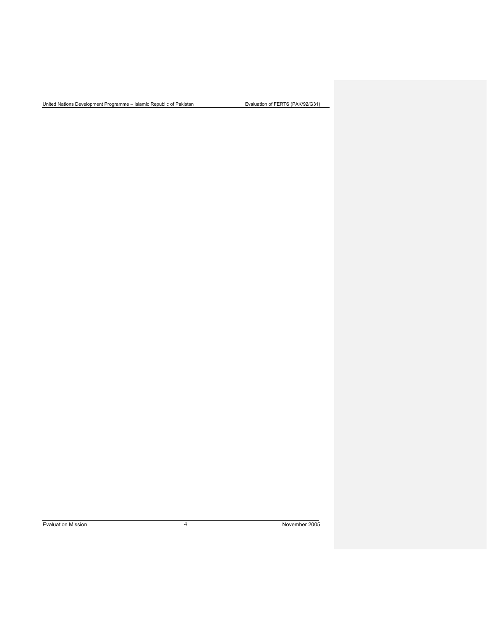United Nations Development Programme – Islamic Republic of Pakistan Evaluation of FERTS (PAK/92/G31)

Evaluation Mission 4 November 2005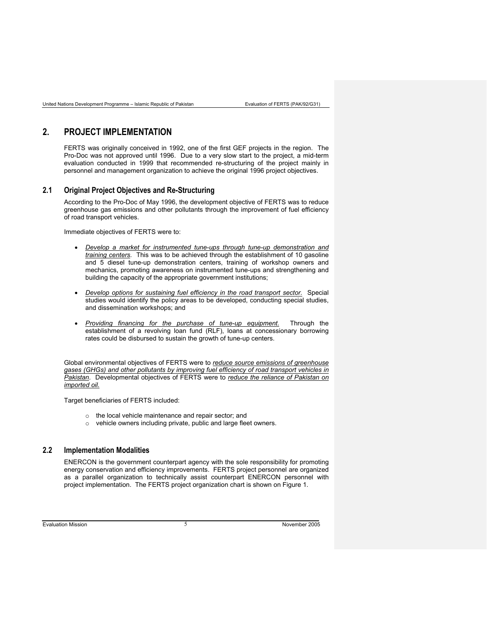## **2. PROJECT IMPLEMENTATION**

FERTS was originally conceived in 1992, one of the first GEF projects in the region. The Pro-Doc was not approved until 1996. Due to a very slow start to the project, a mid-term evaluation conducted in 1999 that recommended re-structuring of the project mainly in personnel and management organization to achieve the original 1996 project objectives.

## **2.1 Original Project Objectives and Re-Structuring**

According to the Pro-Doc of May 1996, the development objective of FERTS was to reduce greenhouse gas emissions and other pollutants through the improvement of fuel efficiency of road transport vehicles.

Immediate objectives of FERTS were to:

- *Develop a market for instrumented tune-ups through tune-up demonstration and training centers.* This was to be achieved through the establishment of 10 gasoline and 5 diesel tune-up demonstration centers, training of workshop owners and mechanics, promoting awareness on instrumented tune-ups and strengthening and building the capacity of the appropriate government institutions;
- *Develop options for sustaining fuel efficiency in the road transport sector.* Special studies would identify the policy areas to be developed, conducting special studies, and dissemination workshops; and
- *Providing financing for the purchase of tune-up equipment.* Through the establishment of a revolving loan fund (RLF), loans at concessionary borrowing rates could be disbursed to sustain the growth of tune-up centers.

Global environmental objectives of FERTS were to *reduce source emissions of greenhouse gases (GHGs) and other pollutants by improving fuel efficiency of road transport vehicles in Pakistan*. Developmental objectives of FERTS were to *reduce the reliance of Pakistan on imported oil.*

Target beneficiaries of FERTS included:

- o the local vehicle maintenance and repair sector; and
- o vehicle owners including private, public and large fleet owners.

## **2.2 Implementation Modalities**

ENERCON is the government counterpart agency with the sole responsibility for promoting energy conservation and efficiency improvements. FERTS project personnel are organized as a parallel organization to technically assist counterpart ENERCON personnel with project implementation. The FERTS project organization chart is shown on Figure 1.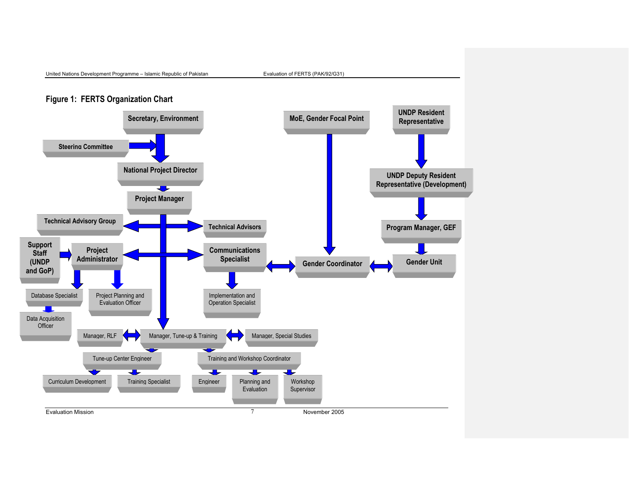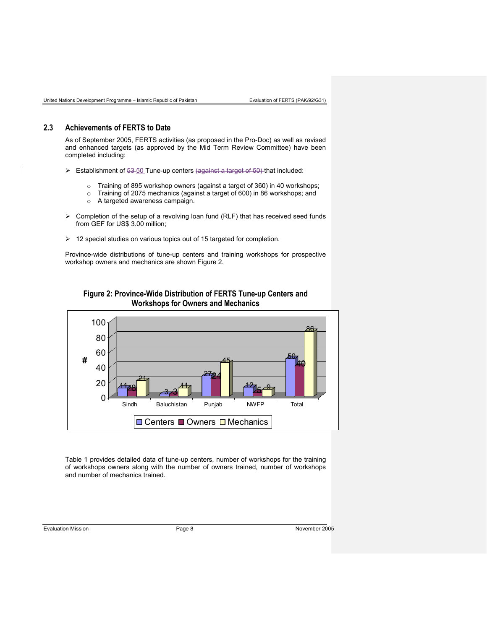## **2.3 Achievements of FERTS to Date**

As of September 2005, FERTS activities (as proposed in the Pro-Doc) as well as revised and enhanced targets (as approved by the Mid Term Review Committee) have been completed including:

- Establishment of 53-50 Tune-up centers (against a target of 50) that included:
	- o Training of 895 workshop owners (against a target of 360) in 40 workshops;
	- o Training of 2075 mechanics (against a target of 600) in 86 workshops; and
	- o A targeted awareness campaign.
- $\triangleright$  Completion of the setup of a revolving loan fund (RLF) that has received seed funds from GEF for US\$ 3.00 million;
- $\geq 12$  special studies on various topics out of 15 targeted for completion.

Province-wide distributions of tune-up centers and training workshops for prospective workshop owners and mechanics are shown Figure 2.





Table 1 provides detailed data of tune-up centers, number of workshops for the training of workshops owners along with the number of owners trained, number of workshops and number of mechanics trained.

Evaluation Mission Page 8 November 2005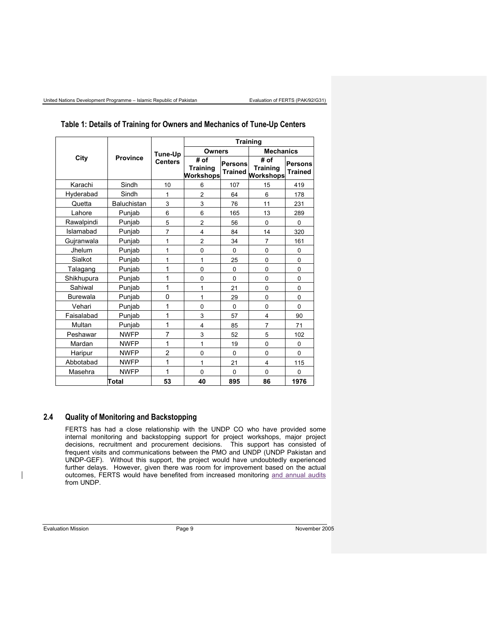|                 |                    |                | <b>Training</b>                             |                                  |                                             |                                  |  |
|-----------------|--------------------|----------------|---------------------------------------------|----------------------------------|---------------------------------------------|----------------------------------|--|
|                 |                    | Tune-Up        | <b>Owners</b>                               |                                  | <b>Mechanics</b>                            |                                  |  |
| City            | <b>Province</b>    | <b>Centers</b> | # of<br><b>Training</b><br><b>Workshops</b> | <b>Persons</b><br><b>Trained</b> | # of<br><b>Training</b><br><b>Workshops</b> | <b>Persons</b><br><b>Trained</b> |  |
| Karachi         | Sindh              | 10             | 6                                           | 107                              | 15                                          | 419                              |  |
| Hyderabad       | Sindh              | 1              | $\overline{2}$                              | 64                               | 6                                           | 178                              |  |
| Quetta          | <b>Baluchistan</b> | 3              | 3                                           | 76                               | 11                                          | 231                              |  |
| Lahore          | Punjab             | 6              | 6                                           | 165                              | 13                                          | 289                              |  |
| Rawalpindi      | Punjab             | 5              | $\overline{2}$                              | 56                               | $\mathbf 0$                                 | 0                                |  |
| Islamabad       | Punjab             | $\overline{7}$ | 4                                           | 84                               | 14                                          | 320                              |  |
| Gujranwala      | Punjab             | 1              | $\overline{2}$                              | 34                               | $\overline{7}$                              | 161                              |  |
| Jhelum          | Punjab             | 1              | 0                                           | $\Omega$                         | $\Omega$                                    | 0                                |  |
| Sialkot         | Punjab             | 1              | 1                                           | 25                               | $\mathbf 0$                                 | 0                                |  |
| Talagang        | Punjab             | 1              | 0                                           | 0                                | $\overline{0}$                              | $\mathbf 0$                      |  |
| Shikhupura      | Punjab             | 1              | 0                                           | $\Omega$                         | $\mathbf{0}$                                | 0                                |  |
| Sahiwal         | Punjab             | 1              | 1                                           | 21                               | $\Omega$                                    | 0                                |  |
| <b>Burewala</b> | Punjab             | 0              | 1                                           | 29                               | $\mathbf{0}$                                | $\mathbf 0$                      |  |
| Vehari          | Punjab             | 1              | 0                                           | $\mathbf{0}$                     | $\mathbf{0}$                                | $\mathbf{0}$                     |  |
| Faisalabad      | Punjab             | 1              | 3                                           | 57                               | 4                                           | 90                               |  |
| Multan          | Punjab             | 1              | $\overline{\mathbf{4}}$                     | 85                               | $\overline{7}$                              | 71                               |  |
| Peshawar        | <b>NWFP</b>        | $\overline{7}$ | 3                                           | 52                               | 5                                           | 102                              |  |
| Mardan          | <b>NWFP</b>        | $\mathbf{1}$   | 1                                           | 19                               | $\Omega$                                    | $\mathbf 0$                      |  |
| Haripur         | <b>NWFP</b>        | $\overline{2}$ | 0                                           | $\Omega$                         | $\mathbf{0}$                                | $\mathbf{0}$                     |  |
| Abbotabad       | <b>NWFP</b>        | 1              | 1                                           | 21                               | $\overline{\mathbf{4}}$                     | 115                              |  |
| Masehra         | <b>NWFP</b>        | 1              | $\Omega$                                    | 0                                | $\mathbf{0}$                                | $\mathbf 0$                      |  |
|                 | Total              | 53             | 40                                          | 895                              | 86                                          | 1976                             |  |

## **Table 1: Details of Training for Owners and Mechanics of Tune-Up Centers**

## **2.4 Quality of Monitoring and Backstopping**

FERTS has had a close relationship with the UNDP CO who have provided some internal monitoring and backstopping support for project workshops, major project decisions, recruitment and procurement decisions. This support has consisted of frequent visits and communications between the PMO and UNDP (UNDP Pakistan and UNDP-GEF). Without this support, the project would have undoubtedly experienced further delays. However, given there was room for improvement based on the actual outcomes, FERTS would have benefited from increased monitoring and annual audits from UNDP.

Evaluation Mission **Page 9** November 2005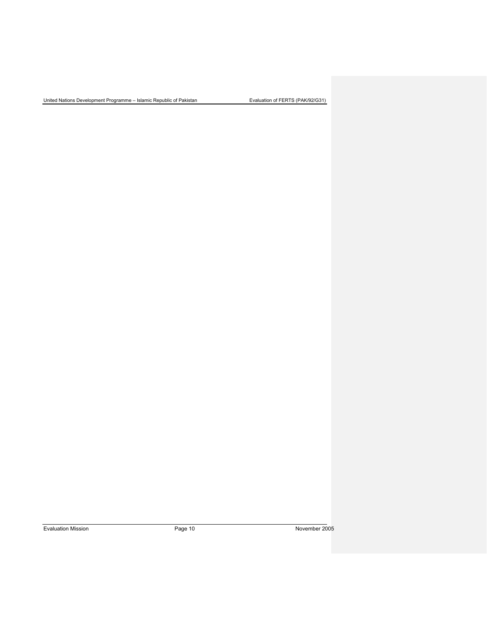United Nations Development Programme – Islamic Republic of Pakistan Evaluation of FERTS (PAK/92/G31)

Evaluation Mission **Page 10** Page 10 November 2005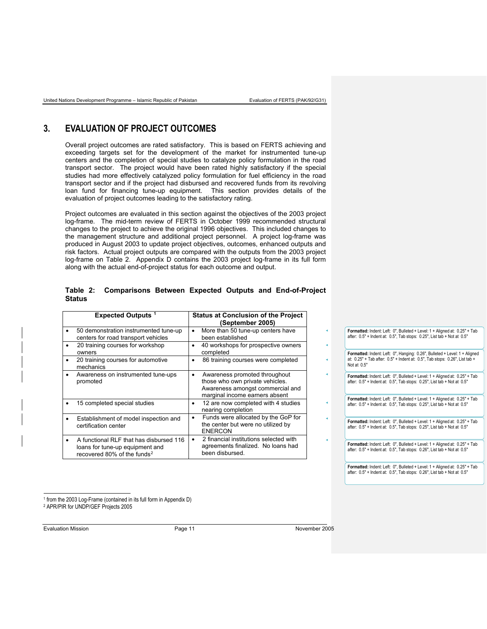## **3. EVALUATION OF PROJECT OUTCOMES**

Overall project outcomes are rated satisfactory. This is based on FERTS achieving and exceeding targets set for the development of the market for instrumented tune-up centers and the completion of special studies to catalyze policy formulation in the road transport sector. The project would have been rated highly satisfactory if the special studies had more effectively catalyzed policy formulation for fuel efficiency in the road transport sector and if the project had disbursed and recovered funds from its revolving loan fund for financing tune-up equipment. This section provides details of the evaluation of project outcomes leading to the satisfactory rating.

Project outcomes are evaluated in this section against the objectives of the 2003 project log-frame. The mid-term review of FERTS in October 1999 recommended structural changes to the project to achieve the original 1996 objectives. This included changes to the management structure and additional project personnel. A project log-frame was produced in August 2003 to update project objectives, outcomes, enhanced outputs and risk factors. Actual project outputs are compared with the outputs from the 2003 project log-frame on Table 2. Appendix D contains the 2003 project log-frame in its full form along with the actual end-of-project status for each outcome and output.

|               |  |  | Table 2: Comparisons Between Expected Outputs and End-of-Project |
|---------------|--|--|------------------------------------------------------------------|
| <b>Status</b> |  |  |                                                                  |

| <b>Expected Outputs</b> <sup>1</sup>                                                                                  | <b>Status at Conclusion of the Project</b><br>(September 2005)                                                                              |
|-----------------------------------------------------------------------------------------------------------------------|---------------------------------------------------------------------------------------------------------------------------------------------|
| 50 demonstration instrumented tune-up<br>centers for road transport vehicles                                          | More than 50 tune-up centers have<br>$\bullet$<br>been established                                                                          |
| 20 training courses for workshop<br>owners                                                                            | 40 workshops for prospective owners<br>completed                                                                                            |
| 20 training courses for automotive<br>mechanics                                                                       | 86 training courses were completed                                                                                                          |
| Awareness on instrumented tune-ups<br>promoted                                                                        | Awareness promoted throughout<br>٠<br>those who own private vehicles.<br>Awareness amongst commercial and<br>marginal income earners absent |
| 15 completed special studies                                                                                          | 12 are now completed with 4 studies<br>٠<br>nearing completion                                                                              |
| Establishment of model inspection and<br>certification center                                                         | Funds were allocated by the GoP for<br>٠<br>the center but were no utilized by<br><b>ENERCON</b>                                            |
| A functional RLF that has disbursed 116<br>loans for tune-up equipment and<br>recovered 80% of the funds <sup>2</sup> | 2 financial institutions selected with<br>agreements finalized. No loans had<br>been disbursed.                                             |

<sup>1</sup> from the 2003 Log-Frame (contained in its full form in Appendix D) <sup>2</sup> APR/PIR for UNDP/GEF Projects 2005

<span id="page-24-1"></span><span id="page-24-0"></span>Evaluation Mission Page 11 November 2005

.

**Formatted:** Indent: Left: 0", Bulleted + Level: 1 + Aligned at: 0.25" + Tab after: 0.5" + Indent at: 0.5", Tab stops: 0.25", List tab + Not at 0.5"

**Formatted:** Indent: Left: 0", Hanging: 0.26", Bulleted + Level: 1 + Aligned at: 0.25" + Tab after: 0.5" + Indent at: 0.5", Tab stops: 0.26", List tab +

**Formatted:** Indent: Left: 0", Bulleted + Level: 1 + Aligned at: 0.25" + Tab after: 0.5" + Indent at: 0.5", Tab stops: 0.25", List tab + Not at 0.5"

**Formatted:** Indent: Left: 0", Bulleted + Level: 1 + Aligned at: 0.25" + Tab after: 0.5" + Indent at: 0.5", Tab stops: 0.25", List tab + Not at 0.5"

**Formatted:** Indent: Left: 0", Bulleted + Level: 1 + Aligned at: 0.25" + Tab after: 0.5" + Indent at: 0.5", Tab stops: 0.25", List tab + Not at 0.5"

**Formatted:** Indent: Left: 0", Bulleted + Level: 1 + Aligned at: 0.25" + Tab after: 0.5" + Indent at: 0.5", Tab stops: 0.26", List tab + Not at 0.5"

**Formatted:** Indent: Left: 0", Bulleted + Level: 1 + Aligned at: 0.25" + Tab after: 0.5" + Indent at: 0.5", Tab stops: 0.26", List tab + Not at 0.5"

Not at 0.5"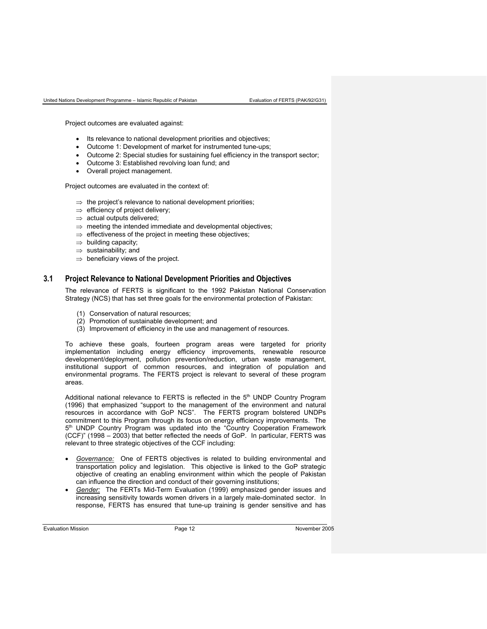Project outcomes are evaluated against:

- Its relevance to national development priorities and objectives;
- Outcome 1: Development of market for instrumented tune-ups;
- Outcome 2: Special studies for sustaining fuel efficiency in the transport sector;
- Outcome 3: Established revolving loan fund; and
- Overall project management.

Project outcomes are evaluated in the context of:

- $\Rightarrow$  the project's relevance to national development priorities;
- ⇒ efficiency of project delivery;
- ⇒ actual outputs delivered;
- $\Rightarrow$  meeting the intended immediate and developmental objectives;
- $\Rightarrow$  effectiveness of the project in meeting these objectives;
- $\Rightarrow$  building capacity;
- ⇒ sustainability; and
- $\Rightarrow$  beneficiary views of the project.

## **3.1 Project Relevance to National Development Priorities and Objectives**

The relevance of FERTS is significant to the 1992 Pakistan National Conservation Strategy (NCS) that has set three goals for the environmental protection of Pakistan:

- (1) Conservation of natural resources;
- (2) Promotion of sustainable development; and
- (3) Improvement of efficiency in the use and management of resources.

To achieve these goals, fourteen program areas were targeted for priority implementation including energy efficiency improvements, renewable resource development/deployment, pollution prevention/reduction, urban waste management, institutional support of common resources, and integration of population and environmental programs. The FERTS project is relevant to several of these program areas.

Additional national relevance to FERTS is reflected in the  $5<sup>th</sup>$  UNDP Country Program (1996) that emphasized "support to the management of the environment and natural resources in accordance with GoP NCS". The FERTS program bolstered UNDPs commitment to this Program through its focus on energy efficiency improvements. The 5<sup>th</sup> UNDP Country Program was updated into the "Country Cooperation Framework (CCF)" (1998 – 2003) that better reflected the needs of GoP. In particular, FERTS was relevant to three strategic objectives of the CCF including:

- *Governance:* One of FERTS objectives is related to building environmental and transportation policy and legislation. This objective is linked to the GoP strategic objective of creating an enabling environment within which the people of Pakistan can influence the direction and conduct of their governing institutions;
- *Gender:* The FERTs Mid-Term Evaluation (1999) emphasized gender issues and increasing sensitivity towards women drivers in a largely male-dominated sector. In response, FERTS has ensured that tune-up training is gender sensitive and has

Evaluation Mission Page 12 November 2005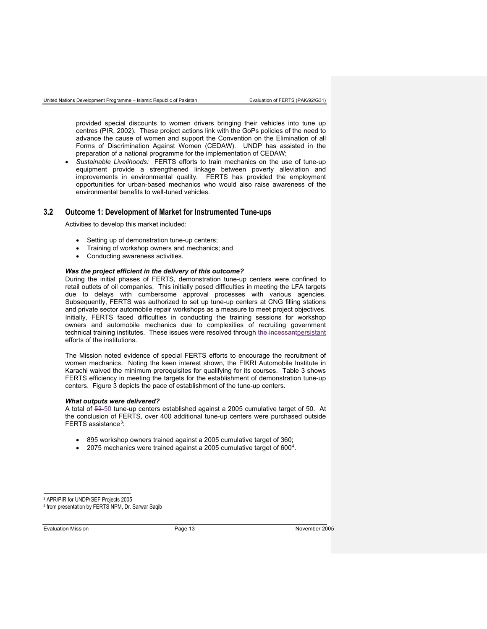provided special discounts to women drivers bringing their vehicles into tune up centres (PIR, 2002). These project actions link with the GoPs policies of the need to advance the cause of women and support the Convention on the Elimination of all Forms of Discrimination Against Women (CEDAW). UNDP has assisted in the preparation of a national programme for the implementation of CEDAW;

• *Sustainable Livelihoods:* FERTS efforts to train mechanics on the use of tune-up equipment provide a strengthened linkage between poverty alleviation and improvements in environmental quality. FERTS has provided the employment opportunities for urban-based mechanics who would also raise awareness of the environmental benefits to well-tuned vehicles.

#### **3.2 Outcome 1: Development of Market for Instrumented Tune-ups**

Activities to develop this market included:

- Setting up of demonstration tune-up centers;
- Training of workshop owners and mechanics; and
- Conducting awareness activities.

#### *Was the project efficient in the delivery of this outcome?*

During the initial phases of FERTS, demonstration tune-up centers were confined to retail outlets of oil companies. This initially posed difficulties in meeting the LFA targets due to delays with cumbersome approval processes with various agencies. Subsequently, FERTS was authorized to set up tune-up centers at CNG filling stations and private sector automobile repair workshops as a measure to meet project objectives. Initially, FERTS faced difficulties in conducting the training sessions for workshop owners and automobile mechanics due to complexities of recruiting government technical training institutes. These issues were resolved through the incessant persistant efforts of the institutions.

The Mission noted evidence of special FERTS efforts to encourage the recruitment of women mechanics. Noting the keen interest shown, the FIKRI Automobile Institute in Karachi waived the minimum prerequisites for qualifying for its courses. Table 3 shows FERTS efficiency in meeting the targets for the establishment of demonstration tune-up centers. Figure 3 depicts the pace of establishment of the tune-up centers.

#### *What outputs were delivered?*

A total of 53 50 tune-up centers established against a 2005 cumulative target of 50. At the conclusion of FERTS, over 400 additional tune-up centers were purchased outside FERTS assistance<sup>[3](#page-26-0)</sup>:

- 895 workshop owners trained against a 2005 cumulative target of 360;
- $\bullet$  2075 mechanics were trained against a 2005 cumulative target of 600<sup>[4](#page-26-1)</sup>.

<span id="page-26-1"></span><span id="page-26-0"></span>Evaluation Mission Page 13 November 2005

.

<sup>3</sup> APR/PIR for UNDP/GEF Projects 2005

<sup>4</sup> from presentation by FERTS NPM, Dr. Sarwar Saqib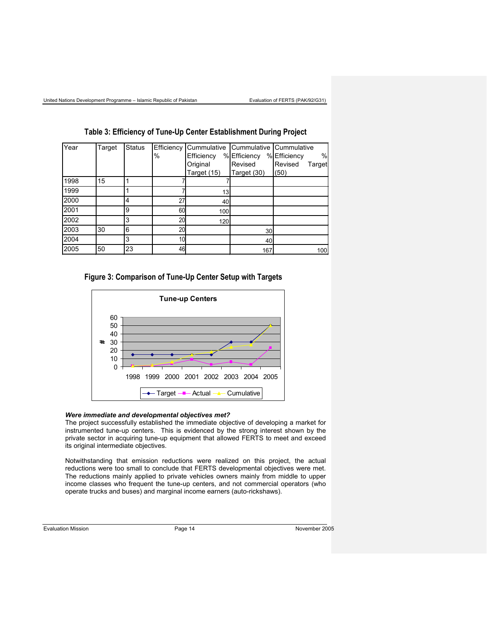| Year | Target | Status | Efficiency      | Cummulative | Cummulative Cummulative |                          |
|------|--------|--------|-----------------|-------------|-------------------------|--------------------------|
|      |        |        | $\%$            | Efficiency  | % Efficiency            | %<br>% Efficiency        |
|      |        |        |                 | Original    | Revised                 | Revised<br><b>Target</b> |
|      |        |        |                 | Target (15) | Target (30)             | (50)                     |
| 1998 | 15     |        |                 |             |                         |                          |
| 1999 |        |        |                 | 13          |                         |                          |
| 2000 |        | 4      | 27              | 40          |                         |                          |
| 2001 |        | 9      | 60              | 100         |                         |                          |
| 2002 |        | 3      | 20              | 120         |                         |                          |
| 2003 | 30     | 6      | 20              |             | 30 <sup>1</sup>         |                          |
| 2004 |        | 3      | 10 <sub>l</sub> |             | 40                      |                          |
| 2005 | 50     | 23     | 46              |             | 167                     | 100                      |

## **Table 3: Efficiency of Tune-Up Center Establishment During Project**

**Figure 3: Comparison of Tune-Up Center Setup with Targets**



#### *Were immediate and developmental objectives met?*

The project successfully established the immediate objective of developing a market for instrumented tune-up centers. This is evidenced by the strong interest shown by the private sector in acquiring tune-up equipment that allowed FERTS to meet and exceed its original intermediate objectives.

Notwithstanding that emission reductions were realized on this project, the actual reductions were too small to conclude that FERTS developmental objectives were met. The reductions mainly applied to private vehicles owners mainly from middle to upper income classes who frequent the tune-up centers, and not commercial operators (who operate trucks and buses) and marginal income earners (auto-rickshaws).

Evaluation Mission Page 14 November 2005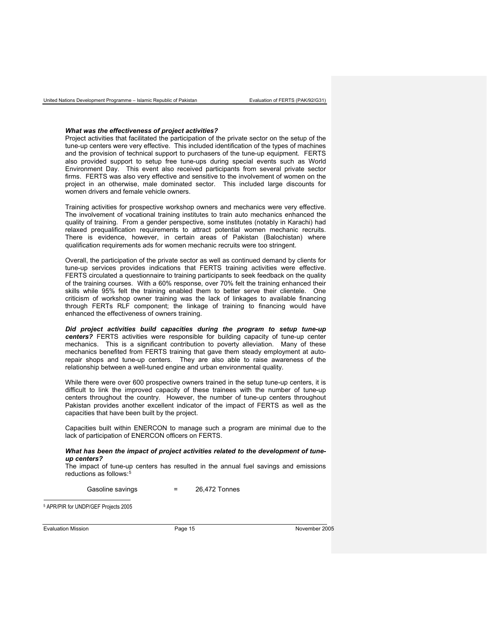#### *What was the effectiveness of project activities?*

Project activities that facilitated the participation of the private sector on the setup of the tune-up centers were very effective. This included identification of the types of machines and the provision of technical support to purchasers of the tune-up equipment. FERTS also provided support to setup free tune-ups during special events such as World Environment Day. This event also received participants from several private sector firms. FERTS was also very effective and sensitive to the involvement of women on the project in an otherwise, male dominated sector. This included large discounts for women drivers and female vehicle owners.

Training activities for prospective workshop owners and mechanics were very effective. The involvement of vocational training institutes to train auto mechanics enhanced the quality of training. From a gender perspective, some institutes (notably in Karachi) had relaxed prequalification requirements to attract potential women mechanic recruits. There is evidence, however, in certain areas of Pakistan (Balochistan) where qualification requirements ads for women mechanic recruits were too stringent.

Overall, the participation of the private sector as well as continued demand by clients for tune-up services provides indications that FERTS training activities were effective. FERTS circulated a questionnaire to training participants to seek feedback on the quality of the training courses. With a 60% response, over 70% felt the training enhanced their skills while 95% felt the training enabled them to better serve their clientele. One criticism of workshop owner training was the lack of linkages to available financing through FERTs RLF component; the linkage of training to financing would have enhanced the effectiveness of owners training.

*Did project activities build capacities during the program to setup tune-up centers?* FERTS activities were responsible for building capacity of tune-up center mechanics. This is a significant contribution to poverty alleviation. Many of these mechanics benefited from FERTS training that gave them steady employment at autorepair shops and tune-up centers. They are also able to raise awareness of the relationship between a well-tuned engine and urban environmental quality.

While there were over 600 prospective owners trained in the setup tune-up centers, it is difficult to link the improved capacity of these trainees with the number of tune-up centers throughout the country. However, the number of tune-up centers throughout Pakistan provides another excellent indicator of the impact of FERTS as well as the capacities that have been built by the project.

Capacities built within ENERCON to manage such a program are minimal due to the lack of participation of ENERCON officers on FERTS.

#### *What has been the impact of project activities related to the development of tuneup centers?*

The impact of tune-up centers has resulted in the annual fuel savings and emissions reductions as follows:<sup>[5](#page-28-0)</sup>

Gasoline savings = 26,472 Tonnes

<sup>5</sup> APR/PIR for UNDP/GEF Projects 2005

<span id="page-28-0"></span>Evaluation Mission Page 15 November 2005

1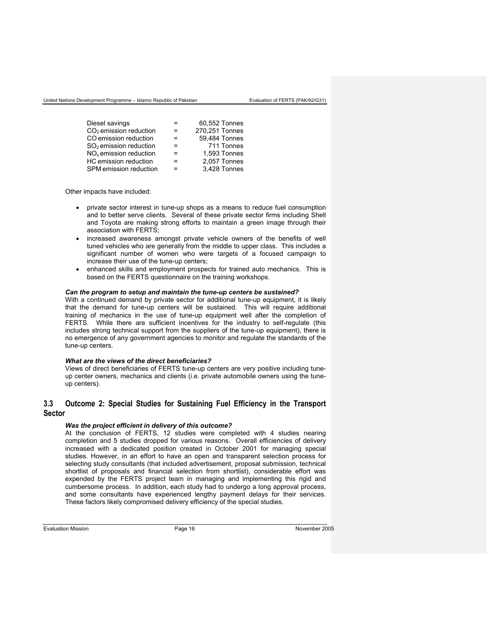United Nations Development Programme – Islamic Republic of Pakistan France Content Evaluation of FERTS (PAK/92/G31)

| Diesel savings                     | $=$ | 60,552 Tonnes  |
|------------------------------------|-----|----------------|
| CO <sub>2</sub> emission reduction | $=$ | 270.251 Tonnes |
| CO emission reduction              | Ξ   | 59.484 Tonnes  |
| SO <sub>2</sub> emission reduction | =   | 711 Tonnes     |
| NO <sub>x</sub> emission reduction | =   | 1.593 Tonnes   |
| <b>HC</b> emission reduction       | =   | 2.057 Tonnes   |
| SPM emission reduction             | =   | 3,428 Tonnes   |

Other impacts have included:

- private sector interest in tune-up shops as a means to reduce fuel consumption and to better serve clients. Several of these private sector firms including Shell and Toyota are making strong efforts to maintain a green image through their association with FERTS;
- increased awareness amongst private vehicle owners of the benefits of well tuned vehicles who are generally from the middle to upper class. This includes a significant number of women who were targets of a focused campaign to increase their use of the tune-up centers;
- enhanced skills and employment prospects for trained auto mechanics. This is based on the FERTS questionnaire on the training workshops.

#### *Can the program to setup and maintain the tune-up centers be sustained?*

With a continued demand by private sector for additional tune-up equipment, it is likely that the demand for tune-up centers will be sustained. This will require additional training of mechanics in the use of tune-up equipment well after the completion of FERTS. While there are sufficient incentives for the industry to self-regulate (this includes strong technical support from the suppliers of the tune-up equipment), there is no emergence of any government agencies to monitor and regulate the standards of the tune-up centers.

#### *What are the views of the direct beneficiaries?*

Views of direct beneficiaries of FERTS tune-up centers are very positive including tuneup center owners, mechanics and clients (i.e. private automobile owners using the tuneup centers).

## **3.3 Outcome 2: Special Studies for Sustaining Fuel Efficiency in the Transport Sector**

#### *Was the project efficient in delivery of this outcome?*

At the conclusion of FERTS, 12 studies were completed with 4 studies nearing completion and 5 studies dropped for various reasons. Overall efficiencies of delivery increased with a dedicated position created in October 2001 for managing special studies. However, in an effort to have an open and transparent selection process for selecting study consultants (that included advertisement, proposal submission, technical shortlist of proposals and financial selection from shortlist), considerable effort was expended by the FERTS project team in managing and implementing this rigid and cumbersome process. In addition, each study had to undergo a long approval process, and some consultants have experienced lengthy payment delays for their services. These factors likely compromised delivery efficiency of the special studies.

Evaluation Mission Page 16 November 2005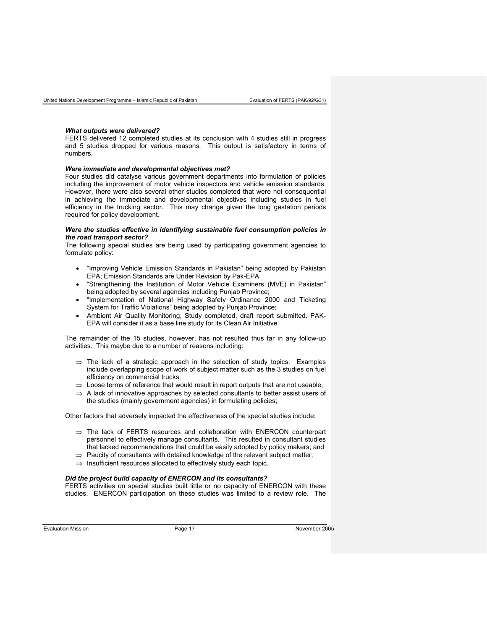#### *What outputs were delivered?*

FERTS delivered 12 completed studies at its conclusion with 4 studies still in progress and 5 studies dropped for various reasons. This output is satisfactory in terms of numbers.

#### *Were immediate and developmental objectives met?*

Four studies did catalyse various government departments into formulation of policies including the improvement of motor vehicle inspectors and vehicle emission standards. However, there were also several other studies completed that were not consequential in achieving the immediate and developmental objectives including studies in fuel efficiency in the trucking sector. This may change given the long gestation periods required for policy development.

#### *Were the studies effective in identifying sustainable fuel consumption policies in the road transport sector?*

The following special studies are being used by participating government agencies to formulate policy:

- "Improving Vehicle Emission Standards in Pakistan" being adopted by Pakistan EPA; Emission Standards are Under Revision by Pak-EPA
- "Strengthening the Institution of Motor Vehicle Examiners (MVE) in Pakistan" being adopted by several agencies including Punjab Province;
- "Implementation of National Highway Safety Ordinance 2000 and Ticketing System for Traffic Violations" being adopted by Punjab Province;
- Ambient Air Quality Monitoring, Study completed, draft report submitted. PAK-EPA will consider it as a base line study for its Clean Air Initiative.

The remainder of the 15 studies, however, has not resulted thus far in any follow-up activities. This maybe due to a number of reasons including:

- ⇒ The lack of a strategic approach in the selection of study topics. Examples include overlapping scope of work of subject matter such as the 3 studies on fuel efficiency on commercial trucks;
- $\Rightarrow$  Loose terms of reference that would result in report outputs that are not useable;
- ⇒ A lack of innovative approaches by selected consultants to better assist users of the studies (mainly government agencies) in formulating policies;

Other factors that adversely impacted the effectiveness of the special studies include:

- ⇒ The lack of FERTS resources and collaboration with ENERCON counterpart personnel to effectively manage consultants. This resulted in consultant studies that lacked recommendations that could be easily adopted by policy makers; and
- $\Rightarrow$  Paucity of consultants with detailed knowledge of the relevant subject matter;
- ⇒ Insufficient resources allocated to effectively study each topic.

#### *Did the project build capacity of ENERCON and its consultants?*

FERTS activities on special studies built little or no capacity of ENERCON with these studies. ENERCON participation on these studies was limited to a review role. The

Evaluation Mission Page 17 November 2005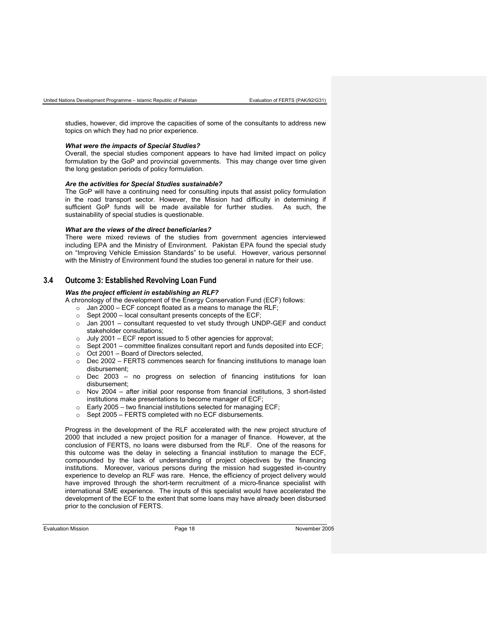studies, however, did improve the capacities of some of the consultants to address new topics on which they had no prior experience.

#### *What were the impacts of Special Studies?*

Overall, the special studies component appears to have had limited impact on policy formulation by the GoP and provincial governments. This may change over time given the long gestation periods of policy formulation.

#### *Are the activities for Special Studies sustainable?*

The GoP will have a continuing need for consulting inputs that assist policy formulation in the road transport sector. However, the Mission had difficulty in determining if sufficient GoP funds will be made available for further studies. As such, the sustainability of special studies is questionable.

#### *What are the views of the direct beneficiaries?*

There were mixed reviews of the studies from government agencies interviewed including EPA and the Ministry of Environment. Pakistan EPA found the special study on "Improving Vehicle Emission Standards" to be useful. However, various personnel with the Ministry of Environment found the studies too general in nature for their use.

### **3.4 Outcome 3: Established Revolving Loan Fund**

#### *Was the project efficient in establishing an RLF?*

A chronology of the development of the Energy Conservation Fund (ECF) follows:

- $\circ$  Jan 2000 ECF concept floated as a means to manage the RLF;
- $\circ$  Sept 2000 local consultant presents concepts of the ECF;
- $\circ$  Jan 2001 consultant requested to vet study through UNDP-GEF and conduct stakeholder consultations;
- o July 2001 ECF report issued to 5 other agencies for approval;
- $\circ$  Sept 2001 committee finalizes consultant report and funds deposited into ECF;
- o Oct 2001 Board of Directors selected,
- $\circ$  Dec 2002 FERTS commences search for financing institutions to manage loan disbursement;
- o Dec 2003 no progress on selection of financing institutions for loan disbursement;
- o Nov 2004 after initial poor response from financial institutions, 3 short-listed institutions make presentations to become manager of ECF;
- Early 2005 two financial institutions selected for managing ECF;<br>○ Sept 2005 FFRTS completed with no FCF disbursements
- Sept 2005 FERTS completed with no ECF disbursements.

Progress in the development of the RLF accelerated with the new project structure of 2000 that included a new project position for a manager of finance. However, at the conclusion of FERTS, no loans were disbursed from the RLF. One of the reasons for this outcome was the delay in selecting a financial institution to manage the ECF, compounded by the lack of understanding of project objectives by the financing institutions. Moreover, various persons during the mission had suggested in-country experience to develop an RLF was rare. Hence, the efficiency of project delivery would have improved through the short-term recruitment of a micro-finance specialist with international SME experience. The inputs of this specialist would have accelerated the development of the ECF to the extent that some loans may have already been disbursed prior to the conclusion of FERTS.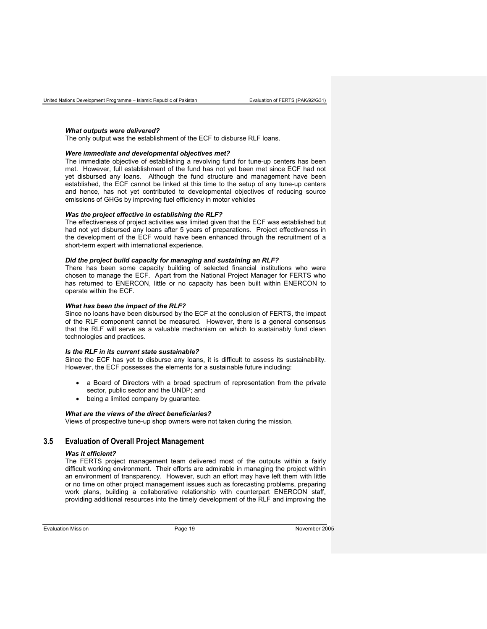#### *What outputs were delivered?*

The only output was the establishment of the ECF to disburse RLF loans.

#### *Were immediate and developmental objectives met?*

The immediate objective of establishing a revolving fund for tune-up centers has been met. However, full establishment of the fund has not yet been met since ECF had not yet disbursed any loans. Although the fund structure and management have been established, the ECF cannot be linked at this time to the setup of any tune-up centers and hence, has not yet contributed to developmental objectives of reducing source emissions of GHGs by improving fuel efficiency in motor vehicles

#### *Was the project effective in establishing the RLF?*

The effectiveness of project activities was limited given that the ECF was established but had not yet disbursed any loans after 5 years of preparations. Project effectiveness in the development of the ECF would have been enhanced through the recruitment of a short-term expert with international experience.

#### *Did the project build capacity for managing and sustaining an RLF?*

There has been some capacity building of selected financial institutions who were chosen to manage the ECF. Apart from the National Project Manager for FERTS who has returned to ENERCON, little or no capacity has been built within ENERCON to operate within the ECF.

#### *What has been the impact of the RLF?*

Since no loans have been disbursed by the ECF at the conclusion of FERTS, the impact of the RLF component cannot be measured. However, there is a general consensus that the RLF will serve as a valuable mechanism on which to sustainably fund clean technologies and practices.

#### *Is the RLF in its current state sustainable?*

Since the ECF has yet to disburse any loans, it is difficult to assess its sustainability. However, the ECF possesses the elements for a sustainable future including:

- a Board of Directors with a broad spectrum of representation from the private sector, public sector and the UNDP; and
- being a limited company by guarantee.

#### *What are the views of the direct beneficiaries?*

Views of prospective tune-up shop owners were not taken during the mission.

## **3.5 Evaluation of Overall Project Management**

### *Was it efficient?*

The FERTS project management team delivered most of the outputs within a fairly difficult working environment. Their efforts are admirable in managing the project within an environment of transparency. However, such an effort may have left them with little or no time on other project management issues such as forecasting problems, preparing work plans, building a collaborative relationship with counterpart ENERCON staff, providing additional resources into the timely development of the RLF and improving the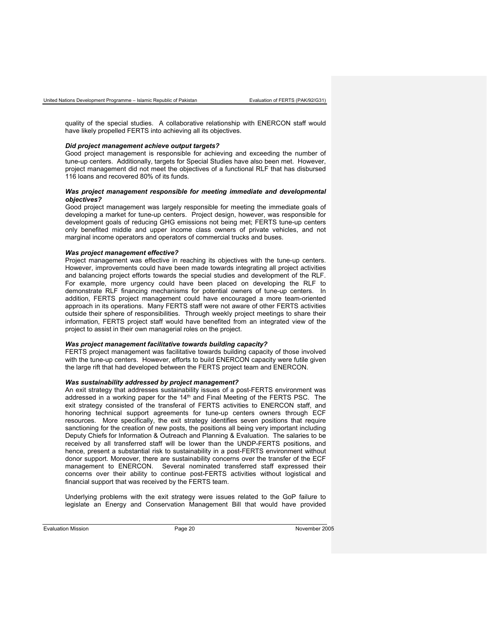quality of the special studies. A collaborative relationship with ENERCON staff would have likely propelled FERTS into achieving all its objectives.

#### *Did project management achieve output targets?*

Good project management is responsible for achieving and exceeding the number of tune-up centers. Additionally, targets for Special Studies have also been met. However, project management did not meet the objectives of a functional RLF that has disbursed 116 loans and recovered 80% of its funds.

#### *Was project management responsible for meeting immediate and developmental objectives?*

Good project management was largely responsible for meeting the immediate goals of developing a market for tune-up centers. Project design, however, was responsible for development goals of reducing GHG emissions not being met; FERTS tune-up centers only benefited middle and upper income class owners of private vehicles, and not marginal income operators and operators of commercial trucks and buses.

#### *Was project management effective?*

Project management was effective in reaching its objectives with the tune-up centers. However, improvements could have been made towards integrating all project activities and balancing project efforts towards the special studies and development of the RLF. For example, more urgency could have been placed on developing the RLF to demonstrate RLF financing mechanisms for potential owners of tune-up centers. In addition, FERTS project management could have encouraged a more team-oriented approach in its operations. Many FERTS staff were not aware of other FERTS activities outside their sphere of responsibilities. Through weekly project meetings to share their information, FERTS project staff would have benefited from an integrated view of the project to assist in their own managerial roles on the project.

#### *Was project management facilitative towards building capacity?*

FERTS project management was facilitative towards building capacity of those involved with the tune-up centers. However, efforts to build ENERCON capacity were futile given the large rift that had developed between the FERTS project team and ENERCON.

#### *Was sustainability addressed by project management?*

An exit strategy that addresses sustainability issues of a post-FERTS environment was addressed in a working paper for the 14<sup>th</sup> and Final Meeting of the FERTS PSC. The exit strategy consisted of the transferal of FERTS activities to ENERCON staff, and honoring technical support agreements for tune-up centers owners through ECF resources. More specifically, the exit strategy identifies seven positions that require sanctioning for the creation of new posts, the positions all being very important including Deputy Chiefs for Information & Outreach and Planning & Evaluation. The salaries to be received by all transferred staff will be lower than the UNDP-FERTS positions, and hence, present a substantial risk to sustainability in a post-FERTS environment without donor support. Moreover, there are sustainability concerns over the transfer of the ECF management to ENERCON. Several nominated transferred staff expressed their concerns over their ability to continue post-FERTS activities without logistical and financial support that was received by the FERTS team.

Underlying problems with the exit strategy were issues related to the GoP failure to legislate an Energy and Conservation Management Bill that would have provided

Evaluation Mission Page 20 November 2005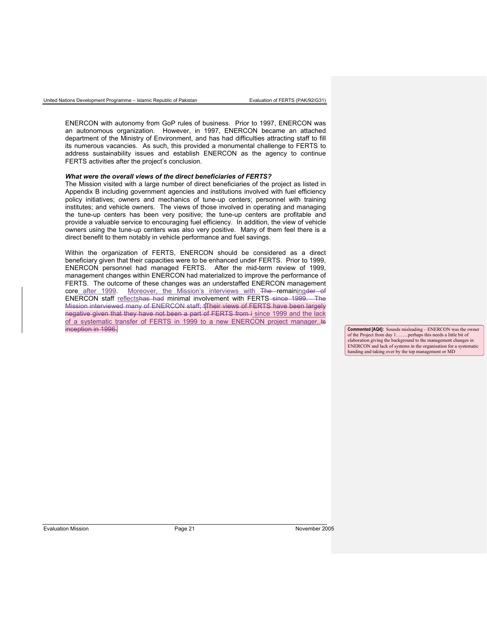ENERCON with autonomy from GoP rules of business. Prior to 1997, ENERCON was an autonomous organization. However, in 1997, ENERCON became an attached department of the Ministry of Environment, and has had difficulties attracting staff to fill its numerous vacancies. As such, this provided a monumental challenge to FERTS to address sustainability issues and establish ENERCON as the agency to continue FERTS activities after the project's conclusion.

#### *What were the overall views of the direct beneficiaries of FERTS?*

The Mission visited with a large number of direct beneficiaries of the project as listed in Appendix B including government agencies and institutions involved with fuel efficiency policy initiatives; owners and mechanics of tune-up centers; personnel with training institutes; and vehicle owners. The views of those involved in operating and managing the tune-up centers has been very positive; the tune-up centers are profitable and provide a valuable service to encouraging fuel efficiency. In addition, the view of vehicle owners using the tune-up centers was also very positive. Many of them feel there is a direct benefit to them notably in vehicle performance and fuel savings.

Within the organization of FERTS, ENERCON should be considered as a direct beneficiary given that their capacities were to be enhanced under FERTS. Prior to 1999, ENERCON personnel had managed FERTS. After the mid-term review of 1999, management changes within ENERCON had materialized to improve the performance of FERTS. The outcome of these changes was an understaffed ENERCON management core after 1999. Moreover, the Mission's interviews with The-remaining der-Moreover, the Mission's interviews with The remainingder of ENERCON staff reflectshas had minimal involvement with FERTS since 1999. The Mission interviewed many of ENERCON staff; t<mark>Their views of FERTS have been largely</mark> negative given that they have not been a part of FERTS from i since 1999 and the lack of a systematic transfer of FERTS in 1999 to a new ENERCON project manager... to incorpor-

**Commented [AQ4]:** Sounds misleading – ENERCON was the owner of the Project from day 1……..perhaps this needs a little bit of elaboration giving the background to the management changes in ENERCON and lack of systems in the organisation for a systematic handing and taking over by the top management or MD

Evaluation Mission Page 21 November 2005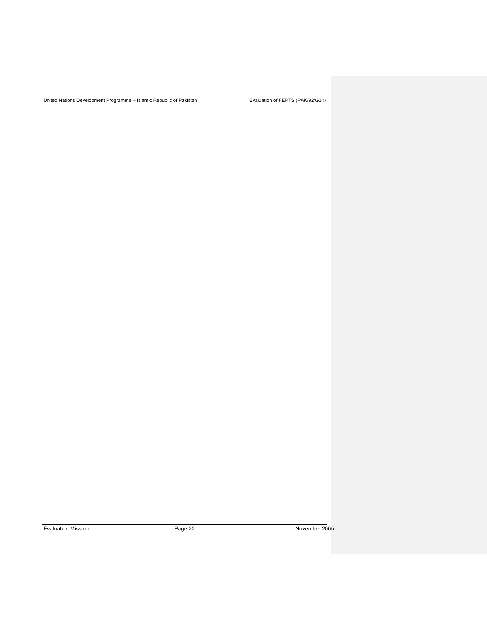United Nations Development Programme – Islamic Republic of Pakistan Evaluation of FERTS (PAK/92/G31)

Evaluation Mission **Page 22** November 2005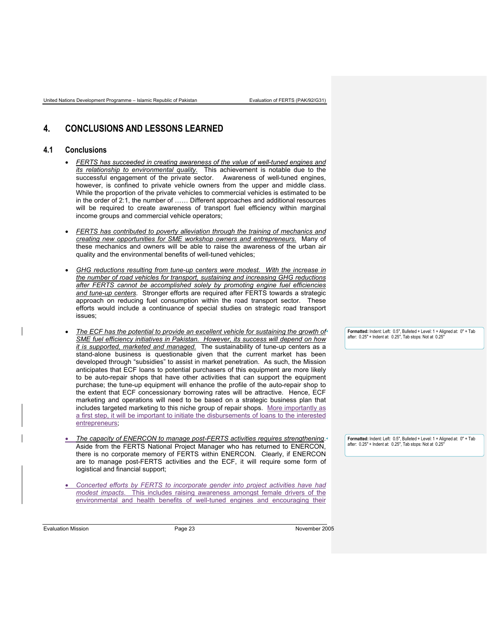# **4. CONCLUSIONS AND LESSONS LEARNED**

# **4.1 Conclusions**

- *FERTS has succeeded in creating awareness of the value of well-tuned engines and its relationship to environmental quality.* This achievement is notable due to the successful engagement of the private sector. Awareness of well-tuned engines, however, is confined to private vehicle owners from the upper and middle class. While the proportion of the private vehicles to commercial vehicles is estimated to be in the order of 2:1, the number of …… Different approaches and additional resources will be required to create awareness of transport fuel efficiency within marginal income groups and commercial vehicle operators;
- *FERTS has contributed to poverty alleviation through the training of mechanics and creating new opportunities for SME workshop owners and entrepreneurs.* Many of these mechanics and owners will be able to raise the awareness of the urban air quality and the environmental benefits of well-tuned vehicles;
- *GHG reductions resulting from tune-up centers were modest. With the increase in the number of road vehicles for transport, sustaining and increasing GHG reductions after FERTS cannot be accomplished solely by promoting engine fuel efficiencies and tune-up centers*. Stronger efforts are required after FERTS towards a strategic approach on reducing fuel consumption within the road transport sector. These efforts would include a continuance of special studies on strategic road transport issues;
- *The ECF has the potential to provide an excellent vehicle for sustaining the growth of SME fuel efficiency initiatives in Pakistan. However, its success will depend on how it is supported, marketed and managed.* The sustainability of tune-up centers as a stand-alone business is questionable given that the current market has been developed through "subsidies" to assist in market penetration. As such, the Mission anticipates that ECF loans to potential purchasers of this equipment are more likely to be auto-repair shops that have other activities that can support the equipment purchase; the tune-up equipment will enhance the profile of the auto-repair shop to the extent that ECF concessionary borrowing rates will be attractive. Hence, ECF marketing and operations will need to be based on a strategic business plan that includes targeted marketing to this niche group of repair shops. More importantly as a first step, it will be important to initiate the disbursements of loans to the interested entrepreneurs;
- *The capacity of ENERCON to manage post-FERTS activities requires strengthening*. Aside from the FERTS National Project Manager who has returned to ENERCON, there is no corporate memory of FERTS within ENERCON. Clearly, if ENERCON are to manage post-FERTS activities and the ECF, it will require some form of logistical and financial support;
- *Concerted efforts by FERTS to incorporate gender into project activities have had modest impacts*. This includes raising awareness amongst female drivers of the environmental and health benefits of well-tuned engines and encouraging their

**Formatted:** Indent: Left: 0.5", Bulleted + Level: 1 + Aligned at: 0" + Tab after: 0.25" + Indent at: 0.25", Tab stops: Not at 0.25"

**Formatted:** Indent: Left: 0.5", Bulleted + Level: 1 + Aligned at: 0" + Tab after: 0.25" + Indent at: 0.25", Tab stops: Not at 0.25"

Evaluation Mission Page 23 November 2005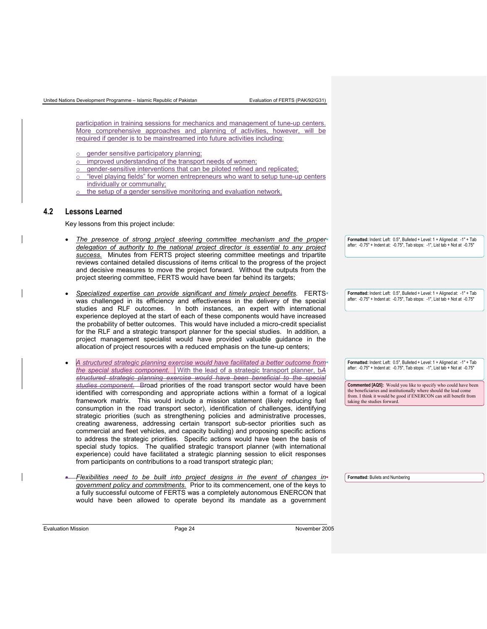participation in training sessions for mechanics and management of tune-up centers. More comprehensive approaches and planning of activities, however, will be

required if gender is to be mainstreamed into future activities including:

Evaluation Mission Page 24 November 2005 o gender sensitive participatory planning; o improved understanding of the transport needs of women; o gender-sensitive interventions that can be piloted refined and replicated; "level playing fields" for women entrepreneurs who want to setup tune-up centers individually or communally; the setup of a gender sensitive monitoring and evaluation network. **4.2 Lessons Learned** Key lessons from this project include: • *The presence of strong project steering committee mechanism and the proper delegation of authority to the national project director is essential to any project success.* Minutes from FERTS project steering committee meetings and tripartite reviews contained detailed discussions of items critical to the progress of the project and decisive measures to move the project forward. Without the outputs from the project steering committee, FERTS would have been far behind its targets; • *Specialized expertise can provide significant and timely project benefits.* FERTS was challenged in its efficiency and effectiveness in the delivery of the special studies and RLF outcomes. In both instances, an expert with international experience deployed at the start of each of these components would have increased the probability of better outcomes. This would have included a micro-credit specialist for the RLF and a strategic transport planner for the special studies. In addition, a project management specialist would have provided valuable guidance in the allocation of project resources with a reduced emphasis on the tune-up centers; • *A structured strategic planning exercise would have facilitated a better outcome from the special studies component.* With the lead of a strategic transport planner, b*A structured strategic planning exercise would have been beneficial to the special studies component.* Broad priorities of the road transport sector would have been identified with corresponding and appropriate actions within a format of a logical framework matrix. This would include a mission statement (likely reducing fuel consumption in the road transport sector), identification of challenges, identifying strategic priorities (such as strengthening policies and administrative processes, creating awareness, addressing certain transport sub-sector priorities such as commercial and fleet vehicles, and capacity building) and proposing specific actions to address the strategic priorities. Specific actions would have been the basis of special study topics. The qualified strategic transport planner (with international experience) could have facilitated a strategic planning session to elicit responses from participants on contributions to a road transport strategic plan; • *Flexibilities need to be built into project designs in the event of changes in government policy and commitments.* Prior to its commencement, one of the keys to a fully successful outcome of FERTS was a completely autonomous ENERCON that would have been allowed to operate beyond its mandate as a government **Formatted:** Indent: Left: 0.5", Bulleted + Level: 1 + Aligned at: -1" + Tab after: -0.75" + Indent at: -0.75", Tab stops: -1", List tab + Not at -0.75" **Formatted:** Indent: Left: 0.5", Bulleted + Level: 1 + Aligned at: -1" + Tab after: -0.75" + Indent at: -0.75", Tab stops: -1", List tab + Not at -0.75" **Formatted:** Indent: Left: 0.5", Bulleted + Level: 1 + Aligned at: -1" + Tab after: -0.75" + Indent at: -0.75", Tab stops: -1", List tab + Not at -0.75" **Commented [AQ5]:** Would you like to specify who could have been the beneficiaries and institutionally where should the lead come from. I think it would be good if ENERCON can still benefit from taking the studies forward. **Formatted:** Bullets and Numbering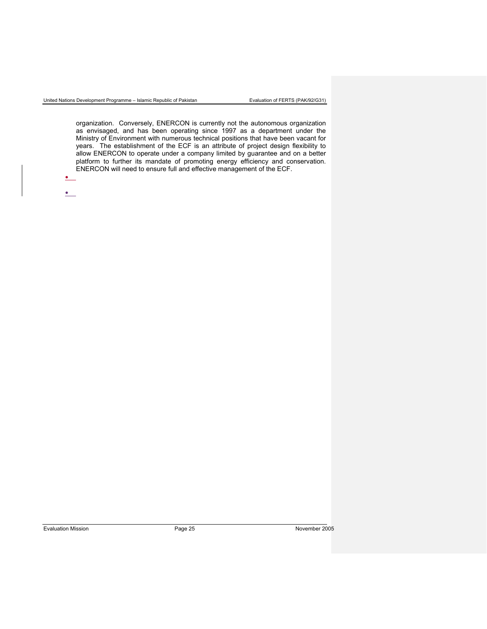organization. Conversely, ENERCON is currently not the autonomous organization as envisaged, and has been operating since 1997 as a department under the Ministry of Environment with numerous technical positions that have been vacant for years. The establishment of the ECF is an attribute of project design flexibility to allow ENERCON to operate under a company limited by guarantee and on a better platform to further its mandate of promoting energy efficiency and conservation. ENERCON will need to ensure full and effective management of the ECF.

•

•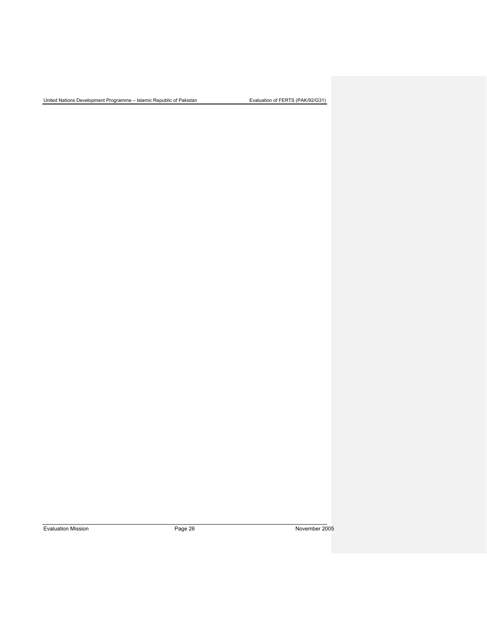Evaluation Mission **Page 26** November 2005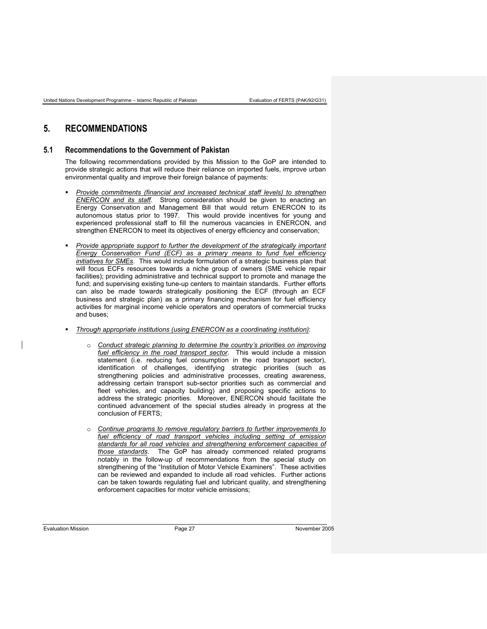# **5. RECOMMENDATIONS**

# **5.1 Recommendations to the Government of Pakistan**

The following recommendations provided by this Mission to the GoP are intended to provide strategic actions that will reduce their reliance on imported fuels, improve urban environmental quality and improve their foreign balance of payments:

- *Provide commitments (financial and increased technical staff levels) to strengthen ENERCON and its staff*. Strong consideration should be given to enacting an Energy Conservation and Management Bill that would return ENERCON to its autonomous status prior to 1997. This would provide incentives for young and experienced professional staff to fill the numerous vacancies in ENERCON, and strengthen ENERCON to meet its objectives of energy efficiency and conservation;
- *Provide appropriate support to further the development of the strategically important Energy Conservation Fund (ECF) as a primary means to fund fuel efficiency initiatives for SMEs*. This would include formulation of a strategic business plan that will focus ECFs resources towards a niche group of owners (SME vehicle repair facilities); providing administrative and technical support to promote and manage the fund; and supervising existing tune-up centers to maintain standards. Further efforts can also be made towards strategically positioning the ECF (through an ECF business and strategic plan) as a primary financing mechanism for fuel efficiency activities for marginal income vehicle operators and operators of commercial trucks and buses;
- *Through appropriate institutions (using ENERCON as a coordinating institution)*:
	- o *Conduct strategic planning to determine the country's priorities on improving fuel efficiency in the road transport sector*. This would include a mission statement (i.e. reducing fuel consumption in the road transport sector), identification of challenges, identifying strategic priorities (such as strengthening policies and administrative processes, creating awareness, addressing certain transport sub-sector priorities such as commercial and fleet vehicles, and capacity building) and proposing specific actions to address the strategic priorities. Moreover, ENERCON should facilitate the continued advancement of the special studies already in progress at the conclusion of FERTS;
	- o *Continue programs to remove regulatory barriers to further improvements to fuel efficiency of road transport vehicles including setting of emission standards for all road vehicles and strengthening enforcement capacities of those standards*. The GoP has already commenced related programs notably in the follow-up of recommendations from the special study on strengthening of the "Institution of Motor Vehicle Examiners". These activities can be reviewed and expanded to include all road vehicles. Further actions can be taken towards regulating fuel and lubricant quality, and strengthening enforcement capacities for motor vehicle emissions;

Evaluation Mission Page 27 November 2005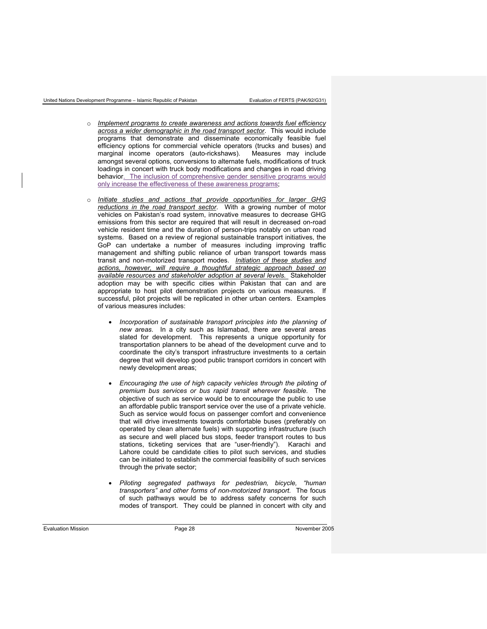- o *Implement programs to create awareness and actions towards fuel efficiency across a wider demographic in the road transport sector*. This would include programs that demonstrate and disseminate economically feasible fuel efficiency options for commercial vehicle operators (trucks and buses) and marginal income operators (auto-rickshaws). Measures may include marginal income operators (auto-rickshaws). amongst several options, conversions to alternate fuels, modifications of truck loadings in concert with truck body modifications and changes in road driving behavior. The inclusion of comprehensive gender sensitive programs would only increase the effectiveness of these awareness programs;
- o *Initiate studies and actions that provide opportunities for larger GHG reductions in the road transport sector*. With a growing number of motor vehicles on Pakistan's road system, innovative measures to decrease GHG emissions from this sector are required that will result in decreased on-road vehicle resident time and the duration of person-trips notably on urban road systems. Based on a review of regional sustainable transport initiatives, the GoP can undertake a number of measures including improving traffic management and shifting public reliance of urban transport towards mass transit and non-motorized transport modes. *Initiation of these studies and actions, however, will require a thoughtful strategic approach based on available resources and stakeholder adoption at several levels.* Stakeholder adoption may be with specific cities within Pakistan that can and are appropriate to host pilot demonstration projects on various measures. If successful, pilot projects will be replicated in other urban centers. Examples of various measures includes:
	- *Incorporation of sustainable transport principles into the planning of new areas*. In a city such as Islamabad, there are several areas slated for development. This represents a unique opportunity for transportation planners to be ahead of the development curve and to coordinate the city's transport infrastructure investments to a certain degree that will develop good public transport corridors in concert with newly development areas;
	- *Encouraging the use of high capacity vehicles through the piloting of premium bus services or bus rapid transit wherever feasible*. The objective of such as service would be to encourage the public to use an affordable public transport service over the use of a private vehicle. Such as service would focus on passenger comfort and convenience that will drive investments towards comfortable buses (preferably on operated by clean alternate fuels) with supporting infrastructure (such as secure and well placed bus stops, feeder transport routes to bus stations, ticketing services that are "user-friendly"). Karachi and Lahore could be candidate cities to pilot such services, and studies can be initiated to establish the commercial feasibility of such services through the private sector;
	- *Piloting segregated pathways for pedestrian, bicycle, "human transporters" and other forms of non*-*motorized transport.* The focus of such pathways would be to address safety concerns for such modes of transport. They could be planned in concert with city and

Evaluation Mission Page 28 November 2005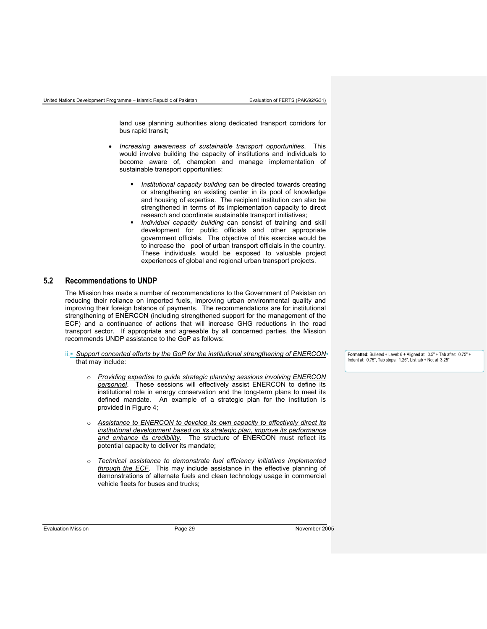land use planning authorities along dedicated transport corridors for bus rapid transit;

- *Increasing awareness of sustainable transport opportunities*. This would involve building the capacity of institutions and individuals to become aware of, champion and manage implementation of sustainable transport opportunities:
	- *Institutional capacity building* can be directed towards creating or strengthening an existing center in its pool of knowledge and housing of expertise. The recipient institution can also be strengthened in terms of its implementation capacity to direct research and coordinate sustainable transport initiatives;
	- *Individual capacity building* can consist of training and skill development for public officials and other appropriate government officials. The objective of this exercise would be to increase the pool of urban transport officials in the country. These individuals would be exposed to valuable project experiences of global and regional urban transport projects.

# **5.2 Recommendations to UNDP**

The Mission has made a number of recommendations to the Government of Pakistan on reducing their reliance on imported fuels, improving urban environmental quality and improving their foreign balance of payments. The recommendations are for institutional strengthening of ENERCON (including strengthened support for the management of the ECF) and a continuance of actions that will increase GHG reductions in the road transport sector. If appropriate and agreeable by all concerned parties, the Mission recommends UNDP assistance to the GoP as follows:

**ii.** Support concerted efforts by the GoP for the institutional strengthening of ENERCON that may include:

- o *Providing expertise to guide strategic planning sessions involving ENERCON personnel*. These sessions will effectively assist ENERCON to define its institutional role in energy conservation and the long-term plans to meet its defined mandate. An example of a strategic plan for the institution is provided in Figure 4;
- o *Assistance to ENERCON to develop its own capacity to effectively direct its institutional development based on its strategic plan, improve its performance and enhance its credibility*. The structure of ENERCON must reflect its potential capacity to deliver its mandate;
- *Technical assistance to demonstrate fuel efficiency initiatives implemented through the ECF*. This may include assistance in the effective planning of demonstrations of alternate fuels and clean technology usage in commercial vehicle fleets for buses and trucks;

**Formatted:** Bulleted + Level: 6 + Aligned at: 0.5" + Tab after: 0.75" + Indent at: 0.75", Tab stops: 1.25", List tab + Not at 3.25"

Evaluation Mission Page 29 November 2005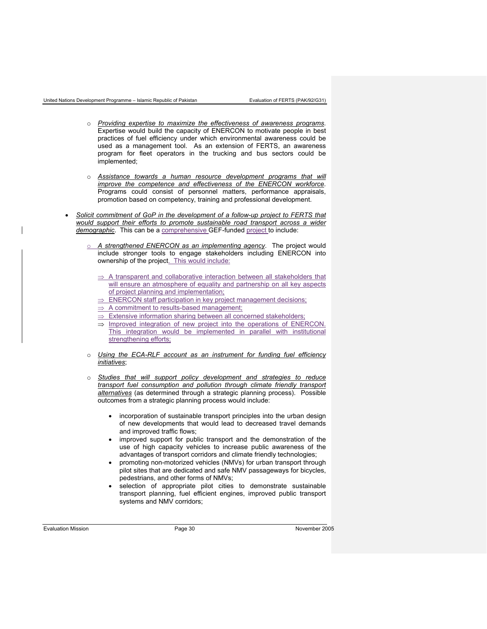- o *Providing expertise to maximize the effectiveness of awareness programs*. Expertise would build the capacity of ENERCON to motivate people in best practices of fuel efficiency under which environmental awareness could be used as a management tool. As an extension of FERTS, an awareness program for fleet operators in the trucking and bus sectors could be implemented;
- o *Assistance towards a human resource development programs that will improve the competence and effectiveness of the ENERCON workforce*. Programs could consist of personnel matters, performance appraisals, promotion based on competency, training and professional development.
- *Solicit commitment of GoP in the development of a follow-up project to FERTS that would support their efforts to promote sustainable road transport across a wider demographic*. This can be a comprehensive GEF-funded project to include:
	- o *A strengthened ENERCON as an implementing agency*. The project would include stronger tools to engage stakeholders including ENERCON into ownership of the project. This would include:
		- $\Rightarrow$  A transparent and collaborative interaction between all stakeholders that will ensure an atmosphere of equality and partnership on all key aspects of project planning and implementation;
		- $\Rightarrow$  ENERCON staff participation in key project management decisions;
		- $\Rightarrow$  A commitment to results-based management;
		- ⇒ Extensive information sharing between all concerned stakeholders;
		- ⇒ Improved integration of new project into the operations of ENERCON. This integration would be implemented in parallel with institutional strengthening efforts;
	- o *Using the ECA-RLF account as an instrument for funding fuel efficiency initiatives*;
	- o *Studies that will support policy development and strategies to reduce transport fuel consumption and pollution through climate friendly transport alternatives* (as determined through a strategic planning process). Possible outcomes from a strategic planning process would include:
		- incorporation of sustainable transport principles into the urban design of new developments that would lead to decreased travel demands and improved traffic flows;
		- improved support for public transport and the demonstration of the use of high capacity vehicles to increase public awareness of the advantages of transport corridors and climate friendly technologies;
		- promoting non-motorized vehicles (NMVs) for urban transport through pilot sites that are dedicated and safe NMV passageways for bicycles, pedestrians, and other forms of NMVs;
		- selection of appropriate pilot cities to demonstrate sustainable transport planning, fuel efficient engines, improved public transport systems and NMV corridors;

Evaluation Mission Page 30 November 2005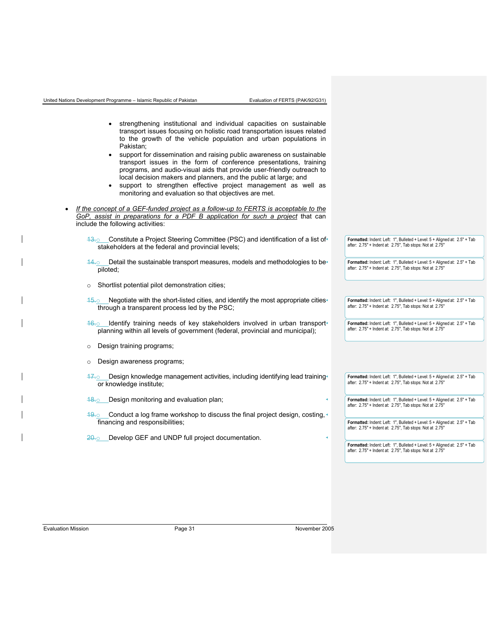- strengthening institutional and individual capacities on sustainable transport issues focusing on holistic road transportation issues related to the growth of the vehicle population and urban populations in Pakistan;
- support for dissemination and raising public awareness on sustainable transport issues in the form of conference presentations, training programs, and audio-visual aids that provide user-friendly outreach to local decision makers and planners, and the public at large; and
- support to strengthen effective project management as well as monitoring and evaluation so that objectives are met.
- *If the concept of a GEF-funded project as a follow-up to FERTS is acceptable to the GoP, assist in preparations for a PDF B application for such a project* that can include the following activities:

| Constitute a Project Steering Committee (PSC) and identification of a list of←<br><del>13.</del> o<br>stakeholders at the federal and provincial levels;          | Formatted: Indent: Left: 1", Bulleted + Level: 5 + Aligned at: 2.5" + Tab<br>after: 2.75" + Indent at: 2.75", Tab stops: Not at 2.75" |
|-------------------------------------------------------------------------------------------------------------------------------------------------------------------|---------------------------------------------------------------------------------------------------------------------------------------|
| Detail the sustainable transport measures, models and methodologies to be-<br>14 <del>.</del> o<br>piloted;                                                       | Formatted: Indent: Left: 1", Bulleted + Level: 5 + Aligned at: 2.5" + Tab<br>after: 2.75" + Indent at: 2.75", Tab stops: Not at 2.75" |
| Shortlist potential pilot demonstration cities:<br>$\circ$                                                                                                        |                                                                                                                                       |
| Negotiate with the short-listed cities, and identify the most appropriate cities ←<br><del>15.</del> o<br>through a transparent process led by the PSC;           | Formatted: Indent: Left: 1", Bulleted + Level: 5 + Aligned at: 2.5" + Tab<br>after: 2.75" + Indent at: 2.75", Tab stops: Not at 2.75" |
| ldentify training needs of key stakeholders involved in urban transport+<br>46.0<br>planning within all levels of government (federal, provincial and municipal); | Formatted: Indent: Left: 1", Bulleted + Level: 5 + Aligned at: 2.5" + Tab<br>after: 2.75" + Indent at: 2.75", Tab stops: Not at 2.75" |
| Design training programs;<br>$\circ$                                                                                                                              |                                                                                                                                       |
| Design awareness programs;<br>$\circ$                                                                                                                             |                                                                                                                                       |
| Design knowledge management activities, including identifying lead training<br>47.0<br>or knowledge institute:                                                    | Formatted: Indent: Left: 1", Bulleted + Level: 5 + Aligned at: 2.5" + Tab<br>after: 2.75" + Indent at: 2.75", Tab stops: Not at 2.75" |
| Design monitoring and evaluation plan;<br><b>18.</b> o                                                                                                            | Formatted: Indent: Left: 1", Bulleted + Level: 5 + Aligned at: 2.5" + Tab<br>after: 2.75" + Indent at: 2.75", Tab stops: Not at 2.75" |
| Conduct a log frame workshop to discuss the final project design, costing,<br>financing and responsibilities;                                                     | Formatted: Indent: Left: 1", Bulleted + Level: 5 + Aligned at: 2.5" + Tab<br>after: 2.75" + Indent at: 2.75", Tab stops: Not at 2.75" |
| Develop GEF and UNDP full project documentation.<br>20.0                                                                                                          | Formatted: Indent: Left: 1", Bulleted + Level: 5 + Aligned at: 2.5" + Tab<br>after: 2.75" + Indent at: 2.75", Tab stops: Not at 2.75" |
|                                                                                                                                                                   |                                                                                                                                       |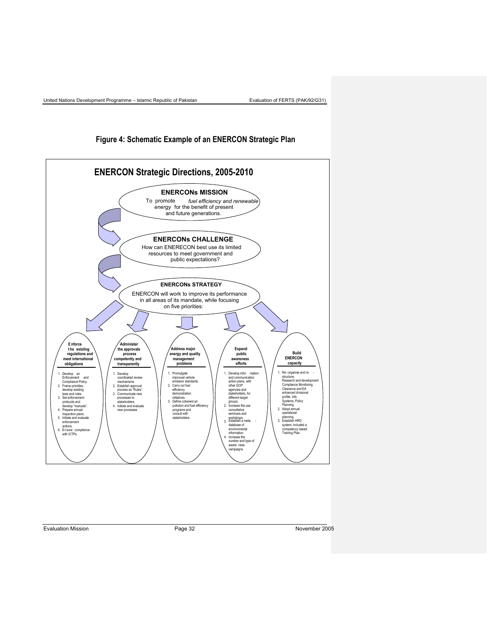# **Figure 4: Schematic Example of an ENERCON Strategic Plan**



Evaluation Mission Page 32 November 2005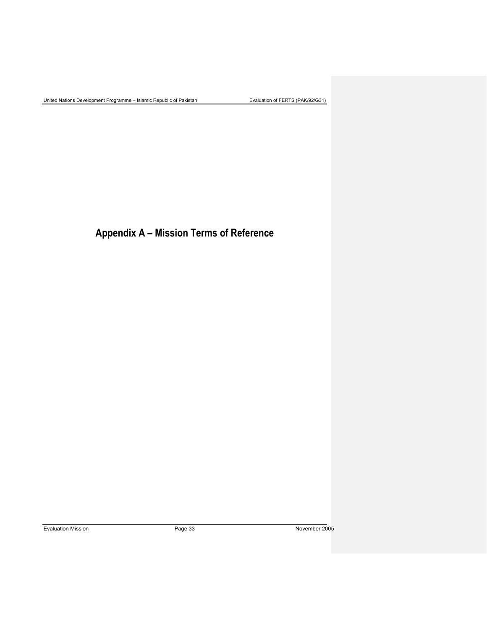**Appendix A – Mission Terms of Reference**

Evaluation Mission **Page 33** November 2005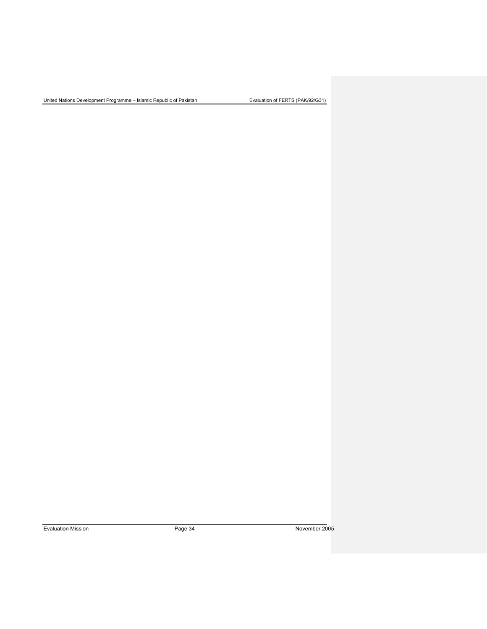Evaluation Mission **Page 34** November 2005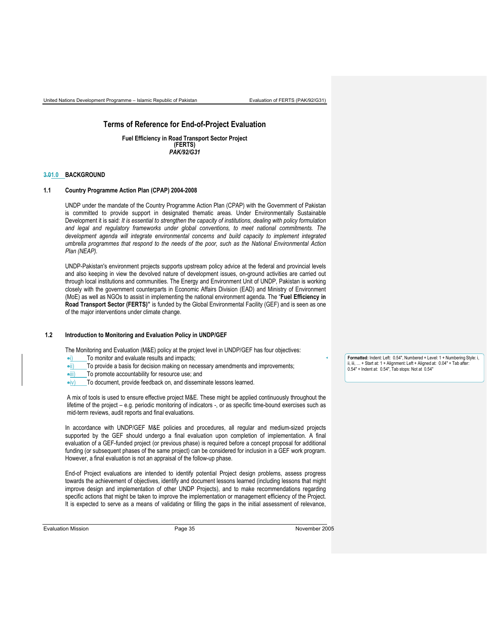# **Terms of Reference for End-of-Project Evaluation**

**Fuel Efficiency in Road Transport Sector Project (FERTS)**  *PAK/92/G31*

# **3.01.0 BACKGROUND**

#### **1.1 Country Programme Action Plan (CPAP) 2004-2008**

UNDP under the mandate of the Country Programme Action Plan (CPAP) with the Government of Pakistan is committed to provide support in designated thematic areas. Under Environmentally Sustainable Development it is said: *It is essential to strengthen the capacity of institutions, dealing with policy formulation and legal and regulatory frameworks under global conventions, to meet national commitments. The development agenda will integrate environmental concerns and build capacity to implement integrated umbrella programmes that respond to the needs of the poor, such as the National Environmental Action Plan (NEAP).*

UNDP-Pakistan's environment projects supports upstream policy advice at the federal and provincial levels and also keeping in view the devolved nature of development issues, on-ground activities are carried out through local institutions and communities. The Energy and Environment Unit of UNDP, Pakistan is working closely with the government counterparts in Economic Affairs Division (EAD) and Ministry of Environment (MoE) as well as NGOs to assist in implementing the national environment agenda. The "**Fuel Efficiency in Road Transport Sector (FERTS)"** is funded by the Global Environmental Facility (GEF) and is seen as one of the major interventions under climate change.

#### **1.2 Introduction to Monitoring and Evaluation Policy in UNDP/GEF**

The Monitoring and Evaluation (M&E) policy at the project level in UNDP/GEF has four objectives:

- $\bullet$ i) To monitor and evaluate results and impacts;
- •ii) To provide a basis for decision making on necessary amendments and improvements;
- •iii) To promote accountability for resource use; and
- $\triangleq$ iv) To document, provide feedback on, and disseminate lessons learned.

A mix of tools is used to ensure effective project M&E. These might be applied continuously throughout the lifetime of the project – e.g. periodic monitoring of indicators -, or as specific time-bound exercises such as mid-term reviews, audit reports and final evaluations.

In accordance with UNDP/GEF M&E policies and procedures, all regular and medium-sized projects supported by the GEF should undergo a final evaluation upon completion of implementation. A final evaluation of a GEF-funded project (or previous phase) is required before a concept proposal for additional funding (or subsequent phases of the same project) can be considered for inclusion in a GEF work program. However, a final evaluation is not an appraisal of the follow-up phase.

End-of Project evaluations are intended to identify potential Project design problems, assess progress towards the achievement of objectives, identify and document lessons learned (including lessons that might improve design and implementation of other UNDP Projects), and to make recommendations regarding specific actions that might be taken to improve the implementation or management efficiency of the Project. It is expected to serve as a means of validating or filling the gaps in the initial assessment of relevance,

Evaluation Mission Page 35 November 2005

**Formatted:** Indent: Left: 0.54", Numbered + Level: 1 + Numbering Style: i,<br>ii, iii, … + Start at: 1 + Alignment: Left + Aligned at: 0.04" + Tab after: 0.54" + Indent at: 0.54", Tab stops: Not at 0.54"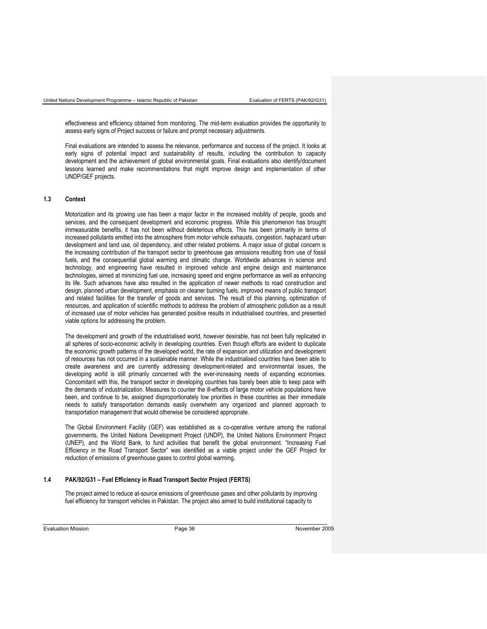effectiveness and efficiency obtained from monitoring. The mid-term evaluation provides the opportunity to assess early signs of Project success or failure and prompt necessary adjustments.

Final evaluations are intended to assess the relevance, performance and success of the project. It looks at early signs of potential impact and sustainability of results, including the contribution to capacity development and the achievement of global environmental goals. Final evaluations also identify/document lessons learned and make recommendations that might improve design and implementation of other UNDP/GEF projects.

#### **1.3 Context**

Motorization and its growing use has been a major factor in the increased mobility of people, goods and services, and the consequent development and economic progress. While this phenomenon has brought immeasurable benefits, it has not been without deleterious effects. This has been primarily in terms of increased pollutants emitted into the atmosphere from motor vehicle exhausts, congestion, haphazard urban development and land use, oil dependency, and other related problems. A major issue of global concern is the increasing contribution of the transport sector to greenhouse gas emissions resulting from use of fossil fuels, and the consequential global warming and climatic change. Worldwide advances in science and technology, and engineering have resulted in improved vehicle and engine design and maintenance technologies, aimed at minimizing fuel use, increasing speed and engine performance as well as enhancing its life. Such advances have also resulted in the application of newer methods to road construction and design, planned urban development, emphasis on cleaner burning fuels, improved means of public transport and related facilities for the transfer of goods and services. The result of this planning, optimization of resources, and application of scientific methods to address the problem of atmospheric pollution as a result of increased use of motor vehicles has generated positive results in industrialised countries, and presented viable options for addressing the problem.

The development and growth of the industrialised world, however desirable, has not been fully replicated in all spheres of socio-economic activity in developing countries. Even though efforts are evident to duplicate the economic growth patterns of the developed world, the rate of expansion and utilization and development of resources has not occurred in a sustainable manner. While the industrialised countries have been able to create awareness and are currently addressing development-related and environmental issues, the developing world is still primarily concerned with the ever-increasing needs of expanding economies. Concomitant with this, the transport sector in developing countries has barely been able to keep pace with the demands of industrialization. Measures to counter the ill-effects of large motor vehicle populations have been, and continue to be, assigned disproportionately low priorities in these countries as their immediate needs to satisfy transportation demands easily overwhelm any organized and planned approach to transportation management that would otherwise be considered appropriate.

The Global Environment Facility (GEF) was established as a co-operative venture among the national governments, the United Nations Development Project (UNDP), the United Nations Environment Project (UNEP), and the World Bank, to fund activities that benefit the global environment. "Increasing Fuel Efficiency in the Road Transport Sector" was identified as a viable project under the GEF Project for reduction of emissions of greenhouse gases to control global warming.

### **1.4 PAK/92/G31 – Fuel Efficiency in Road Transport Sector Project (FERTS)**

The project aimed to reduce at-source emissions of greenhouse gases and other pollutants by improving fuel efficiency for transport vehicles in Pakistan. The project also aimed to build institutional capacity to

Evaluation Mission Page 36 November 2005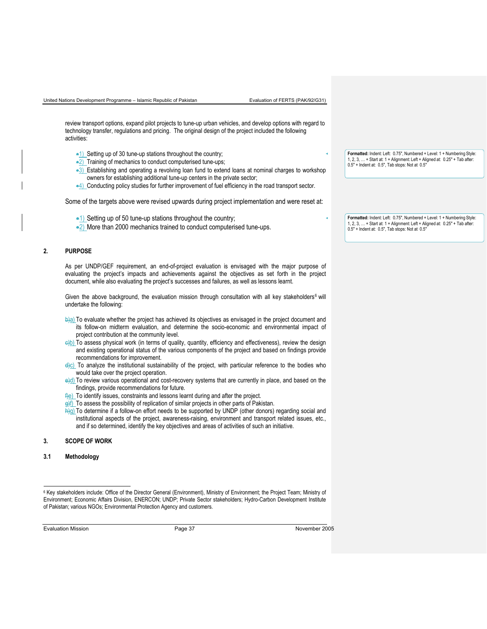review transport options, expand pilot projects to tune-up urban vehicles, and develop options with regard to technology transfer, regulations and pricing. The original design of the project included the following activities:

- •1) Setting up of 30 tune-up stations throughout the country;
- •2) Training of mechanics to conduct computerised tune-ups;
- •3) Establishing and operating a revolving loan fund to extend loans at nominal charges to workshop owners for establishing additional tune-up centers in the private sector;
- •4) Conducting policy studies for further improvement of fuel efficiency in the road transport sector.

Some of the targets above were revised upwards during project implementation and were reset at:

- •1) Setting up of 50 tune-up stations throughout the country;
- •<sup>2</sup>) More than 2000 mechanics trained to conduct computerised tune-ups.

# **2. PURPOSE**

As per UNDP/GEF requirement, an end-of-project evaluation is envisaged with the major purpose of evaluating the project's impacts and achievements against the objectives as set forth in the project document, while also evaluating the project's successes and failures, as well as lessons learnt.

Given the above background, the evaluation mission through consultation with all key stakeholders<sup>[6](#page-50-0)</sup> will undertake the following:

- b)a) To evaluate whether the project has achieved its objectives as envisaged in the project document and its follow-on midterm evaluation, and determine the socio-economic and environmental impact of project contribution at the community level.
- e)b) To assess physical work (in terms of quality, quantity, efficiency and effectiveness), review the design and existing operational status of the various components of the project and based on findings provide recommendations for improvement.
- d)c) To analyze the institutional sustainability of the project, with particular reference to the bodies who would take over the project operation.
- e)d) To review various operational and cost-recovery systems that are currently in place, and based on the findings, provide recommendations for future.
- f<sub>le</sub>) To identify issues, constraints and lessons learnt during and after the project.
- $\frac{g(f)}{g(f)}$  To assess the possibility of replication of similar projects in other parts of Pakistan.
- h)g) To determine if a follow-on effort needs to be supported by UNDP (other donors) regarding social and institutional aspects of the project, awareness-raising, environment and transport related issues, etc., and if so determined, identify the key objectives and areas of activities of such an initiative.

# **3. SCOPE OF WORK**

**3.1 Methodology**

<span id="page-50-0"></span>Evaluation Mission Page 37 November 2005

.

**Formatted:** Indent: Left: 0.75", Numbered + Level: 1 + Numbering Style: 1, 2, 3, … + Start at: 1 + Alignment: Left + Aligned at: 0.25" + Tab after: 0.5" + Indent at: 0.5", Tab stops: Not at 0.5"

**Formatted:** Indent: Left: 0.75", Numbered + Level: 1 + Numbering Style: 1, 2, 3, … + Start at: 1 + Alignment: Left + Aligned at: 0.25" + Tab after: 0.5" + Indent at: 0.5", Tab stops: Not at 0.5"

<sup>6</sup> Key stakeholders include: Office of the Director General (Environment), Ministry of Environment; the Project Team; Ministry of Environment; Economic Affairs Division, ENERCON; UNDP; Private Sector stakeholders; Hydro-Carbon Development Institute of Pakistan; various NGOs; Environmental Protection Agency and customers.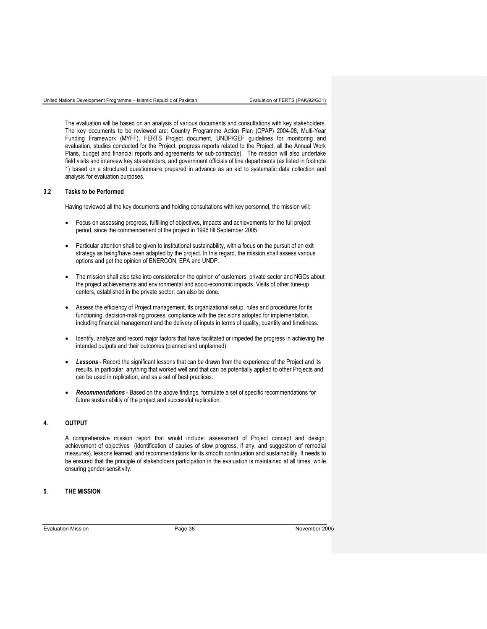The evaluation will be based on an analysis of various documents and consultations with key stakeholders. The key documents to be reviewed are: Country Programme Action Plan (CPAP) 2004-08, Multi-Year Funding Framework (MYFF), FERTS Project document, UNDP/GEF guidelines for monitoring and evaluation, studies conducted for the Project, progress reports related to the Project, all the Annual Work Plans, budget and financial reports and agreements for sub-contract(s). The mission will also undertake field visits and interview key stakeholders, and government officials of line departments (as listed in footnote 1) based on a structured questionnaire prepared in advance as an aid to systematic data collection and analysis for evaluation purposes.

# **3.2 Tasks to be Performed**

Having reviewed all the key documents and holding consultations with key personnel, the mission will:

- Focus on assessing progress, fulfilling of objectives, impacts and achievements for the full project period, since the commencement of the project in 1996 till September 2005.
- Particular attention shall be given to institutional sustainability, with a focus on the pursuit of an exit strategy as being/have been adapted by the project. In this regard, the mission shall assess various options and get the opinion of ENERCON, EPA and UNDP.
- The mission shall also take into consideration the opinion of customers, private sector and NGOs about the project achievements and environmental and socio-economic impacts. Visits of other tune-up centers, established in the private sector, can also be done.
- Assess the efficiency of Project management, its organizational setup, rules and procedures for its functioning, decision-making process, compliance with the decisions adopted for implementation, including financial management and the delivery of inputs in terms of quality, quantity and timeliness.
- Identify, analyze and record major factors that have facilitated or impeded the progress in achieving the intended outputs and their outcomes (planned and unplanned).
- *Lessons* Record the significant lessons that can be drawn from the experience of the Project and its results, in particular, anything that worked well and that can be potentially applied to other Projects and can be used in replication, and as a set of best practices.
- *Recommendations* Based on the above findings, formulate a set of specific recommendations for future sustainability of the project and successful replication.

# **4. OUTPUT**

A comprehensive mission report that would include: assessment of Project concept and design, achievement of objectives (identification of causes of slow progress, if any, and suggestion of remedial measures), lessons learned, and recommendations for its smooth continuation and sustainability. It needs to be ensured that the principle of stakeholders participation in the evaluation is maintained at all times, while ensuring gender-sensitivity.

# **5. THE MISSION**

Evaluation Mission **Example 2005** Page 38 November 2005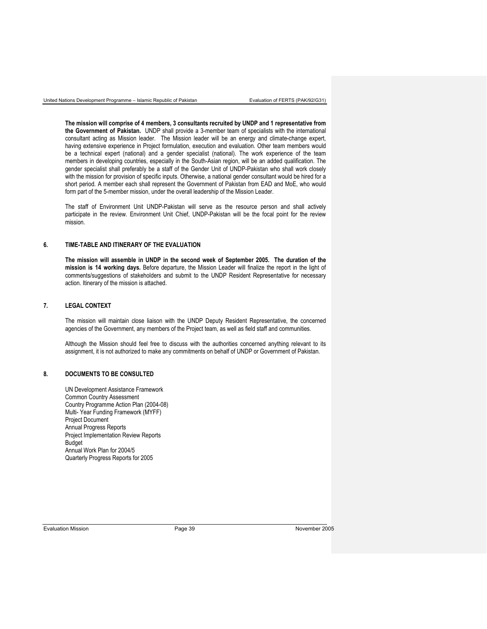**The mission will comprise of 4 members, 3 consultants recruited by UNDP and 1 representative from the Government of Pakistan.** UNDP shall provide a 3-member team of specialists with the international consultant acting as Mission leader. The Mission leader will be an energy and climate-change expert, having extensive experience in Project formulation, execution and evaluation. Other team members would be a technical expert (national) and a gender specialist (national). The work experience of the team members in developing countries, especially in the South-Asian region, will be an added qualification. The gender specialist shall preferably be a staff of the Gender Unit of UNDP-Pakistan who shall work closely with the mission for provision of specific inputs. Otherwise, a national gender consultant would be hired for a short period. A member each shall represent the Government of Pakistan from EAD and MoE, who would form part of the 5-member mission, under the overall leadership of the Mission Leader.

The staff of Environment Unit UNDP-Pakistan will serve as the resource person and shall actively participate in the review. Environment Unit Chief, UNDP-Pakistan will be the focal point for the review mission.

### **6. TIME-TABLE AND ITINERARY OF THE EVALUATION**

**The mission will assemble in UNDP in the second week of September 2005. The duration of the mission is 14 working days.** Before departure, the Mission Leader will finalize the report in the light of comments/suggestions of stakeholders and submit to the UNDP Resident Representative for necessary action. Itinerary of the mission is attached.

# **7. LEGAL CONTEXT**

The mission will maintain close liaison with the UNDP Deputy Resident Representative, the concerned agencies of the Government, any members of the Project team, as well as field staff and communities.

Although the Mission should feel free to discuss with the authorities concerned anything relevant to its assignment, it is not authorized to make any commitments on behalf of UNDP or Government of Pakistan.

# **8. DOCUMENTS TO BE CONSULTED**

UN Development Assistance Framework Common Country Assessment Country Programme Action Plan (2004-08) Multi- Year Funding Framework (MYFF) Project Document Annual Progress Reports Project Implementation Review Reports Budget Annual Work Plan for 2004/5 Quarterly Progress Reports for 2005

Evaluation Mission Page 39 November 2005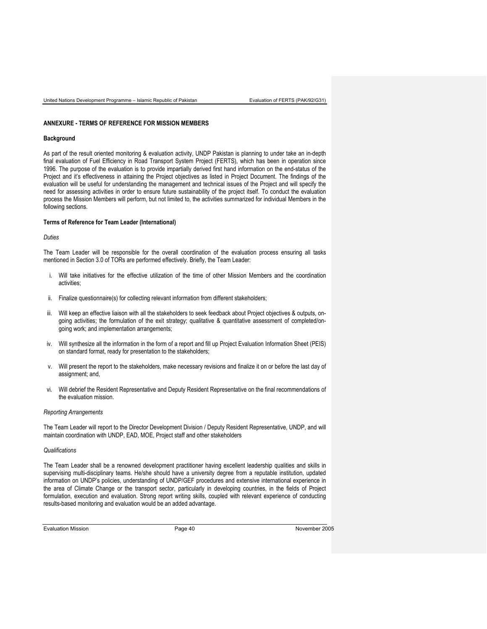#### **ANNEXURE - TERMS OF REFERENCE FOR MISSION MEMBERS**

#### **Background**

As part of the result oriented monitoring & evaluation activity, UNDP Pakistan is planning to under take an in-depth final evaluation of Fuel Efficiency in Road Transport System Project (FERTS), which has been in operation since 1996. The purpose of the evaluation is to provide impartially derived first hand information on the end-status of the Project and it's effectiveness in attaining the Project objectives as listed in Project Document. The findings of the evaluation will be useful for understanding the management and technical issues of the Project and will specify the need for assessing activities in order to ensure future sustainability of the project itself. To conduct the evaluation process the Mission Members will perform, but not limited to, the activities summarized for individual Members in the following sections.

# **Terms of Reference for Team Leader (International)**

#### *Duties*

The Team Leader will be responsible for the overall coordination of the evaluation process ensuring all tasks mentioned in Section 3.0 of TORs are performed effectively. Briefly, the Team Leader:

- i. Will take initiatives for the effective utilization of the time of other Mission Members and the coordination activities;
- ii. Finalize questionnaire(s) for collecting relevant information from different stakeholders;
- iii. Will keep an effective liaison with all the stakeholders to seek feedback about Project objectives & outputs, ongoing activities; the formulation of the exit strategy; qualitative & quantitative assessment of completed/ongoing work; and implementation arrangements;
- iv. Will synthesize all the information in the form of a report and fill up Project Evaluation Information Sheet (PEIS) on standard format, ready for presentation to the stakeholders;
- v. Will present the report to the stakeholders, make necessary revisions and finalize it on or before the last day of assignment; and,
- vi. Will debrief the Resident Representative and Deputy Resident Representative on the final recommendations of the evaluation mission.

#### *Reporting Arrangements*

The Team Leader will report to the Director Development Division / Deputy Resident Representative, UNDP, and will maintain coordination with UNDP, EAD, MOE, Project staff and other stakeholders

#### *Qualifications*

The Team Leader shall be a renowned development practitioner having excellent leadership qualities and skills in supervising multi-disciplinary teams. He/she should have a university degree from a reputable institution, updated information on UNDP's policies, understanding of UNDP/GEF procedures and extensive international experience in the area of Climate Change or the transport sector, particularly in developing countries, in the fields of Project formulation, execution and evaluation. Strong report writing skills, coupled with relevant experience of conducting results-based monitoring and evaluation would be an added advantage.

Evaluation Mission Page 40 November 2005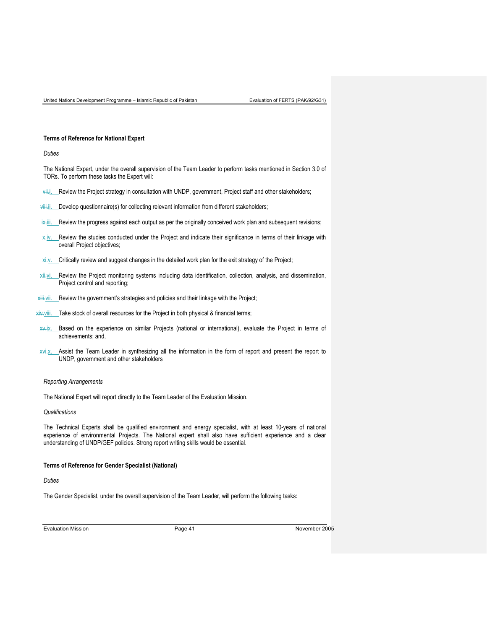#### **Terms of Reference for National Expert**

*Duties*

The National Expert, under the overall supervision of the Team Leader to perform tasks mentioned in Section 3.0 of TORs. To perform these tasks the Expert will:

- vii.i. Review the Project strategy in consultation with UNDP, government, Project staff and other stakeholders;
- **Viii.ii.** Develop questionnaire(s) for collecting relevant information from different stakeholders;
- ix.iii. Review the progress against each output as per the originally conceived work plan and subsequent revisions;
- \*iv. Review the studies conducted under the Project and indicate their significance in terms of their linkage with overall Project objectives;
- xi. Critically review and suggest changes in the detailed work plan for the exit strategy of the Project;
- **xii.** Review the Project monitoring systems including data identification, collection, analysis, and dissemination, Project control and reporting;
- **Xiii.** Review the government's strategies and policies and their linkage with the Project;
- **xiv-viii.** Take stock of overall resources for the Project in both physical & financial terms;
- xv.ix. Based on the experience on similar Projects (national or international), evaluate the Project in terms of achievements; and,
- xvi.x. Assist the Team Leader in synthesizing all the information in the form of report and present the report to UNDP, government and other stakeholders

#### *Reporting Arrangements*

The National Expert will report directly to the Team Leader of the Evaluation Mission.

#### *Qualifications*

The Technical Experts shall be qualified environment and energy specialist, with at least 10-years of national experience of environmental Projects. The National expert shall also have sufficient experience and a clear understanding of UNDP/GEF policies. Strong report writing skills would be essential.

#### **Terms of Reference for Gender Specialist (National)**

*Duties*

The Gender Specialist, under the overall supervision of the Team Leader, will perform the following tasks:

Evaluation Mission **Example 2005** Page 41 **Page 41** November 2005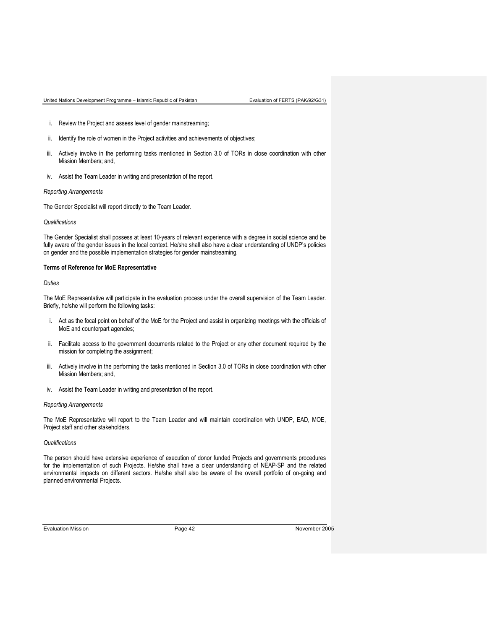- i. Review the Project and assess level of gender mainstreaming;
- ii. Identify the role of women in the Project activities and achievements of objectives;
- iii. Actively involve in the performing tasks mentioned in Section 3.0 of TORs in close coordination with other Mission Members; and,
- iv. Assist the Team Leader in writing and presentation of the report.

# *Reporting Arrangements*

The Gender Specialist will report directly to the Team Leader.

### *Qualifications*

The Gender Specialist shall possess at least 10-years of relevant experience with a degree in social science and be fully aware of the gender issues in the local context. He/she shall also have a clear understanding of UNDP's policies on gender and the possible implementation strategies for gender mainstreaming.

#### **Terms of Reference for MoE Representative**

*Duties*

The MoE Representative will participate in the evaluation process under the overall supervision of the Team Leader. Briefly, he/she will perform the following tasks:

- i. Act as the focal point on behalf of the MoE for the Project and assist in organizing meetings with the officials of MoE and counterpart agencies;
- ii. Facilitate access to the government documents related to the Project or any other document required by the mission for completing the assignment;
- iii. Actively involve in the performing the tasks mentioned in Section 3.0 of TORs in close coordination with other Mission Members; and,
- iv. Assist the Team Leader in writing and presentation of the report.

#### *Reporting Arrangements*

The MoE Representative will report to the Team Leader and will maintain coordination with UNDP, EAD, MOE, Project staff and other stakeholders.

# *Qualifications*

The person should have extensive experience of execution of donor funded Projects and governments procedures for the implementation of such Projects. He/she shall have a clear understanding of NEAP-SP and the related environmental impacts on different sectors. He/she shall also be aware of the overall portfolio of on-going and planned environmental Projects.

Evaluation Mission Page 42 November 2005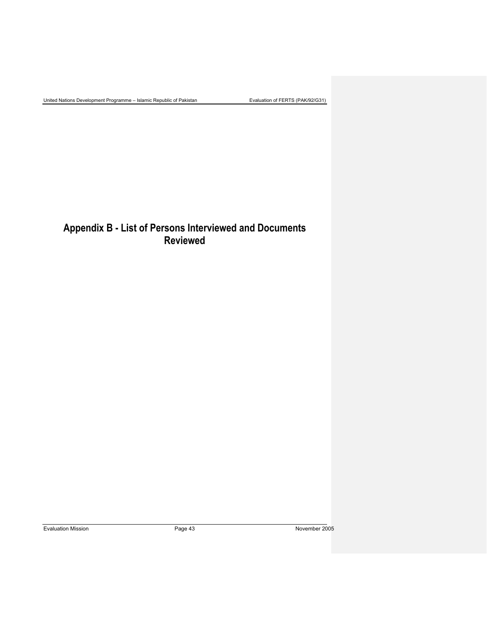# **Appendix B - List of Persons Interviewed and Documents Reviewed**

Evaluation Mission Page 43 November 2005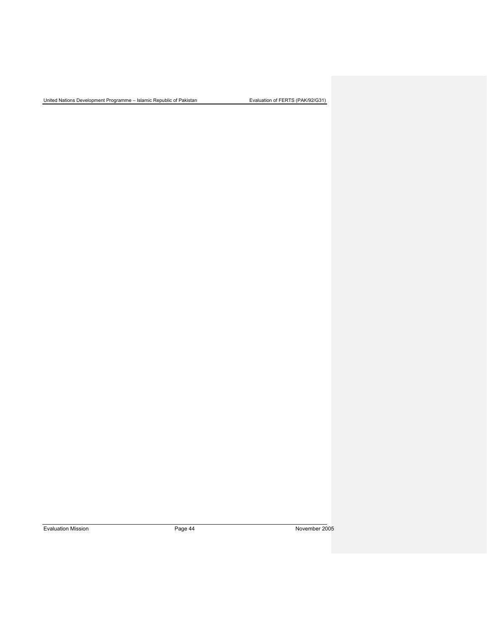Evaluation Mission **Page 44** Page 44 November 2005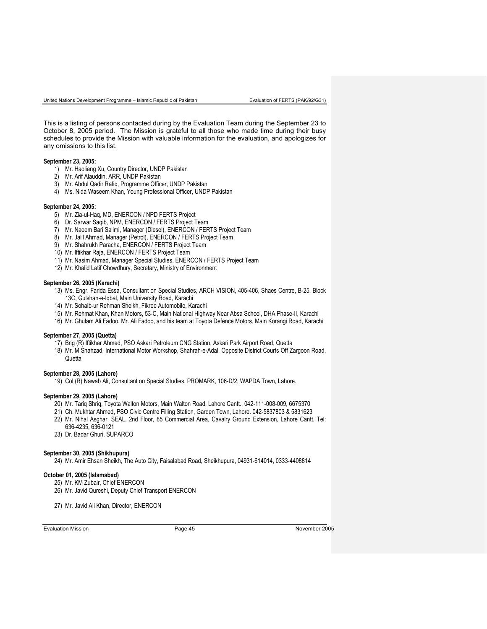This is a listing of persons contacted during by the Evaluation Team during the September 23 to October 8, 2005 period. The Mission is grateful to all those who made time during their busy schedules to provide the Mission with valuable information for the evaluation, and apologizes for any omissions to this list.

# **September 23, 2005:**

- 1) Mr. Haoliang Xu, Country Director, UNDP Pakistan
- 2) Mr. Arif Alauddin, ARR, UNDP Pakistan
- 3) Mr. Abdul Qadir Rafiq, Programme Officer, UNDP Pakistan
- 4) Ms. Nida Waseem Khan, Young Professional Officer, UNDP Pakistan

#### **September 24, 2005:**

- 5) Mr. Zia-ul-Haq, MD, ENERCON / NPD FERTS Project
- 6) Dr. Sarwar Saqib, NPM, ENERCON / FERTS Project Team
- 7) Mr. Naeem Bari Salimi, Manager (Diesel), ENERCON / FERTS Project Team
- 8) Mr. Jalil Ahmad, Manager (Petrol), ENERCON / FERTS Project Team
- 9) Mr. Shahrukh Paracha, ENERCON / FERTS Project Team
- 10) Mr. Iftikhar Raja, ENERCON / FERTS Project Team
- 11) Mr. Nasim Ahmad, Manager Special Studies, ENERCON / FERTS Project Team
- 12) Mr. Khalid Latif Chowdhury, Secretary, Ministry of Environment

# **September 26, 2005 (Karachi)**

- 13) Ms. Engr. Farida Essa, Consultant on Special Studies, ARCH VISION, 405-406, Shaes Centre, B-25, Block 13C, Gulshan-e-Iqbal, Main University Road, Karachi
- 14) Mr. Sohaib-ur Rehman Sheikh, Fikree Automobile, Karachi
- 15) Mr. Rehmat Khan, Khan Motors, 53-C, Main National Highway Near Absa School, DHA Phase-II, Karachi
- 16) Mr. Ghulam Ali Fadoo, Mr. Ali Fadoo, and his team at Toyota Defence Motors, Main Korangi Road, Karachi

### **September 27, 2005 (Quetta)**

- 17) Brig (R) Iftikhar Ahmed, PSO Askari Petroleum CNG Station, Askari Park Airport Road, Quetta
- 18) Mr. M Shahzad, International Motor Workshop, Shahrah-e-Adal, Opposite District Courts Off Zargoon Road, **Quetta**

#### **September 28, 2005 (Lahore)**

19) Col (R) Nawab Ali, Consultant on Special Studies, PROMARK, 106-D/2, WAPDA Town, Lahore.

#### **September 29, 2005 (Lahore)**

- 20) Mr. Tariq Shriq, Toyota Walton Motors, Main Walton Road, Lahore Cantt., 042-111-008-009, 6675370
- 21) Ch. Mukhtar Ahmed, PSO Civic Centre Filling Station, Garden Town, Lahore. 042-5837803 & 5831623
- 22) Mr. Nihal Asghar, SEAL, 2nd Floor, 85 Commercial Area, Cavalry Ground Extension, Lahore Cantt, Tel: 636-4235, 636-0121
- 23) Dr. Badar Ghuri, SUPARCO

### **September 30, 2005 (Shikhupura)**

24) Mr. Amir Ehsan Sheikh, The Auto City, Faisalabad Road, Sheikhupura, 04931-614014, 0333-4408814

#### **October 01, 2005 (Islamabad)**

# 25) Mr. KM Zubair, Chief ENERCON

- 26) Mr. Javid Qureshi, Deputy Chief Transport ENERCON
- 27) Mr. Javid Ali Khan, Director, ENERCON

Evaluation Mission Page 45 November 2005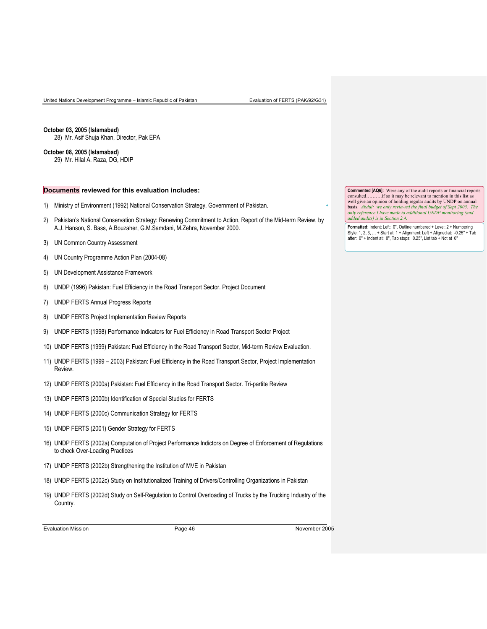**October 03, 2005 (Islamabad)** 28) Mr. Asif Shuja Khan, Director, Pak EPA

**October 08, 2005 (Islamabad)** 29) Mr. Hilal A. Raza, DG, HDIP

# **Documents reviewed for this evaluation includes:**

- 1) Ministry of Environment (1992) National Conservation Strategy, Government of Pakistan.
- 2) Pakistan's National Conservation Strategy: Renewing Commitment to Action, Report of the Mid-term Review, by A.J. Hanson, S. Bass, A.Bouzaher, G.M.Samdani, M.Zehra, November 2000.
- 3) UN Common Country Assessment
- 4) UN Country Programme Action Plan (2004-08)
- 5) UN Development Assistance Framework
- 6) UNDP (1996) Pakistan: Fuel Efficiency in the Road Transport Sector. Project Document
- 7) UNDP FERTS Annual Progress Reports
- 8) UNDP FERTS Project Implementation Review Reports
- 9) UNDP FERTS (1998) Performance Indicators for Fuel Efficiency in Road Transport Sector Project
- 10) UNDP FERTS (1999) Pakistan: Fuel Efficiency in the Road Transport Sector, Mid-term Review Evaluation.
- 11) UNDP FERTS (1999 2003) Pakistan: Fuel Efficiency in the Road Transport Sector, Project Implementation Review.
- 12) UNDP FERTS (2000a) Pakistan: Fuel Efficiency in the Road Transport Sector. Tri-partite Review
- 13) UNDP FERTS (2000b) Identification of Special Studies for FERTS
- 14) UNDP FERTS (2000c) Communication Strategy for FERTS
- 15) UNDP FERTS (2001) Gender Strategy for FERTS
- 16) UNDP FERTS (2002a) Computation of Project Performance Indictors on Degree of Enforcement of Regulations to check Over-Loading Practices
- 17) UNDP FERTS (2002b) Strengthening the Institution of MVE in Pakistan
- 18) UNDP FERTS (2002c) Study on Institutionalized Training of Drivers/Controlling Organizations in Pakistan
- 19) UNDP FERTS (2002d) Study on Self-Regulation to Control Overloading of Trucks by the Trucking Industry of the Country.

Evaluation Mission Page 46 November 2005

**Commented [AQ6]:** Were any of the audit reports or financial reports consulted if so it may be relevant to mention in this list as  $\alpha$  if so it may be relevant to mention in this list as well give an opinion of holding regular audits by UNDP on annual basis. *Abdul: we only reviewed the final budget of Sept 2005. The only reference I have made to additional UNDP monitoring (and added audits) is in Section 2.4.* 

**Formatted:** Indent: Left: 0", Outline numbered + Level: 2 + Numbering Style: 1, 2, 3, … + Start at: 1 + Alignment: Left + Aligned at: -0.25" + Tab after: 0" + Indent at: 0", Tab stops: 0.25", List tab + Not at 0"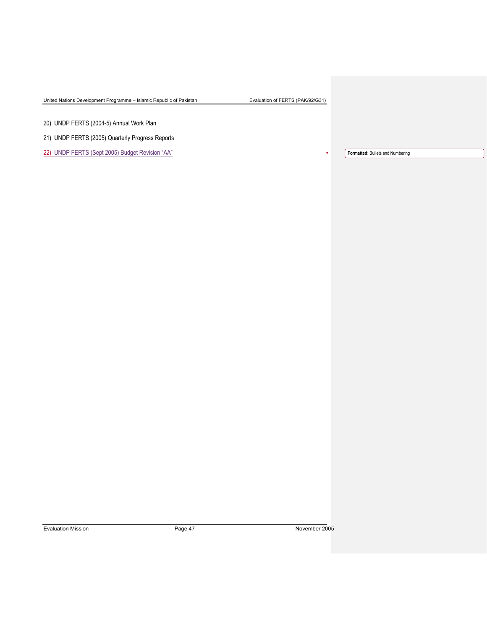20) UNDP FERTS (2004-5) Annual Work Plan

21) UNDP FERTS (2005) Quarterly Progress Reports

22) UNDP FERTS (Sept 2005) Budget Revision "AA" **Formatted:** Bullets and Numbering

Evaluation Mission **Page 47** Page 47 November 2005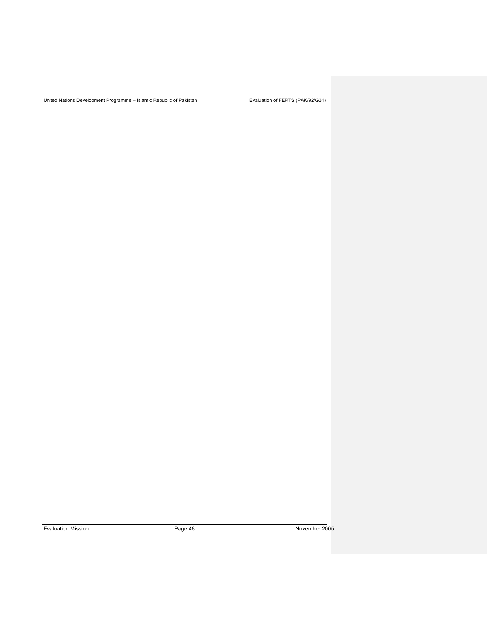Evaluation Mission **Page 48** Page 48 November 2005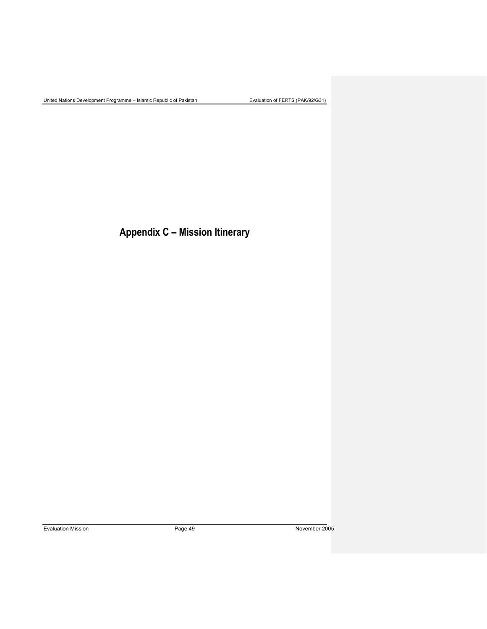**Appendix C – Mission Itinerary**

Evaluation Mission **Page 49** Page 49 November 2005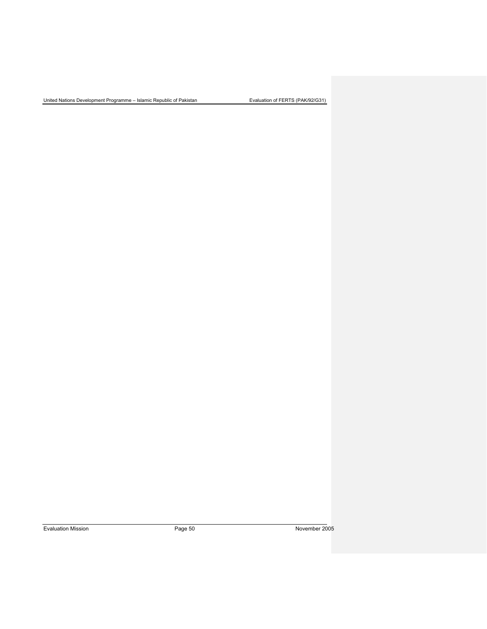Evaluation Mission **Page 50** Page 50 November 2005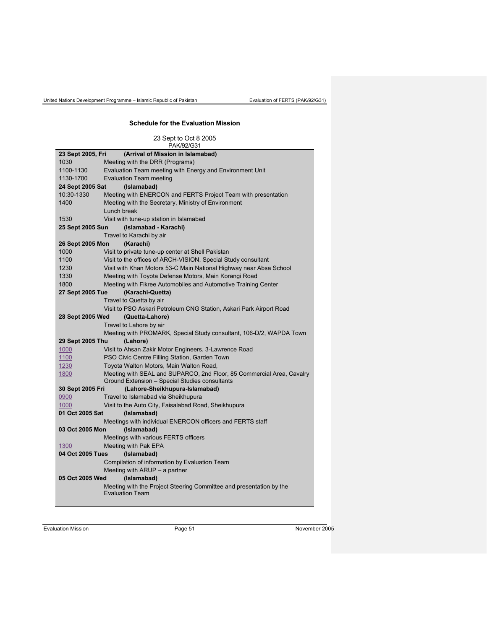# **Schedule for the Evaluation Mission**

23 Sept to Oct 8 2005

| PAK/92/G31                     |                                                                       |  |  |  |  |  |
|--------------------------------|-----------------------------------------------------------------------|--|--|--|--|--|
| 23 Sept 2005, Fri              | (Arrival of Mission in Islamabad)                                     |  |  |  |  |  |
| 1030                           | Meeting with the DRR (Programs)                                       |  |  |  |  |  |
| 1100-1130                      | Evaluation Team meeting with Energy and Environment Unit              |  |  |  |  |  |
| 1130-1700                      | <b>Evaluation Team meeting</b>                                        |  |  |  |  |  |
| 24 Sept 2005 Sat               | (Islamabad)                                                           |  |  |  |  |  |
| 10:30-1330                     | Meeting with ENERCON and FERTS Project Team with presentation         |  |  |  |  |  |
| 1400                           | Meeting with the Secretary, Ministry of Environment                   |  |  |  |  |  |
|                                | Lunch break                                                           |  |  |  |  |  |
| 1530                           | Visit with tune-up station in Islamabad                               |  |  |  |  |  |
| 25 Sept 2005 Sun               | (Islamabad - Karachi)                                                 |  |  |  |  |  |
|                                | Travel to Karachi by air                                              |  |  |  |  |  |
| 26 Sept 2005 Mon               | (Karachi)                                                             |  |  |  |  |  |
| 1000                           | Visit to private tune-up center at Shell Pakistan                     |  |  |  |  |  |
| 1100                           | Visit to the offices of ARCH-VISION, Special Study consultant         |  |  |  |  |  |
| 1230                           | Visit with Khan Motors 53-C Main National Highway near Absa School    |  |  |  |  |  |
| 1330                           | Meeting with Toyota Defense Motors, Main Korangi Road                 |  |  |  |  |  |
| 1800                           | Meeting with Fikree Automobiles and Automotive Training Center        |  |  |  |  |  |
| 27 Sept 2005 Tue               | (Karachi-Quetta)                                                      |  |  |  |  |  |
|                                | Travel to Quetta by air                                               |  |  |  |  |  |
|                                | Visit to PSO Askari Petroleum CNG Station, Askari Park Airport Road   |  |  |  |  |  |
| 28 Sept 2005 Wed               | (Quetta-Lahore)                                                       |  |  |  |  |  |
|                                | Travel to Lahore by air                                               |  |  |  |  |  |
|                                | Meeting with PROMARK, Special Study consultant, 106-D/2, WAPDA Town   |  |  |  |  |  |
| 29 Sept 2005 Thu               | (Lahore)                                                              |  |  |  |  |  |
| 1000                           | Visit to Ahsan Zakir Motor Engineers, 3-Lawrence Road                 |  |  |  |  |  |
| 1100                           | PSO Civic Centre Filling Station, Garden Town                         |  |  |  |  |  |
| 1230                           | Toyota Walton Motors, Main Walton Road,                               |  |  |  |  |  |
| 1800                           | Meeting with SEAL and SUPARCO, 2nd Floor, 85 Commercial Area, Cavalry |  |  |  |  |  |
|                                | Ground Extension - Special Studies consultants                        |  |  |  |  |  |
| 30 Sept 2005 Fri               | (Lahore-Sheikhupura-Islamabad)                                        |  |  |  |  |  |
| 0900                           | Travel to Islamabad via Sheikhupura                                   |  |  |  |  |  |
| 1000                           | Visit to the Auto City, Faisalabad Road, Sheikhupura                  |  |  |  |  |  |
| 01 Oct 2005 Sat                | (Islamabad)                                                           |  |  |  |  |  |
|                                | Meetings with individual ENERCON officers and FERTS staff             |  |  |  |  |  |
| (Islamabad)<br>03 Oct 2005 Mon |                                                                       |  |  |  |  |  |
|                                | Meetings with various FERTS officers                                  |  |  |  |  |  |
| 1300                           | Meeting with Pak EPA                                                  |  |  |  |  |  |
| 04 Oct 2005 Tues               | (Islamabad)                                                           |  |  |  |  |  |
|                                | Compilation of information by Evaluation Team                         |  |  |  |  |  |
|                                | Meeting with $ARUP - a$ partner                                       |  |  |  |  |  |
| 05 Oct 2005 Wed<br>(Islamabad) |                                                                       |  |  |  |  |  |
|                                | Meeting with the Project Steering Committee and presentation by the   |  |  |  |  |  |
|                                | <b>Evaluation Team</b>                                                |  |  |  |  |  |
|                                |                                                                       |  |  |  |  |  |

Evaluation Mission **Page 51** Page 51 November 2005

 $\overline{\phantom{a}}$ 

 $\overline{\phantom{a}}$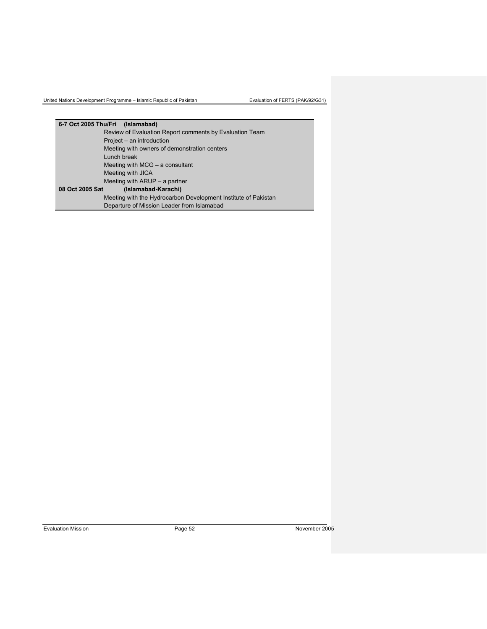**6-7 Oct 2005 Thu/Fri (Islamabad)** Review of Evaluation Report comments by Evaluation Team Project – an introduction Meeting with owners of demonstration centers Lunch break Meeting with MCG – a consultant Meeting with JICA Meeting with ARUP – a partner<br>**08 Oct 2005 Sat** (Islamabad-Karachi) **08 Oct 2005 Sat (Islamabad-Karachi)** Meeting with the Hydrocarbon Development Institute of Pakistan Departure of Mission Leader from Islamabad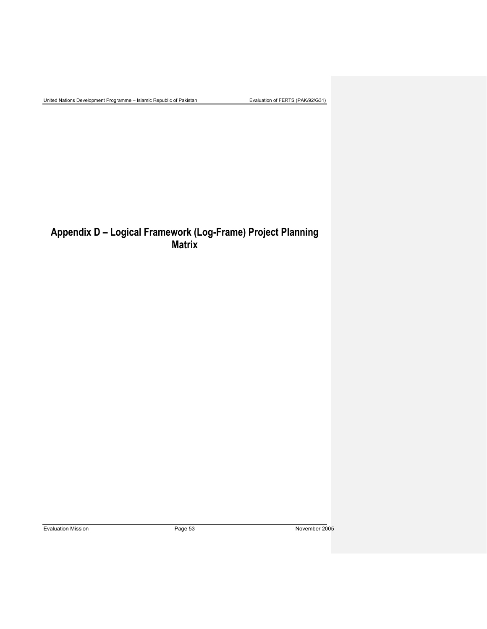# **Appendix D – Logical Framework (Log-Frame) Project Planning Matrix**

Evaluation Mission **Page 53** November 2005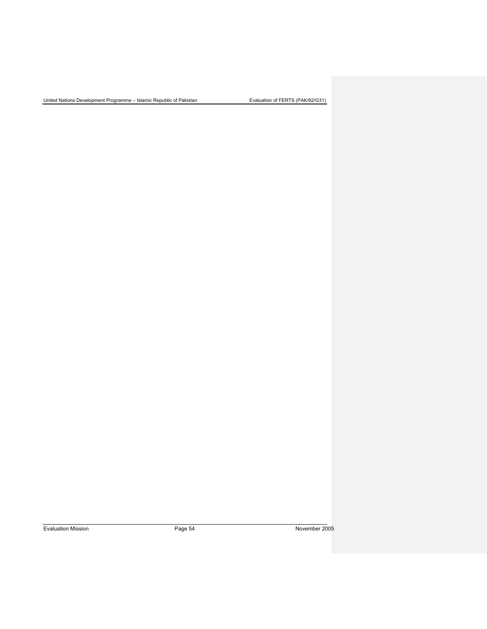Evaluation Mission **Page 54** Page 54 November 2005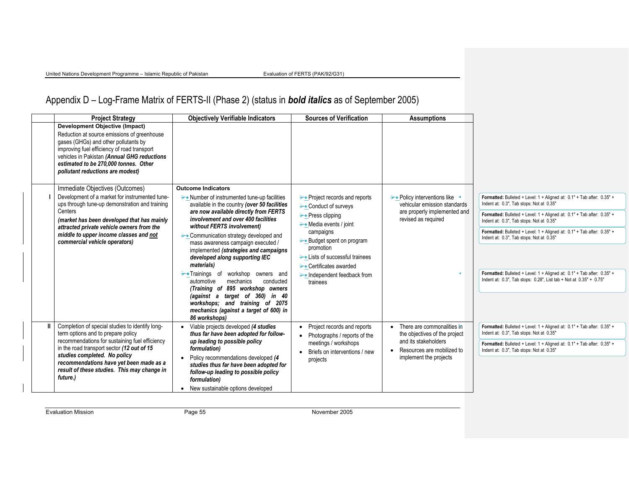# Appendix D – Log-Frame Matrix of FERTS-II (Phase 2) (status in *bold italics* as of September 2005)

| <b>Project Strategy</b>                                                                                                                                                                                                                                                                                                     | <b>Obiectively Verifiable Indicators</b>                                                                                                                                                                                                                                                                                                                                                                                                                                                                                                                                                                                                                                   | <b>Sources of Verification</b>                                                                                                                                                                                                                                                                                                        | <b>Assumptions</b>                                                                                                                                      |                                                                                                                                                                                                                                                                                                                                                                                                                                                                                                                |
|-----------------------------------------------------------------------------------------------------------------------------------------------------------------------------------------------------------------------------------------------------------------------------------------------------------------------------|----------------------------------------------------------------------------------------------------------------------------------------------------------------------------------------------------------------------------------------------------------------------------------------------------------------------------------------------------------------------------------------------------------------------------------------------------------------------------------------------------------------------------------------------------------------------------------------------------------------------------------------------------------------------------|---------------------------------------------------------------------------------------------------------------------------------------------------------------------------------------------------------------------------------------------------------------------------------------------------------------------------------------|---------------------------------------------------------------------------------------------------------------------------------------------------------|----------------------------------------------------------------------------------------------------------------------------------------------------------------------------------------------------------------------------------------------------------------------------------------------------------------------------------------------------------------------------------------------------------------------------------------------------------------------------------------------------------------|
| <b>Development Objective (Impact)</b><br>Reduction at source emissions of greenhouse<br>gases (GHGs) and other pollutants by<br>improving fuel efficiency of road transport<br>vehicles in Pakistan (Annual GHG reductions<br>estimated to be 270,000 tonnes. Other<br>pollutant reductions are modest)                     |                                                                                                                                                                                                                                                                                                                                                                                                                                                                                                                                                                                                                                                                            |                                                                                                                                                                                                                                                                                                                                       |                                                                                                                                                         |                                                                                                                                                                                                                                                                                                                                                                                                                                                                                                                |
| Immediate Objectives (Outcomes)<br>Development of a market for instrumented tune-<br>ups through tune-up demonstration and training<br>Centers<br>(market has been developed that has mainly<br>attracted private vehicle owners from the<br>middle to upper income classes and not<br>commercial vehicle operators)        | <b>Outcome Indicators</b><br>$\rightarrow$ Number of instrumented tune-up facilities<br>available in the country (over 50 facilities<br>are now available directly from FERTS<br>involvement and over 400 facilities<br>without FERTS involvement)<br>Communication strategy developed and<br>mass awareness campaign executed /<br>implemented (strategies and campaigns<br>developed along supporting IEC<br>materials)<br>Trainings of workshop owners and<br>mechanics<br>conducted<br>automotive<br>(Training of 895 workshop owners<br>(against a target of 360) in 40<br>workshops; and training of 2075<br>mechanics (against a target of 600) in<br>86 workshops) | $\rightarrow$ Project records and reports<br>Conduct of surveys<br>$\rightarrow$ Press clipping<br>$\rightarrow$ Media events / joint<br>campaigns<br>$\rightarrow$ Budget spent on program<br>promotion<br>Lists of successful trainees<br>$\rightarrow$ Certificates awarded<br>$\rightarrow$ Independent feedback from<br>trainees | $\rightarrow$ Policy interventions like<br>vehicular emission standards<br>are properly implemented and<br>revised as required                          | Formatted: Bulleted + Level: 1 + Aligned at: 0.1" + Tab after: 0.35" +<br>Indent at: 0.3", Tab stops: Not at 0.35"<br>Formatted: Bulleted + Level: 1 + Aligned at: 0.1" + Tab after: 0.35" +<br>Indent at: 0.3", Tab stops: Not at 0.35"<br>Formatted: Bulleted + Level: 1 + Aligned at: 0.1" + Tab after: 0.35" +<br>Indent at: 0.3", Tab stops: Not at 0.35"<br>Formatted: Bulleted + Level: 1 + Aligned at: 0.1" + Tab after: 0.35" +<br>Indent at: 0.3", Tab stops: 0.28", List tab + Not at 0.35" + 0.75" |
| Completion of special studies to identify long-<br>term options and to prepare policy<br>recommendations for sustaining fuel efficiency<br>in the road transport sector (12 out of 15<br>studies completed. No policy<br>recommendations have yet been made as a<br>result of these studies. This may change in<br>future.) | • Viable projects developed (4 studies<br>thus far have been adopted for follow-<br>up leading to possible policy<br>formulation)<br>• Policy recommendations developed (4<br>studies thus far have been adopted for<br>follow-up leading to possible policy<br>formulation)<br>• New sustainable options developed                                                                                                                                                                                                                                                                                                                                                        | • Project records and reports<br>• Photographs / reports of the<br>meetings / workshops<br>• Briefs on interventions / new<br>projects                                                                                                                                                                                                | $\bullet$ There are commonalities in<br>the objectives of the project<br>and its stakeholders<br>• Resources are mobilized to<br>implement the projects | Formatted: Bulleted + Level: 1 + Aligned at: 0.1" + Tab after: 0.35" +<br>Indent at: 0.3", Tab stops: Not at 0.35"<br>Formatted: Bulleted + Level: 1 + Aligned at: 0.1" + Tab after: 0.35" +<br>Indent at: 0.3", Tab stops: Not at 0.35"                                                                                                                                                                                                                                                                       |

Evaluation Mission **Page 55** November 2005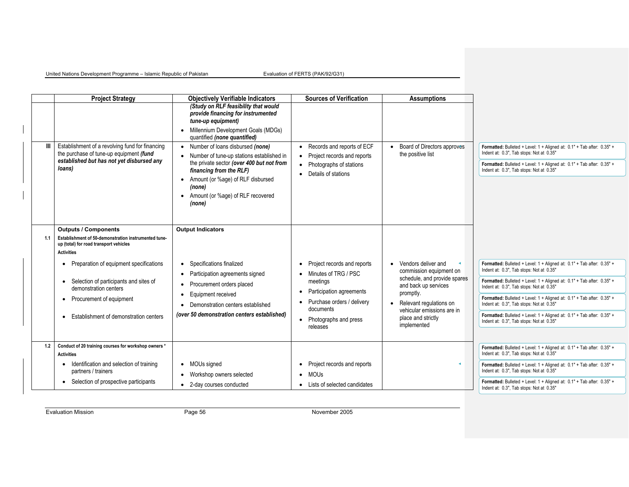|     | <b>Project Strategy</b>                                                                                                                                                                                                                                                                                                                             | <b>Objectively Verifiable Indicators</b>                                                                                                                                                                                                                                                                                                                                                                                                                     | <b>Sources of Verification</b>                                                                                                                                                                   | <b>Assumptions</b>                                                                                                                                                                                                                          |                                                                                                                                                                                                                                                                                                                                                                                                                                                                                      |
|-----|-----------------------------------------------------------------------------------------------------------------------------------------------------------------------------------------------------------------------------------------------------------------------------------------------------------------------------------------------------|--------------------------------------------------------------------------------------------------------------------------------------------------------------------------------------------------------------------------------------------------------------------------------------------------------------------------------------------------------------------------------------------------------------------------------------------------------------|--------------------------------------------------------------------------------------------------------------------------------------------------------------------------------------------------|---------------------------------------------------------------------------------------------------------------------------------------------------------------------------------------------------------------------------------------------|--------------------------------------------------------------------------------------------------------------------------------------------------------------------------------------------------------------------------------------------------------------------------------------------------------------------------------------------------------------------------------------------------------------------------------------------------------------------------------------|
| Ш   | Establishment of a revolving fund for financing<br>the purchase of tune-up equipment (fund<br>established but has not yet disbursed any<br>(loans                                                                                                                                                                                                   | (Study on RLF feasibility that would<br>provide financing for instrumented<br>tune-up equipment)<br>Millennium Development Goals (MDGs)<br>quantified (none quantified)<br>• Number of loans disbursed (none)<br>• Number of tune-up stations established in<br>the private sector (over 400 but not from<br>financing from the RLF)<br>Amount (or %age) of RLF disbursed<br>$\bullet$<br>(none)<br>Amount (or %age) of RLF recovered<br>$\bullet$<br>(none) | • Records and reports of ECF<br>• Project records and reports<br>• Photographs of stations<br>• Details of stations                                                                              | Board of Directors approves<br>$\bullet$<br>the positive list                                                                                                                                                                               | Formatted: Bulleted + Level: 1 + Aligned at: 0.1" + Tab after: 0.35" +<br>Indent at: 0.3", Tab stops: Not at 0.35"<br>Formatted: Bulleted + Level: 1 + Aligned at: 0.1" + Tab after: 0.35" +<br>Indent at: 0.3", Tab stops: Not at 0.35"                                                                                                                                                                                                                                             |
| 1.1 | <b>Outputs / Components</b><br>Establishment of 50-demonstration instrumented tune-<br>up (total) for road transport vehicles<br><b>Activities</b><br>Preparation of equipment specifications<br>Selection of participants and sites of<br>demonstration centers<br>Procurement of equipment<br>$\bullet$<br>Establishment of demonstration centers | <b>Output Indicators</b><br>Specifications finalized<br>$\bullet$<br>Participation agreements signed<br>Procurement orders placed<br>$\bullet$<br>Equipment received<br>$\bullet$<br>Demonstration centers established<br>(over 50 demonstration centers established)                                                                                                                                                                                        | • Project records and reports<br>• Minutes of TRG / PSC<br>meetings<br>Participation agreements<br>$\bullet$<br>• Purchase orders / delivery<br>documents<br>• Photographs and press<br>releases | Vendors deliver and<br>$\bullet$<br>commission equipment on<br>schedule, and provide spares<br>and back up services<br>promptly.<br>Relevant regulations on<br>$\bullet$<br>vehicular emissions are in<br>place and strictly<br>implemented | Formatted: Bulleted + Level: 1 + Aligned at: 0.1" + Tab after: 0.35" +<br>Indent at: 0.3", Tab stops: Not at 0.35"<br>Formatted: Bulleted + Level: 1 + Aligned at: 0.1" + Tab after: 0.35" +<br>Indent at: 0.3", Tab stops: Not at 0.35"<br>Formatted: Bulleted + Level: 1 + Aligned at: 0.1" + Tab after: 0.35" +<br>Indent at: 0.3", Tab stops: Not at 0.35"<br>Formatted: Bulleted + Level: 1 + Aligned at: 0.1" + Tab after: 0.35" +<br>Indent at: 0.3", Tab stops: Not at 0.35" |
| 1.2 | Conduct of 20 training courses for workshop owners *<br><b>Activities</b><br>Identification and selection of training<br>partners / trainers                                                                                                                                                                                                        | MOUs signed                                                                                                                                                                                                                                                                                                                                                                                                                                                  | Project records and reports                                                                                                                                                                      |                                                                                                                                                                                                                                             | Formatted: Bulleted + Level: 1 + Aligned at: 0.1" + Tab after: 0.35" +<br>Indent at: 0.3", Tab stops: Not at 0.35"<br>Formatted: Bulleted + Level: 1 + Aligned at: 0.1" + Tab after: 0.35" +<br>Indent at: 0.3", Tab stops: Not at 0.35"                                                                                                                                                                                                                                             |
|     | • Selection of prospective participants                                                                                                                                                                                                                                                                                                             | Workshop owners selected<br>$\bullet$<br>• 2-day courses conducted                                                                                                                                                                                                                                                                                                                                                                                           | $\bullet$ MOUs<br>• Lists of selected candidates                                                                                                                                                 |                                                                                                                                                                                                                                             | Formatted: Bulleted + Level: 1 + Aligned at: 0.1" + Tab after: 0.35" +<br>Indent at: 0.3", Tab stops: Not at 0.35"                                                                                                                                                                                                                                                                                                                                                                   |

Evaluation Mission **Nicklass Construction Construction Page 56** November 2005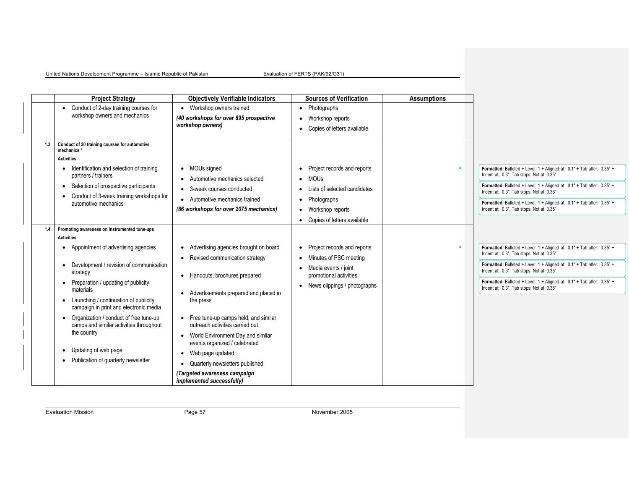|     | <b>Project Strategy</b>                                                                                                                                                                                                                                                                                                                                                                                                                                                           | <b>Objectively Verifiable Indicators</b>                                                                                                                                                                                                                                                                                                                                                                                                                                                                                | <b>Sources of Verification</b>                                                                                                                                                        | <b>Assumptions</b> |                                                                                                                                                                                                                                                                                                                                                                |
|-----|-----------------------------------------------------------------------------------------------------------------------------------------------------------------------------------------------------------------------------------------------------------------------------------------------------------------------------------------------------------------------------------------------------------------------------------------------------------------------------------|-------------------------------------------------------------------------------------------------------------------------------------------------------------------------------------------------------------------------------------------------------------------------------------------------------------------------------------------------------------------------------------------------------------------------------------------------------------------------------------------------------------------------|---------------------------------------------------------------------------------------------------------------------------------------------------------------------------------------|--------------------|----------------------------------------------------------------------------------------------------------------------------------------------------------------------------------------------------------------------------------------------------------------------------------------------------------------------------------------------------------------|
|     | • Conduct of 2-day training courses for<br>workshop owners and mechanics                                                                                                                                                                                                                                                                                                                                                                                                          | • Workshop owners trained<br>(40 workshops for over 895 prospective<br>workshop owners)                                                                                                                                                                                                                                                                                                                                                                                                                                 | • Photographs<br>• Workshop reports<br>Copies of letters available<br>$\bullet$                                                                                                       |                    |                                                                                                                                                                                                                                                                                                                                                                |
| 1.3 | Conduct of 20 training courses for automotive<br>mechanics <sup>*</sup><br><b>Activities</b><br>• Identification and selection of training<br>partners / trainers<br>Selection of prospective participants<br>$\bullet$<br>• Conduct of 3-week training workshops for<br>automotive mechanics                                                                                                                                                                                     | MOUs signed<br>$\bullet$<br>Automotive mechanics selected<br>3-week courses conducted<br>$\bullet$<br>• Automotive mechanics trained<br>(86 workshops for over 2075 mechanics)                                                                                                                                                                                                                                                                                                                                          | Project records and reports<br>$\bullet$<br>MOUs<br>$\bullet$<br>• Lists of selected candidates<br>Photographs<br>$\bullet$<br>Workshop reports<br>٠<br>• Copies of letters available |                    | Formatted: Bulleted + Level: 1 + Aligned at: 0.1" + Tab after: 0.35" +<br>Indent at: 0.3", Tab stops: Not at 0.35"<br>Formatted: Bulleted + Level: 1 + Aligned at: 0.1" + Tab after: 0.35" +<br>Indent at: 0.3", Tab stops: Not at 0.35"<br>Formatted: Bulleted + Level: 1 + Aligned at: 0.1" + Tab after: 0.35" +<br>Indent at: 0.3", Tab stops: Not at 0.35" |
| 1.4 | Promoting awareness on instrumented tune-ups<br><b>Activities</b><br>• Appointment of advertising agencies<br>Development / revision of communication<br>strategy<br>• Preparation / updating of publicity<br>materials<br>• Launching / continuation of publicity<br>campaign in print and electronic media<br>• Organization / conduct of free tune-up<br>camps and similar activities throughout<br>the country<br>Updating of web page<br>Publication of quarterly newsletter | Advertising agencies brought on board<br>$\bullet$<br>Revised communication strategy<br>$\bullet$<br>Handouts, brochures prepared<br>$\bullet$<br>Advertisements prepared and placed in<br>the press<br>Free tune-up camps held, and similar<br>outreach activities carried out<br>World Environment Day and similar<br>$\bullet$<br>events organized / celebrated<br>Web page updated<br>$\bullet$<br>Quarterly newsletters published<br>$\bullet$<br>(Targeted awareness campaign<br><i>implemented successfully)</i> | Project records and reports<br>$\bullet$<br>Minutes of PSC meeting<br>$\bullet$<br>• Media events / joint<br>promotional activities<br>News clippings / photographs<br>$\bullet$      |                    | Formatted: Bulleted + Level: 1 + Aligned at: 0.1" + Tab after: 0.35" +<br>Indent at: 0.3", Tab stops: Not at 0.35"<br>Formatted: Bulleted + Level: 1 + Aligned at: 0.1" + Tab after: 0.35" +<br>Indent at: 0.3", Tab stops: Not at 0.35"<br>Formatted: Bulleted + Level: 1 + Aligned at: 0.1" + Tab after: 0.35" +<br>Indent at: 0.3", Tab stops: Not at 0.35" |

Evaluation Mission **Nicklass Contract Contract Page 57** November 2005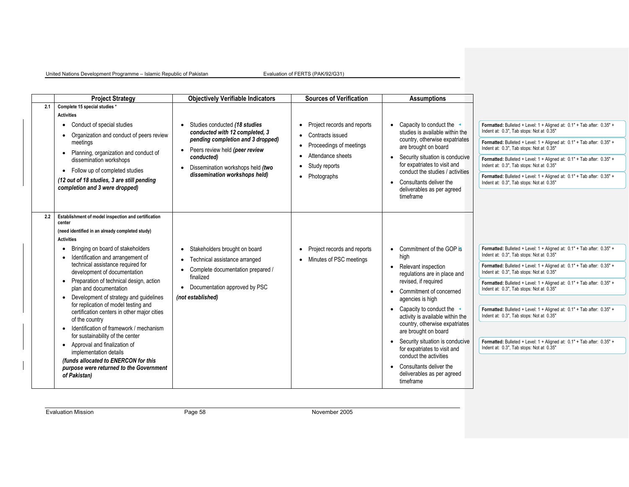|     | <b>Project Strategy</b>                                                                                                                                                                                                                                                                                                                                                                                                                                                                                                                                                                                                                                                                                                                                                                | <b>Objectively Verifiable Indicators</b>                                                                                                                                                                                                                          | <b>Sources of Verification</b>                                                                                                    | <b>Assumptions</b>                                                                                                                                                                                                                                                                                                                                                                                                                                                                                                          |                                                                                                                                                                                                                                                                                                                                                                                                                                                                                                                                                                                                            |
|-----|----------------------------------------------------------------------------------------------------------------------------------------------------------------------------------------------------------------------------------------------------------------------------------------------------------------------------------------------------------------------------------------------------------------------------------------------------------------------------------------------------------------------------------------------------------------------------------------------------------------------------------------------------------------------------------------------------------------------------------------------------------------------------------------|-------------------------------------------------------------------------------------------------------------------------------------------------------------------------------------------------------------------------------------------------------------------|-----------------------------------------------------------------------------------------------------------------------------------|-----------------------------------------------------------------------------------------------------------------------------------------------------------------------------------------------------------------------------------------------------------------------------------------------------------------------------------------------------------------------------------------------------------------------------------------------------------------------------------------------------------------------------|------------------------------------------------------------------------------------------------------------------------------------------------------------------------------------------------------------------------------------------------------------------------------------------------------------------------------------------------------------------------------------------------------------------------------------------------------------------------------------------------------------------------------------------------------------------------------------------------------------|
| 2.1 | Complete 15 special studies *<br><b>Activities</b><br>Conduct of special studies<br>$\bullet$<br>Organization and conduct of peers review<br>meetings<br>Planning, organization and conduct of<br>$\bullet$<br>dissemination workshops<br>Follow up of completed studies<br>$\bullet$<br>(12 out of 18 studies, 3 are still pending<br>completion and 3 were dropped)                                                                                                                                                                                                                                                                                                                                                                                                                  | Studies conducted (18 studies<br>$\bullet$<br>conducted with 12 completed, 3<br>pending completion and 3 dropped)<br>Peers review held (peer review<br>$\bullet$<br>conducted)<br>Dissemination workshops held (two<br>$\bullet$<br>dissemination workshops held) | Project records and reports<br>• Contracts issued<br>Proceedings of meetings<br>Attendance sheets<br>Study reports<br>Photographs | Capacity to conduct the<br>$\bullet$<br>studies is available within the<br>country, otherwise expatriates<br>are brought on board<br>Security situation is conducive<br>$\bullet$<br>for expatriates to visit and<br>conduct the studies / activities<br>Consultants deliver the<br>deliverables as per agreed<br>timeframe                                                                                                                                                                                                 | Formatted: Bulleted + Level: 1 + Aligned at: 0.1" + Tab after: 0.35" +<br>Indent at: 0.3". Tab stops: Not at 0.35"<br>Formatted: Bulleted + Level: 1 + Aligned at: 0.1" + Tab after: 0.35" +<br>Indent at: 0.3". Tab stops: Not at 0.35"<br>Formatted: Bulleted + Level: 1 + Aligned at: 0.1" + Tab after: 0.35" +<br>Indent at: 0.3", Tab stops: Not at 0.35"<br>Formatted: Bulleted + Level: 1 + Aligned at: 0.1" + Tab after: 0.35" +<br>Indent at: 0.3", Tab stops: Not at 0.35"                                                                                                                       |
| 2.2 | Establishment of model inspection and certification<br>center<br>(need identified in an already completed study)<br><b>Activities</b><br>Bringing on board of stakeholders<br>$\bullet$<br>Identification and arrangement of<br>technical assistance required for<br>development of documentation<br>Preparation of technical design, action<br>$\bullet$<br>plan and documentation<br>• Development of strategy and quidelines<br>for replication of model testing and<br>certification centers in other major cities<br>of the country<br>Identification of framework / mechanism<br>for sustainability of the center<br>• Approval and finalization of<br>implementation details<br>(funds allocated to ENERCON for this<br>purpose were returned to the Government<br>of Pakistan) | • Stakeholders brought on board<br>Technical assistance arranged<br>$\bullet$<br>Complete documentation prepared /<br>$\bullet$<br>finalized<br>Documentation approved by PSC<br>(not established)                                                                | Project records and reports<br>• Minutes of PSC meetings                                                                          | Commitment of the GOP is<br>$\bullet$<br>high<br>Relevant inspection<br>$\bullet$<br>regulations are in place and<br>revised, if required<br>Commitment of concerned<br>agencies is high<br>Capacity to conduct the<br>$\bullet$<br>activity is available within the<br>country, otherwise expatriates<br>are brought on board<br>Security situation is conducive<br>$\bullet$<br>for expatriates to visit and<br>conduct the activities<br>Consultants deliver the<br>$\bullet$<br>deliverables as per agreed<br>timeframe | Formatted: Bulleted + Level: 1 + Aligned at: 0.1" + Tab after: 0.35" +<br>Indent at: 0.3", Tab stops: Not at 0.35"<br>Formatted: Bulleted + Level: 1 + Aligned at: 0.1" + Tab after: 0.35" +<br>Indent at: 0.3", Tab stops: Not at 0.35"<br>Formatted: Bulleted + Level: 1 + Aligned at: 0.1" + Tab after: 0.35" +<br>Indent at: 0.3", Tab stops: Not at 0.35"<br>Formatted: Bulleted + Level: 1 + Aligned at: 0.1" + Tab after: 0.35" +<br>Indent at: 0.3", Tab stops: Not at 0.35"<br>Formatted: Bulleted + Level: 1 + Aligned at: 0.1" + Tab after: 0.35" +<br>Indent at: 0.3", Tab stops: Not at 0.35" |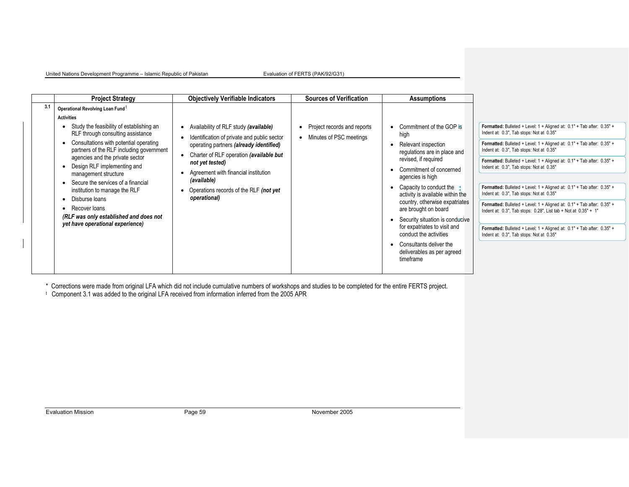| <b>Project Strategy</b>                                                                                                                                                                                                                                                                                                                                                                                                                                                        | <b>Objectively Verifiable Indicators</b>                                                                                                                                                                                                                                                                                 | <b>Sources of Verification</b>                             | <b>Assumptions</b>                                                                                                                                                                                                                                                                              |                                                                                                                                                                                                                                                                                                                                                                                                                                                                                                                                                                                                                                            |
|--------------------------------------------------------------------------------------------------------------------------------------------------------------------------------------------------------------------------------------------------------------------------------------------------------------------------------------------------------------------------------------------------------------------------------------------------------------------------------|--------------------------------------------------------------------------------------------------------------------------------------------------------------------------------------------------------------------------------------------------------------------------------------------------------------------------|------------------------------------------------------------|-------------------------------------------------------------------------------------------------------------------------------------------------------------------------------------------------------------------------------------------------------------------------------------------------|--------------------------------------------------------------------------------------------------------------------------------------------------------------------------------------------------------------------------------------------------------------------------------------------------------------------------------------------------------------------------------------------------------------------------------------------------------------------------------------------------------------------------------------------------------------------------------------------------------------------------------------------|
| Operational Revolving Loan Fund <sup>t</sup><br><b>Activities</b><br>Study the feasibility of establishing an<br>$\bullet$<br>RLF through consulting assistance<br>Consultations with potential operating<br>$\bullet$<br>partners of the RLF including government<br>agencies and the private sector<br>• Design RLF implementing and<br>management structure<br>• Secure the services of a financial<br>institution to manage the RLF<br>• Disburse loans<br>• Recover loans | • Availability of RLF study (available)<br>• Identification of private and public sector<br>operating partners (already identified)<br>• Charter of RLF operation (available but<br>not yet tested)<br>• Agreement with financial institution<br>(available)<br>• Operations records of the RLF (not yet<br>operational) | • Project records and reports<br>• Minutes of PSC meetings | • Commitment of the GOP is<br>high<br>Relevant inspection<br>regulations are in place and<br>revised, if required<br>Commitment of concerned<br>agencies is high<br>Capacity to conduct the $\pm$<br>activity is available within the<br>country, otherwise expatriates<br>are brought on board | Formatted: Bulleted + Level: 1 + Aligned at: 0.1" + Tab after: 0.35" +<br>Indent at: 0.3", Tab stops: Not at 0.35"<br>Formatted: Bulleted + Level: 1 + Aligned at: 0.1" + Tab after: 0.35" +<br>Indent at: 0.3", Tab stops: Not at 0.35"<br>Formatted: Bulleted + Level: 1 + Aligned at: 0.1" + Tab after: 0.35" +<br>Indent at: 0.3", Tab stops: Not at 0.35"<br>Formatted: Bulleted + Level: 1 + Aligned at: 0.1" + Tab after: 0.35" +<br>Indent at: 0.3", Tab stops: Not at 0.35"<br>Formatted: Bulleted + Level: 1 + Aligned at: 0.1" + Tab after: 0.35" +<br>Indent at: $0.3$ ", Tab stops: $0.28$ ", List tab + Not at $0.35$ " + 1" |
| (RLF was only established and does not<br>yet have operational experience)                                                                                                                                                                                                                                                                                                                                                                                                     |                                                                                                                                                                                                                                                                                                                          |                                                            | Security situation is conducive<br>for expatriates to visit and<br>conduct the activities<br>Consultants deliver the<br>deliverables as per agreed<br>timeframe                                                                                                                                 | Formatted: Bulleted + Level: 1 + Aligned at: 0.1" + Tab after: 0.35" +<br>Indent at: 0.3", Tab stops: Not at 0.35"                                                                                                                                                                                                                                                                                                                                                                                                                                                                                                                         |

\* Corrections were made from original LFA which did not include cumulative numbers of workshops and studies to be completed for the entire FERTS project.<br><sup>t</sup> Component 3.1 was added to the original LFA received from info

Evaluation Mission Page 59 November 2005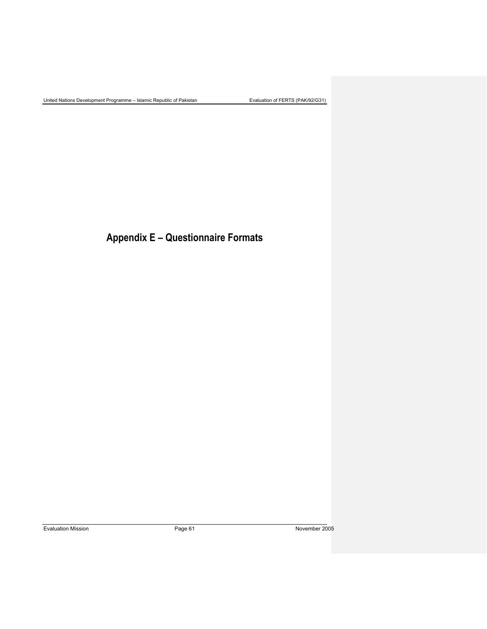**Appendix E – Questionnaire Formats**

Evaluation Mission **Page 61** Page 61 November 2005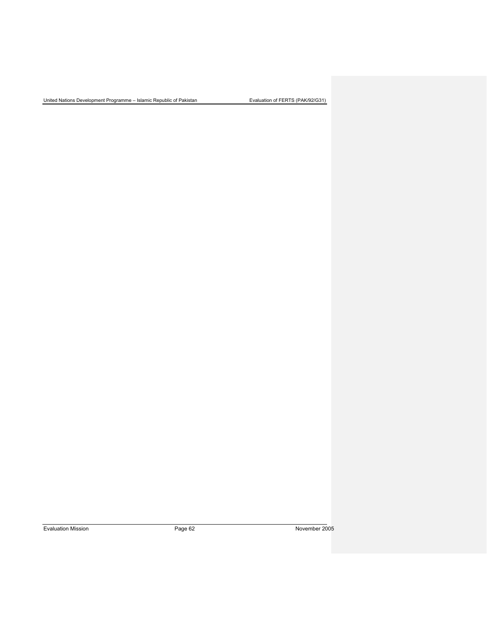Evaluation Mission **Page 62** November 2005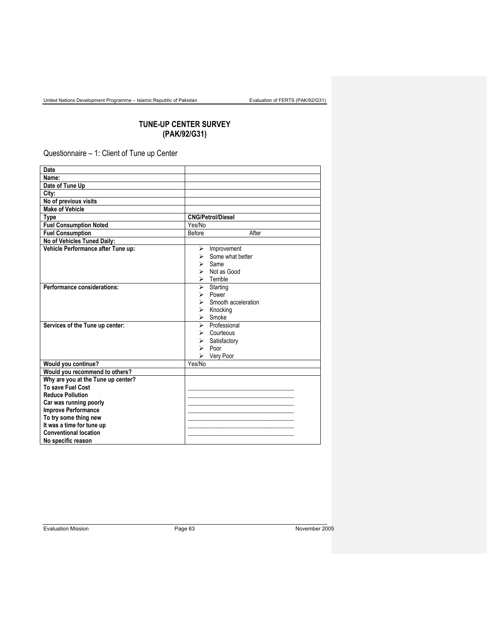# **TUNE-UP CENTER SURVEY (PAK/92/G31)**

Questionnaire – 1: Client of Tune up Center

| Date                                                                                                                                                                                                                             |                                                                                                                                         |
|----------------------------------------------------------------------------------------------------------------------------------------------------------------------------------------------------------------------------------|-----------------------------------------------------------------------------------------------------------------------------------------|
| Name:                                                                                                                                                                                                                            |                                                                                                                                         |
| Date of Tune Up                                                                                                                                                                                                                  |                                                                                                                                         |
| City:                                                                                                                                                                                                                            |                                                                                                                                         |
| No of previous visits                                                                                                                                                                                                            |                                                                                                                                         |
| <b>Make of Vehicle</b>                                                                                                                                                                                                           |                                                                                                                                         |
| <b>Type</b>                                                                                                                                                                                                                      | <b>CNG/Petrol/Diesel</b>                                                                                                                |
| <b>Fuel Consumption Noted</b>                                                                                                                                                                                                    | Yes/No                                                                                                                                  |
| <b>Fuel Consumption</b>                                                                                                                                                                                                          | Before<br>After                                                                                                                         |
| No of Vehicles Tuned Daily:                                                                                                                                                                                                      |                                                                                                                                         |
| Vehicle Performance after Tune up:                                                                                                                                                                                               | Improvement<br>$\triangleright$<br>Some what better<br>⋗<br>Same<br>⊳<br>Not as Good<br>$\triangleright$ Terrible                       |
| Performance considerations:                                                                                                                                                                                                      | Starting<br>≻<br>$\triangleright$ Power<br>Smooth acceleration<br>⋗<br>$\triangleright$ Knocking<br>$\triangleright$ Smoke              |
| Services of the Tune up center:                                                                                                                                                                                                  | Professional<br>↘<br>$\triangleright$ Courteous<br>$\triangleright$ Satisfactory<br>$\triangleright$ Poor<br>$\triangleright$ Very Poor |
| Would you continue?                                                                                                                                                                                                              | Yes/No                                                                                                                                  |
| Would you recommend to others?                                                                                                                                                                                                   |                                                                                                                                         |
| Why are you at the Tune up center?<br>To save Fuel Cost<br><b>Reduce Pollution</b><br>Car was running poorly<br><b>Improve Performance</b><br>To try some thing new<br>It was a time for tune up<br><b>Conventional location</b> |                                                                                                                                         |
| No specific reason                                                                                                                                                                                                               |                                                                                                                                         |

Evaluation Mission **Page 63** November 2005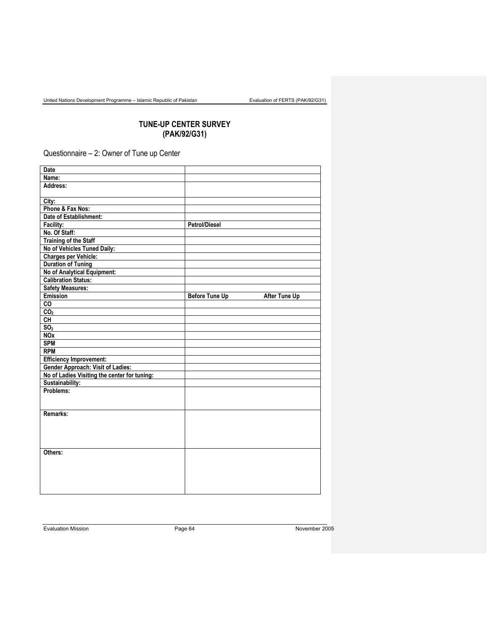# **TUNE-UP CENTER SURVEY (PAK/92/G31)**

Questionnaire – 2: Owner of Tune up Center

| Date                                         |                                        |
|----------------------------------------------|----------------------------------------|
| Name:                                        |                                        |
| Address:                                     |                                        |
|                                              |                                        |
| City:                                        |                                        |
| Phone & Fax Nos:                             |                                        |
| Date of Establishment:                       |                                        |
| Facility:                                    | <b>Petrol/Diesel</b>                   |
| No. Of Staff:                                |                                        |
| <b>Training of the Staff</b>                 |                                        |
| No of Vehicles Tuned Daily:                  |                                        |
| <b>Charges per Vehicle:</b>                  |                                        |
| <b>Duration of Tuning</b>                    |                                        |
| No of Analytical Equipment:                  |                                        |
| <b>Calibration Status:</b>                   |                                        |
| <b>Safety Measures:</b>                      |                                        |
| Emission                                     | <b>Before Tune Up</b><br>After Tune Up |
| CO                                           |                                        |
| CO <sub>2</sub>                              |                                        |
| CH                                           |                                        |
| SO <sub>2</sub>                              |                                        |
| <b>NOx</b>                                   |                                        |
| <b>SPM</b>                                   |                                        |
| <b>RPM</b>                                   |                                        |
| <b>Efficiency Improvement:</b>               |                                        |
| <b>Gender Approach: Visit of Ladies:</b>     |                                        |
| No of Ladies Visiting the center for tuning: |                                        |
| Sustainability:                              |                                        |
| Problems:                                    |                                        |
|                                              |                                        |
|                                              |                                        |
| Remarks:                                     |                                        |
|                                              |                                        |
|                                              |                                        |
|                                              |                                        |
|                                              |                                        |
| Others:                                      |                                        |
|                                              |                                        |
|                                              |                                        |
|                                              |                                        |
|                                              |                                        |

Evaluation Mission **Page 64** Page 64 November 2005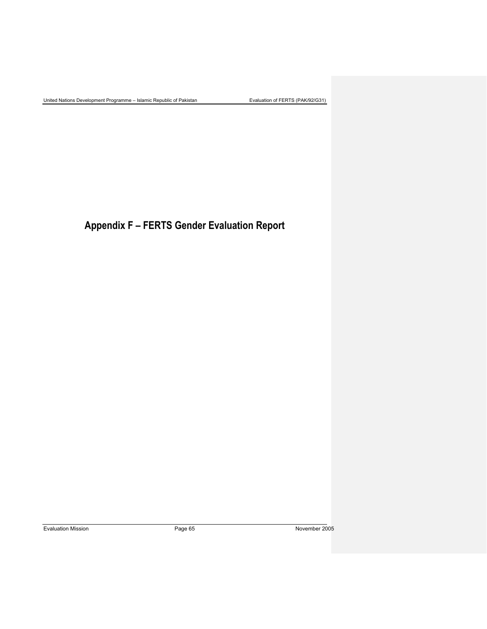**Appendix F – FERTS Gender Evaluation Report**

Evaluation Mission **Page 65** November 2005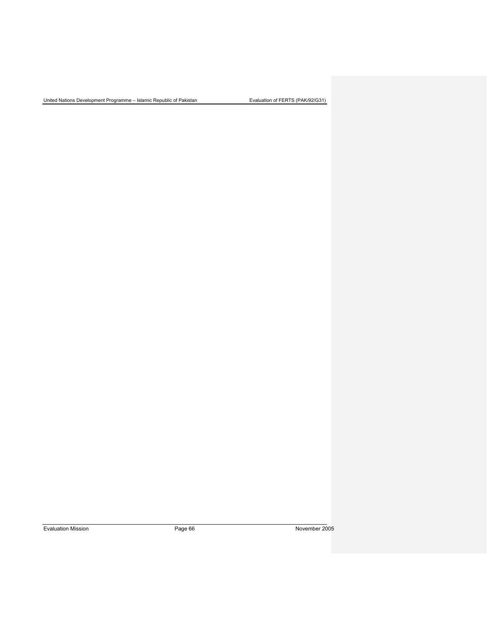Evaluation Mission **Page 66** November 2005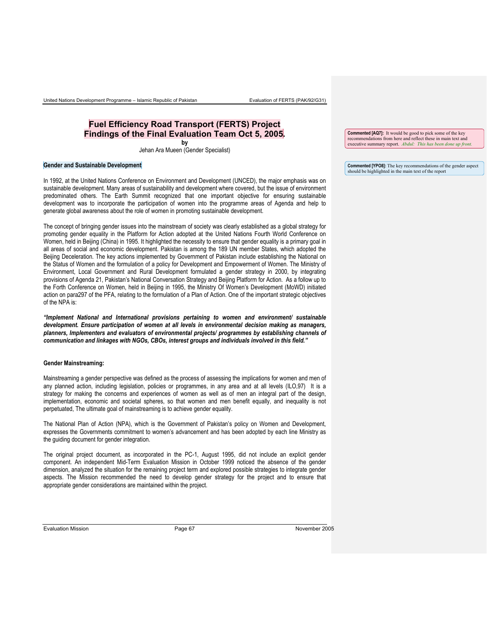United Nations Development Programme – Islamic Republic of Pakistan France Content Conduction of FERTS (PAK/92/G31)

# **Fuel Efficiency Road Transport (FERTS) Project Findings of the Final Evaluation Team Oct 5, 2005.**

**by** Jehan Ara Mueen (Gender Specialist)

## **Gender and Sustainable Development**

In 1992, at the United Nations Conference on Environment and Development (UNCED), the major emphasis was on sustainable development. Many areas of sustainability and development where covered, but the issue of environment predominated others. The Earth Summit recognized that one important objective for ensuring sustainable development was to incorporate the participation of women into the programme areas of Agenda and help to generate global awareness about the role of women in promoting sustainable development.

The concept of bringing gender issues into the mainstream of society was clearly established as a global strategy for promoting gender equality in the Platform for Action adopted at the United Nations Fourth World Conference on Women, held in Beijing (China) in 1995. It highlighted the necessity to ensure that gender equality is a primary goal in all areas of social and economic development. Pakistan is among the 189 UN member States, which adopted the Beijing Deceleration. The key actions implemented by Government of Pakistan include establishing the National on the Status of Women and the formulation of a policy for Development and Empowerment of Women. The Ministry of Environment, Local Government and Rural Development formulated a gender strategy in 2000, by integrating provisions of Agenda 21, Pakistan's National Conversation Strategy and Beijing Platform for Action. As a follow up to the Forth Conference on Women, held in Beijing in 1995, the Ministry Of Women's Development (MoWD) initiated action on para297 of the PFA, relating to the formulation of a Plan of Action. One of the important strategic objectives of the NPA is:

*"Implement National and International provisions pertaining to women and environment/ sustainable development. Ensure participation of women at all levels in environmental decision making as managers, planners, Implementers and evaluators of environmental projects/ programmes by establishing channels of communication and linkages with NGOs, CBOs, interest groups and individuals involved in this field."* 

## **Gender Mainstreaming:**

Mainstreaming a gender perspective was defined as the process of assessing the implications for women and men of any planned action, including legislation, policies or programmes, in any area and at all levels (ILO,97) It is a strategy for making the concerns and experiences of women as well as of men an integral part of the design, implementation, economic and societal spheres, so that women and men benefit equally, and inequality is not perpetuated, The ultimate goal of mainstreaming is to achieve gender equality.

The National Plan of Action (NPA), which is the Government of Pakistan's policy on Women and Development, expresses the Governments commitment to women's advancement and has been adopted by each line Ministry as the guiding document for gender integration.

The original project document, as incorporated in the PC-1, August 1995, did not include an explicit gender component. An independent Mid-Term Evaluation Mission in October 1999 noticed the absence of the gender dimension, analyzed the situation for the remaining project term and explored possible strategies to integrate gender aspects. The Mission recommended the need to develop gender strategy for the project and to ensure that appropriate gender considerations are maintained within the project.

Evaluation Mission Page 67 November 2005

**Commented [AQ7]:** It would be good to pick some of the key recommendations from here and reflect these in main text and executive summary report. *Abdul: This has been done up front.*

**Commented [YPO8]:** The key recommendations of the gender aspect should be highlighted in the main text of the report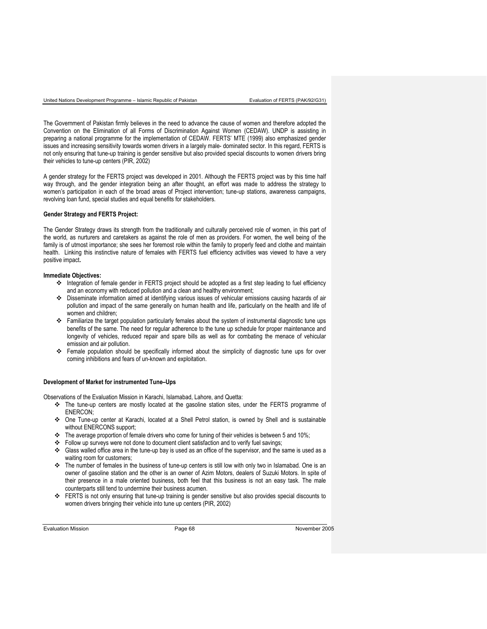The Government of Pakistan firmly believes in the need to advance the cause of women and therefore adopted the Convention on the Elimination of all Forms of Discrimination Against Women (CEDAW). UNDP is assisting in preparing a national programme for the implementation of CEDAW. FERTS' MTE (1999) also emphasized gender issues and increasing sensitivity towards women drivers in a largely male- dominated sector. In this regard, FERTS is not only ensuring that tune-up training is gender sensitive but also provided special discounts to women drivers bring their vehicles to tune-up centers (PIR, 2002)

A gender strategy for the FERTS project was developed in 2001. Although the FERTS project was by this time half way through, and the gender integration being an after thought, an effort was made to address the strategy to women's participation in each of the broad areas of Project intervention; tune-up stations, awareness campaigns, revolving loan fund, special studies and equal benefits for stakeholders.

# **Gender Strategy and FERTS Project:**

The Gender Strategy draws its strength from the traditionally and culturally perceived role of women, in this part of the world, as nurturers and caretakers as against the role of men as providers. For women, the well being of the family is of utmost importance; she sees her foremost role within the family to properly feed and clothe and maintain health. Linking this instinctive nature of females with FERTS fuel efficiency activities was viewed to have a very positive impact**.** 

## **Immediate Objectives:**

- Integration of female gender in FERTS project should be adopted as a first step leading to fuel efficiency and an economy with reduced pollution and a clean and healthy environment;
- Disseminate information aimed at identifying various issues of vehicular emissions causing hazards of air pollution and impact of the same generally on human health and life, particularly on the health and life of women and children;
- $\div$  Familiarize the target population particularly females about the system of instrumental diagnostic tune ups benefits of the same. The need for regular adherence to the tune up schedule for proper maintenance and longevity of vehicles, reduced repair and spare bills as well as for combating the menace of vehicular emission and air pollution.
- Female population should be specifically informed about the simplicity of diagnostic tune ups for over coming inhibitions and fears of un-known and exploitation.

#### **Development of Market for instrumented Tune–Ups**

Observations of the Evaluation Mission in Karachi, Islamabad, Lahore, and Quetta:

- The tune-up centers are mostly located at the gasoline station sites, under the FERTS programme of ENERCON;
- One Tune-up center at Karachi, located at a Shell Petrol station, is owned by Shell and is sustainable without ENERCONS support;
- $\cdot \cdot$  The average proportion of female drivers who come for tuning of their vehicles is between 5 and 10%;
- \* Follow up surveys were not done to document client satisfaction and to verify fuel savings;
- Glass walled office area in the tune-up bay is used as an office of the supervisor, and the same is used as a waiting room for customers;
- The number of females in the business of tune-up centers is still low with only two in Islamabad. One is an owner of gasoline station and the other is an owner of Azim Motors, dealers of Suzuki Motors. In spite of their presence in a male oriented business, both feel that this business is not an easy task. The male counterparts still tend to undermine their business acumen.
- FERTS is not only ensuring that tune-up training is gender sensitive but also provides special discounts to women drivers bringing their vehicle into tune up centers (PIR, 2002)

Evaluation Mission Page 68 November 2005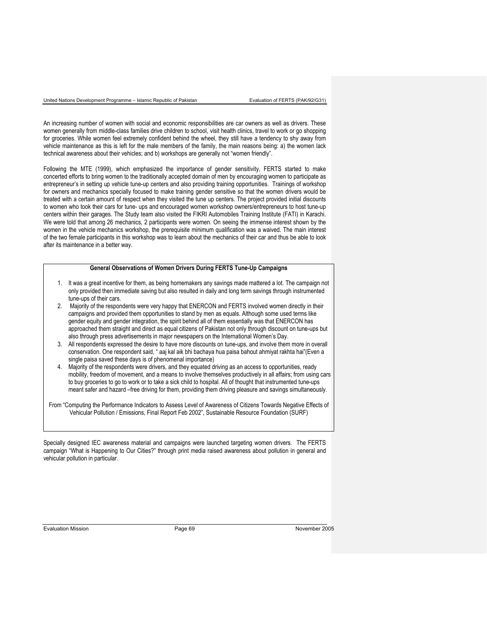An increasing number of women with social and economic responsibilities are car owners as well as drivers. These women generally from middle-class families drive children to school, visit health clinics, travel to work or go shopping for groceries. While women feel extremely confident behind the wheel, they still have a tendency to shy away from vehicle maintenance as this is left for the male members of the family, the main reasons being: a) the women lack technical awareness about their vehicles; and b) workshops are generally not "women friendly".

Following the MTE (1999), which emphasized the importance of gender sensitivity, FERTS started to make concerted efforts to bring women to the traditionally accepted domain of men by encouraging women to participate as entrepreneur's in setting up vehicle tune-up centers and also providing training opportunities. Trainings of workshop for owners and mechanics specially focused to make training gender sensitive so that the women drivers would be treated with a certain amount of respect when they visited the tune up centers. The project provided initial discounts to women who took their cars for tune- ups and encouraged women workshop owners/entrepreneurs to host tune-up centers within their garages. The Study team also visited the FIKRI Automobiles Training Institute (FATI) in Karachi. We were told that among 26 mechanics, 2 participants were women. On seeing the immense interest shown by the women in the vehicle mechanics workshop, the prerequisite minimum qualification was a waived. The main interest of the two female participants in this workshop was to learn about the mechanics of their car and thus be able to look after its maintenance in a better way.

### **General Observations of Women Drivers During FERTS Tune-Up Campaigns**

- 1. It was a great incentive for them, as being homemakers any savings made mattered a lot. The campaign not only provided then immediate saving but also resulted in daily and long term savings through instrumented tune-ups of their cars.
- 2. Majority of the respondents were very happy that ENERCON and FERTS involved women directly in their campaigns and provided them opportunities to stand by men as equals. Although some used terms like gender equity and gender integration, the spirit behind all of them essentially was that ENERCON has approached them straight and direct as equal citizens of Pakistan not only through discount on tune-ups but also through press advertisements in major newspapers on the International Women's Day.
- 3. All respondents expressed the desire to have more discounts on tune-ups, and involve them more in overall conservation. One respondent said, " aaj kal aik bhi bachaya hua paisa bahout ahmiyat rakhta hai"(Even a single paisa saved these days is of phenomenal importance)
- 4. Majority of the respondents were drivers, and they equated driving as an access to opportunities, ready mobility, freedom of movement, and a means to involve themselves productively in all affairs; from using cars to buy groceries to go to work or to take a sick child to hospital. All of thought that instrumented tune-ups meant safer and hazard –free driving for them, providing them driving pleasure and savings simultaneously.

From "Computing the Performance Indicators to Assess Level of Awareness of Citizens Towards Negative Effects of Vehicular Pollution / Emissions, Final Report Feb 2002", Sustainable Resource Foundation (SURF)

Specially designed IEC awareness material and campaigns were launched targeting women drivers. The FERTS campaign "What is Happening to Our Cities?" through print media raised awareness about pollution in general and vehicular pollution in particular.

Evaluation Mission Page 69 November 2005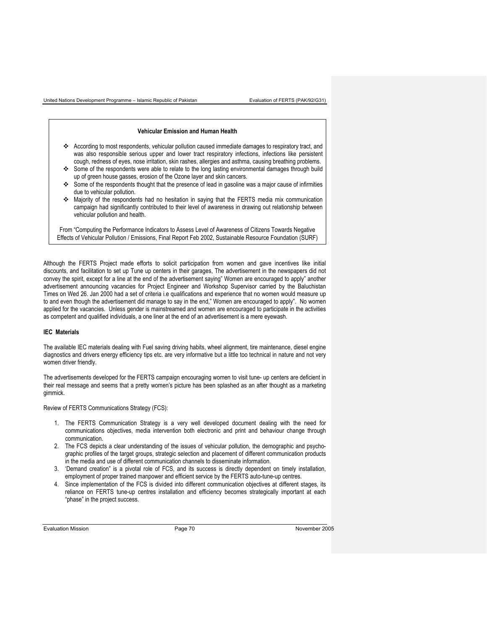| <b>Vehicular Emission and Human Health</b>                                                                                                                                                                                                                                                                                  |  |  |  |  |  |  |  |
|-----------------------------------------------------------------------------------------------------------------------------------------------------------------------------------------------------------------------------------------------------------------------------------------------------------------------------|--|--|--|--|--|--|--|
| ❖ According to most respondents, vehicular pollution caused immediate damages to respiratory tract, and<br>was also responsible serious upper and lower tract respiratory infections, infections like persistent<br>cough, redness of eyes, nose irritation, skin rashes, allergies and asthma, causing breathing problems. |  |  |  |  |  |  |  |
| ❖ Some of the respondents were able to relate to the long lasting environmental damages through build<br>up of green house gasses, erosion of the Ozone layer and skin cancers.                                                                                                                                             |  |  |  |  |  |  |  |
| ❖ Some of the respondents thought that the presence of lead in gasoline was a major cause of infirmities<br>due to vehicular pollution.                                                                                                                                                                                     |  |  |  |  |  |  |  |
| ❖ Majority of the respondents had no hesitation in saying that the FERTS media mix communication<br>campaign had significantly contributed to their level of awareness in drawing out relationship between<br>vehicular pollution and health.                                                                               |  |  |  |  |  |  |  |
| From "Computing the Performance Indicators to Assess Level of Awareness of Citizens Towards Negative<br>Effects of Vehicular Pollution / Emissions, Final Report Feb 2002, Sustainable Resource Foundation (SURF)                                                                                                           |  |  |  |  |  |  |  |
|                                                                                                                                                                                                                                                                                                                             |  |  |  |  |  |  |  |

Although the FERTS Project made efforts to solicit participation from women and gave incentives like initial discounts, and facilitation to set up Tune up centers in their garages, The advertisement in the newspapers did not convey the spirit, except for a line at the end of the advertisement saying" Women are encouraged to apply" another advertisement announcing vacancies for Project Engineer and Workshop Supervisor carried by the Baluchistan Times on Wed 26. Jan 2000 had a set of criteria i.e qualifications and experience that no women would measure up to and even though the advertisement did manage to say in the end," Women are encouraged to apply". No women applied for the vacancies. Unless gender is mainstreamed and women are encouraged to participate in the activities as competent and qualified individuals, a one liner at the end of an advertisement is a mere eyewash.

# **IEC Materials**

The available IEC materials dealing with Fuel saving driving habits, wheel alignment, tire maintenance, diesel engine diagnostics and drivers energy efficiency tips etc. are very informative but a little too technical in nature and not very women driver friendly.

The advertisements developed for the FERTS campaign encouraging women to visit tune- up centers are deficient in their real message and seems that a pretty women's picture has been splashed as an after thought as a marketing gimmick.

Review of FERTS Communications Strategy (FCS):

- 1. The FERTS Communication Strategy is a very well developed document dealing with the need for communications objectives, media intervention both electronic and print and behaviour change through communication.
- 2. The FCS depicts a clear understanding of the issues of vehicular pollution, the demographic and psychographic profiles of the target groups, strategic selection and placement of different communication products in the media and use of different communication channels to disseminate information.
- 3. 'Demand creation" is a pivotal role of FCS, and its success is directly dependent on timely installation, employment of proper trained manpower and efficient service by the FERTS auto-tune-up centres.
- 4. Since implementation of the FCS is divided into different communication objectives at different stages, its reliance on FERTS tune-up centres installation and efficiency becomes strategically important at each "phase" in the project success.

Evaluation Mission **November 2005** Page 70 November 2005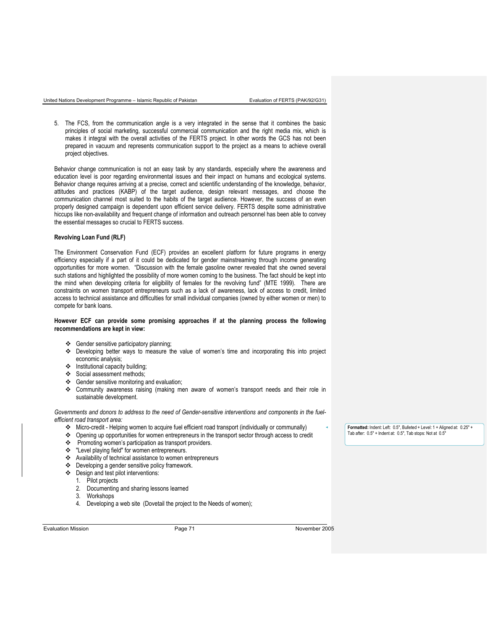5. The FCS, from the communication angle is a very integrated in the sense that it combines the basic principles of social marketing, successful commercial communication and the right media mix, which is makes it integral with the overall activities of the FERTS project. In other words the GCS has not been prepared in vacuum and represents communication support to the project as a means to achieve overall project objectives.

Behavior change communication is not an easy task by any standards, especially where the awareness and education level is poor regarding environmental issues and their impact on humans and ecological systems. Behavior change requires arriving at a precise, correct and scientific understanding of the knowledge, behavior, attitudes and practices (KABP) of the target audience, design relevant messages, and choose the communication channel most suited to the habits of the target audience. However, the success of an even properly designed campaign is dependent upon efficient service delivery. FERTS despite some administrative hiccups like non-availability and frequent change of information and outreach personnel has been able to convey the essential messages so crucial to FERTS success.

# **Revolving Loan Fund (RLF)**

The Environment Conservation Fund (ECF) provides an excellent platform for future programs in energy efficiency especially if a part of it could be dedicated for gender mainstreaming through income generating opportunities for more women. "Discussion with the female gasoline owner revealed that she owned several such stations and highlighted the possibility of more women coming to the business. The fact should be kept into the mind when developing criteria for eligibility of females for the revolving fund" (MTE 1999). There are constraints on women transport entrepreneurs such as a lack of awareness, lack of access to credit, limited access to technical assistance and difficulties for small individual companies (owned by either women or men) to compete for bank loans.

## **However ECF can provide some promising approaches if at the planning process the following recommendations are kept in view:**

- Gender sensitive participatory planning;
- Developing better ways to measure the value of women's time and incorporating this into project economic analysis;
- $\triangleleft$  Institutional capacity building;
- Social assessment methods;
- Gender sensitive monitoring and evaluation;
- Community awareness raising (making men aware of women's transport needs and their role in sustainable development.

*Governments and donors to address to the need of Gender-sensitive interventions and components in the fuelefficient road transport area:*

- Micro-credit Helping women to acquire fuel efficient road transport (individually or communally)
- Opening up opportunities for women entrepreneurs in the transport sector through access to credit
- \* Promoting women's participation as transport providers.
- \* "Level playing field" for women entrepreneurs.
- Availability of technical assistance to women entrepreneurs
- Developing a gender sensitive policy framework.
- Design and test pilot interventions:
	- 1. Pilot projects
	- 2. Documenting and sharing lessons learned
	- 3. Workshops
	- 4. Developing a web site (Dovetail the project to the Needs of women);

Evaluation Mission Page 71 November 2005

**Formatted:** Indent: Left: 0.5", Bulleted + Level: 1 + Aligned at: 0.25" + Tab after: 0.5" + Indent at: 0.5", Tab stops: Not at 0.5"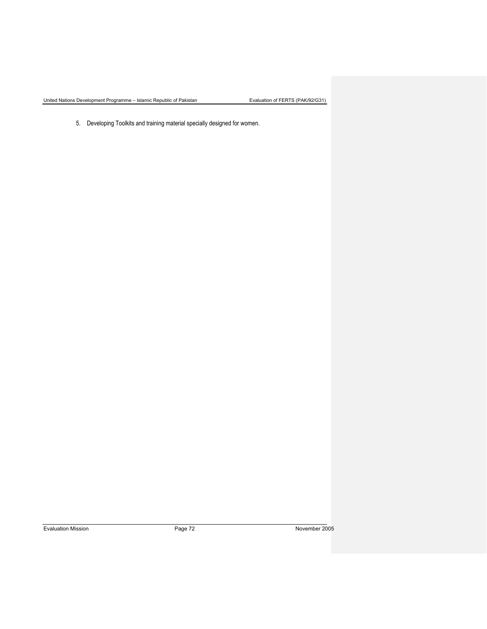5. Developing Toolkits and training material specially designed for women.

Evaluation Mission **Page 72** Page 72 November 2005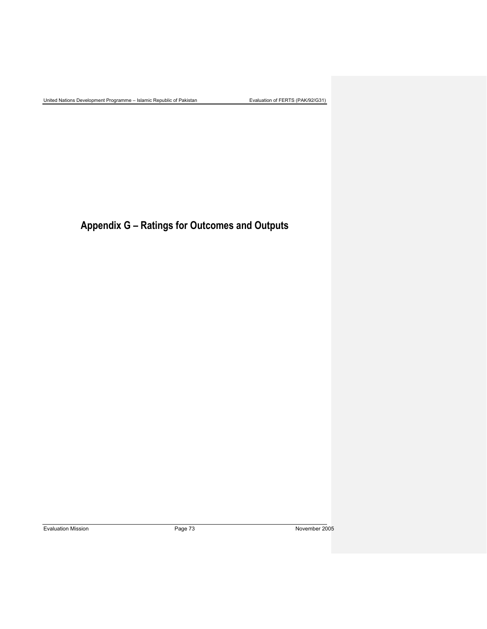**Appendix G – Ratings for Outcomes and Outputs**

Evaluation Mission **Page 73** November 2005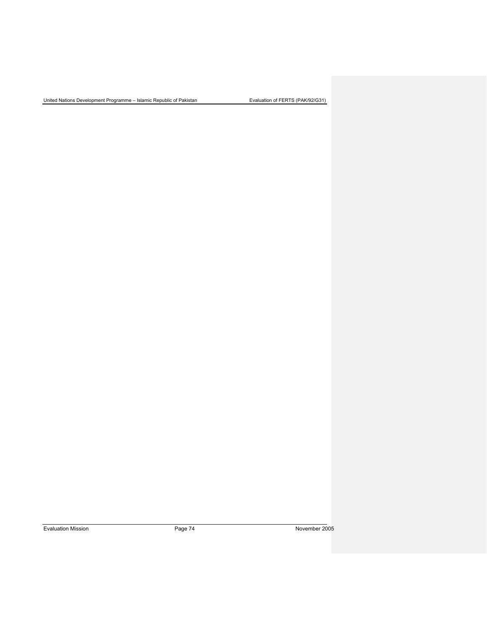Evaluation Mission **Page 74** Page 74 November 2005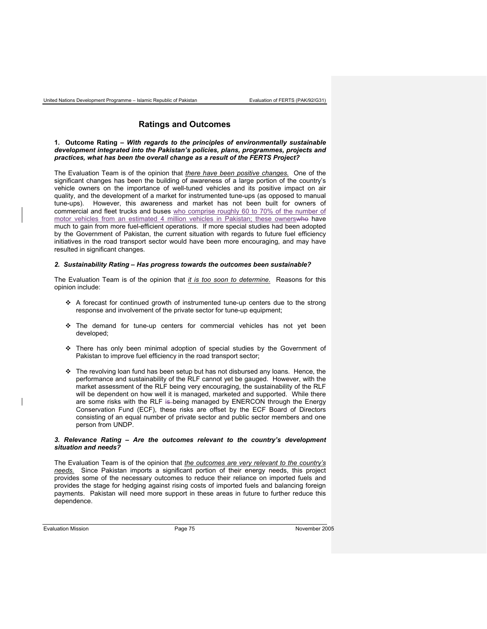# **Ratings and Outcomes**

# **1. Outcome Rating –** *With regards to the principles of environmentally sustainable development integrated into the Pakistan's policies, plans, programmes, projects and practices, what has been the overall change as a result of the FERTS Project?*

The Evaluation Team is of the opinion that *there have been positive changes.* One of the significant changes has been the building of awareness of a large portion of the country's vehicle owners on the importance of well-tuned vehicles and its positive impact on air quality, and the development of a market for instrumented tune-ups (as opposed to manual tune-ups). However, this awareness and market has not been built for owners of commercial and fleet trucks and buses who comprise roughly 60 to 70% of the number of motor vehicles from an estimated 4 million vehicles in Pakistan; these ownerswho have much to gain from more fuel-efficient operations. If more special studies had been adopted by the Government of Pakistan, the current situation with regards to future fuel efficiency initiatives in the road transport sector would have been more encouraging, and may have resulted in significant changes.

#### *2. Sustainability Rating – Has progress towards the outcomes been sustainable?*

The Evaluation Team is of the opinion that *it is too soon to determine.* Reasons for this opinion include:

- A forecast for continued growth of instrumented tune-up centers due to the strong response and involvement of the private sector for tune-up equipment;
- The demand for tune-up centers for commercial vehicles has not yet been developed;
- There has only been minimal adoption of special studies by the Government of Pakistan to improve fuel efficiency in the road transport sector;
- $\clubsuit$  The revolving loan fund has been setup but has not disbursed any loans. Hence, the performance and sustainability of the RLF cannot yet be gauged. However, with the market assessment of the RLF being very encouraging, the sustainability of the RLF will be dependent on how well it is managed, marketed and supported. While there are some risks with the RLF is being managed by ENERCON through the Energy Conservation Fund (ECF), these risks are offset by the ECF Board of Directors consisting of an equal number of private sector and public sector members and one person from UNDP.

## 3. Relevance Rating - Are the outcomes relevant to the country's development *situation and needs?*

The Evaluation Team is of the opinion that *the outcomes are very relevant to the country's needs.* Since Pakistan imports a significant portion of their energy needs, this project provides some of the necessary outcomes to reduce their reliance on imported fuels and provides the stage for hedging against rising costs of imported fuels and balancing foreign payments. Pakistan will need more support in these areas in future to further reduce this dependence.

Evaluation Mission Page 75 November 2005